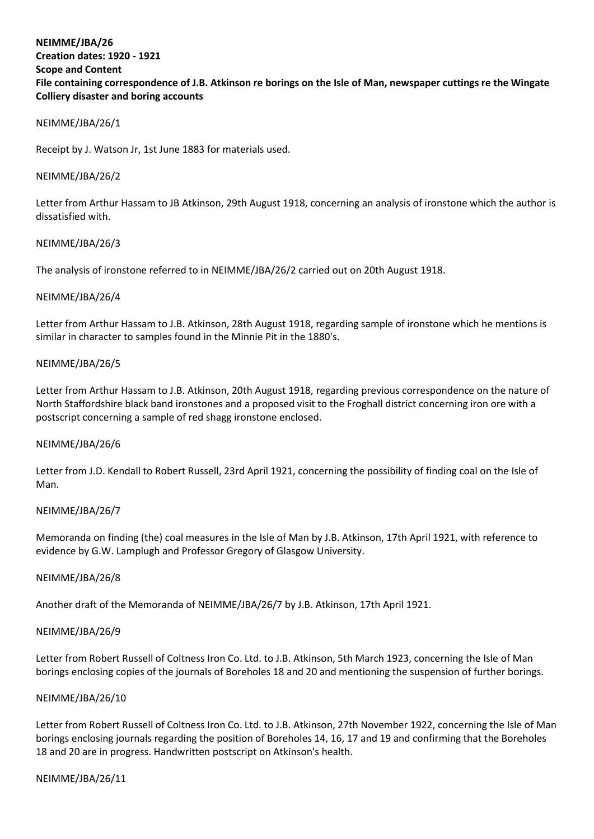# **NEIMME/JBA/26 Creation dates: 1920 - 1921 Scope and Content File containing correspondence of J.B. Atkinson re borings on the Isle of Man, newspaper cuttings re the Wingate Colliery disaster and boring accounts**

### NEIMME/JBA/26/1

Receipt by J. Watson Jr, 1st June 1883 for materials used.

## NEIMME/JBA/26/2

Letter from Arthur Hassam to JB Atkinson, 29th August 1918, concerning an analysis of ironstone which the author is dissatisfied with.

## NEIMME/JBA/26/3

The analysis of ironstone referred to in NEIMME/JBA/26/2 carried out on 20th August 1918.

## NEIMME/JBA/26/4

Letter from Arthur Hassam to J.B. Atkinson, 28th August 1918, regarding sample of ironstone which he mentions is similar in character to samples found in the Minnie Pit in the 1880's.

## NEIMME/JBA/26/5

Letter from Arthur Hassam to J.B. Atkinson, 20th August 1918, regarding previous correspondence on the nature of North Staffordshire black band ironstones and a proposed visit to the Froghall district concerning iron ore with a postscript concerning a sample of red shagg ironstone enclosed.

### NEIMME/JBA/26/6

Letter from J.D. Kendall to Robert Russell, 23rd April 1921, concerning the possibility of finding coal on the Isle of Man.

### NEIMME/JBA/26/7

Memoranda on finding (the) coal measures in the Isle of Man by J.B. Atkinson, 17th April 1921, with reference to evidence by G.W. Lamplugh and Professor Gregory of Glasgow University.

### NEIMME/JBA/26/8

Another draft of the Memoranda of NEIMME/JBA/26/7 by J.B. Atkinson, 17th April 1921.

### NEIMME/JBA/26/9

Letter from Robert Russell of Coltness Iron Co. Ltd. to J.B. Atkinson, 5th March 1923, concerning the Isle of Man borings enclosing copies of the journals of Boreholes 18 and 20 and mentioning the suspension of further borings.

### NEIMME/JBA/26/10

Letter from Robert Russell of Coltness Iron Co. Ltd. to J.B. Atkinson, 27th November 1922, concerning the Isle of Man borings enclosing journals regarding the position of Boreholes 14, 16, 17 and 19 and confirming that the Boreholes 18 and 20 are in progress. Handwritten postscript on Atkinson's health.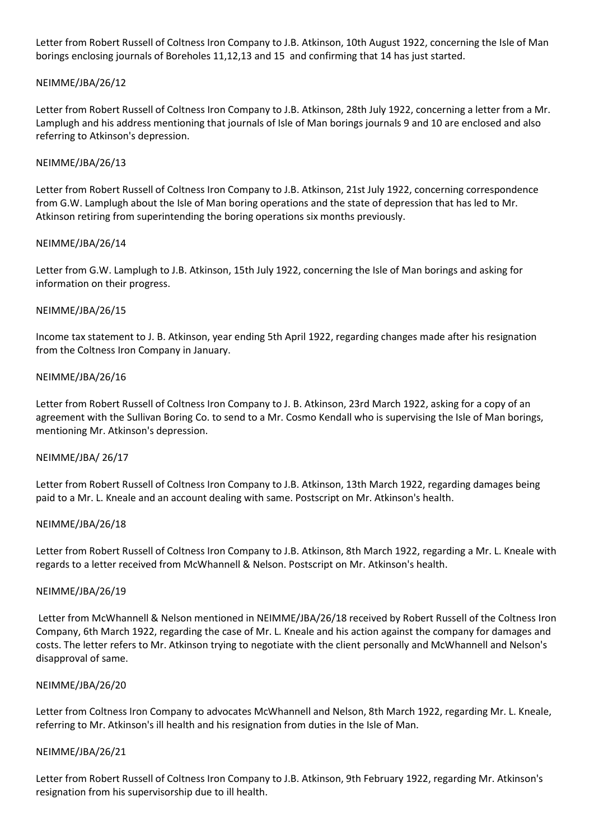Letter from Robert Russell of Coltness Iron Company to J.B. Atkinson, 10th August 1922, concerning the Isle of Man borings enclosing journals of Boreholes 11,12,13 and 15 and confirming that 14 has just started.

## NEIMME/JBA/26/12

Letter from Robert Russell of Coltness Iron Company to J.B. Atkinson, 28th July 1922, concerning a letter from a Mr. Lamplugh and his address mentioning that journals of Isle of Man borings journals 9 and 10 are enclosed and also referring to Atkinson's depression.

## NEIMME/JBA/26/13

Letter from Robert Russell of Coltness Iron Company to J.B. Atkinson, 21st July 1922, concerning correspondence from G.W. Lamplugh about the Isle of Man boring operations and the state of depression that has led to Mr. Atkinson retiring from superintending the boring operations six months previously.

## NEIMME/JBA/26/14

Letter from G.W. Lamplugh to J.B. Atkinson, 15th July 1922, concerning the Isle of Man borings and asking for information on their progress.

## NEIMME/JBA/26/15

Income tax statement to J. B. Atkinson, year ending 5th April 1922, regarding changes made after his resignation from the Coltness Iron Company in January.

## NEIMME/JBA/26/16

Letter from Robert Russell of Coltness Iron Company to J. B. Atkinson, 23rd March 1922, asking for a copy of an agreement with the Sullivan Boring Co. to send to a Mr. Cosmo Kendall who is supervising the Isle of Man borings, mentioning Mr. Atkinson's depression.

### NEIMME/JBA/ 26/17

Letter from Robert Russell of Coltness Iron Company to J.B. Atkinson, 13th March 1922, regarding damages being paid to a Mr. L. Kneale and an account dealing with same. Postscript on Mr. Atkinson's health.

### NEIMME/JBA/26/18

Letter from Robert Russell of Coltness Iron Company to J.B. Atkinson, 8th March 1922, regarding a Mr. L. Kneale with regards to a letter received from McWhannell & Nelson. Postscript on Mr. Atkinson's health.

### NEIMME/JBA/26/19

Letter from McWhannell & Nelson mentioned in NEIMME/JBA/26/18 received by Robert Russell of the Coltness Iron Company, 6th March 1922, regarding the case of Mr. L. Kneale and his action against the company for damages and costs. The letter refers to Mr. Atkinson trying to negotiate with the client personally and McWhannell and Nelson's disapproval of same.

### NEIMME/JBA/26/20

Letter from Coltness Iron Company to advocates McWhannell and Nelson, 8th March 1922, regarding Mr. L. Kneale, referring to Mr. Atkinson's ill health and his resignation from duties in the Isle of Man.

### NEIMME/JBA/26/21

Letter from Robert Russell of Coltness Iron Company to J.B. Atkinson, 9th February 1922, regarding Mr. Atkinson's resignation from his supervisorship due to ill health.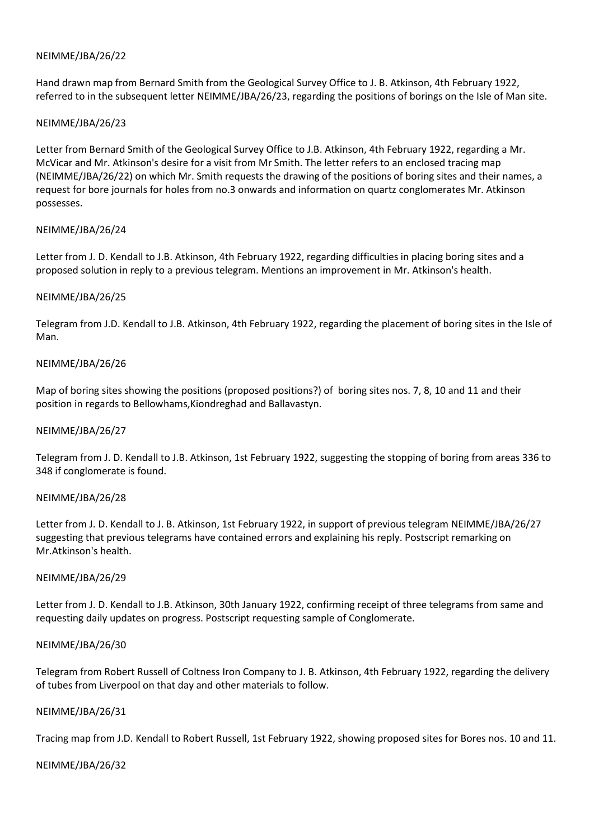Hand drawn map from Bernard Smith from the Geological Survey Office to J. B. Atkinson, 4th February 1922, referred to in the subsequent letter NEIMME/JBA/26/23, regarding the positions of borings on the Isle of Man site.

### NEIMME/JBA/26/23

Letter from Bernard Smith of the Geological Survey Office to J.B. Atkinson, 4th February 1922, regarding a Mr. McVicar and Mr. Atkinson's desire for a visit from Mr Smith. The letter refers to an enclosed tracing map (NEIMME/JBA/26/22) on which Mr. Smith requests the drawing of the positions of boring sites and their names, a request for bore journals for holes from no.3 onwards and information on quartz conglomerates Mr. Atkinson possesses.

### NEIMME/JBA/26/24

Letter from J. D. Kendall to J.B. Atkinson, 4th February 1922, regarding difficulties in placing boring sites and a proposed solution in reply to a previous telegram. Mentions an improvement in Mr. Atkinson's health.

## NEIMME/JBA/26/25

Telegram from J.D. Kendall to J.B. Atkinson, 4th February 1922, regarding the placement of boring sites in the Isle of Man.

## NEIMME/JBA/26/26

Map of boring sites showing the positions (proposed positions?) of boring sites nos. 7, 8, 10 and 11 and their position in regards to Bellowhams,Kiondreghad and Ballavastyn.

### NEIMME/JBA/26/27

Telegram from J. D. Kendall to J.B. Atkinson, 1st February 1922, suggesting the stopping of boring from areas 336 to 348 if conglomerate is found.

### NEIMME/JBA/26/28

Letter from J. D. Kendall to J. B. Atkinson, 1st February 1922, in support of previous telegram NEIMME/JBA/26/27 suggesting that previous telegrams have contained errors and explaining his reply. Postscript remarking on Mr.Atkinson's health.

### NEIMME/JBA/26/29

Letter from J. D. Kendall to J.B. Atkinson, 30th January 1922, confirming receipt of three telegrams from same and requesting daily updates on progress. Postscript requesting sample of Conglomerate.

### NEIMME/JBA/26/30

Telegram from Robert Russell of Coltness Iron Company to J. B. Atkinson, 4th February 1922, regarding the delivery of tubes from Liverpool on that day and other materials to follow.

### NEIMME/JBA/26/31

Tracing map from J.D. Kendall to Robert Russell, 1st February 1922, showing proposed sites for Bores nos. 10 and 11.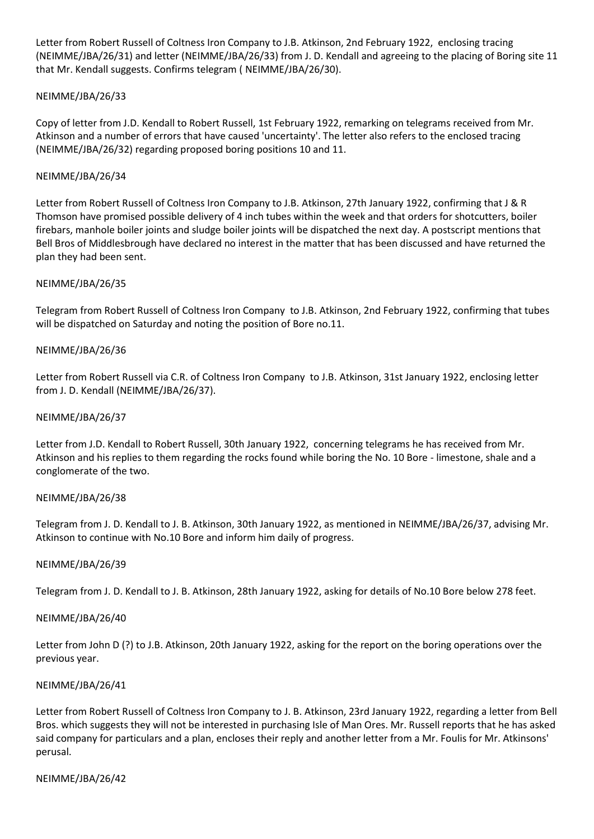Letter from Robert Russell of Coltness Iron Company to J.B. Atkinson, 2nd February 1922, enclosing tracing (NEIMME/JBA/26/31) and letter (NEIMME/JBA/26/33) from J. D. Kendall and agreeing to the placing of Boring site 11 that Mr. Kendall suggests. Confirms telegram ( NEIMME/JBA/26/30).

## NEIMME/JBA/26/33

Copy of letter from J.D. Kendall to Robert Russell, 1st February 1922, remarking on telegrams received from Mr. Atkinson and a number of errors that have caused 'uncertainty'. The letter also refers to the enclosed tracing (NEIMME/JBA/26/32) regarding proposed boring positions 10 and 11.

## NEIMME/JBA/26/34

Letter from Robert Russell of Coltness Iron Company to J.B. Atkinson, 27th January 1922, confirming that J & R Thomson have promised possible delivery of 4 inch tubes within the week and that orders for shotcutters, boiler firebars, manhole boiler joints and sludge boiler joints will be dispatched the next day. A postscript mentions that Bell Bros of Middlesbrough have declared no interest in the matter that has been discussed and have returned the plan they had been sent.

## NEIMME/JBA/26/35

Telegram from Robert Russell of Coltness Iron Company to J.B. Atkinson, 2nd February 1922, confirming that tubes will be dispatched on Saturday and noting the position of Bore no.11.

## NEIMME/JBA/26/36

Letter from Robert Russell via C.R. of Coltness Iron Company to J.B. Atkinson, 31st January 1922, enclosing letter from J. D. Kendall (NEIMME/JBA/26/37).

### NEIMME/JBA/26/37

Letter from J.D. Kendall to Robert Russell, 30th January 1922, concerning telegrams he has received from Mr. Atkinson and his replies to them regarding the rocks found while boring the No. 10 Bore - limestone, shale and a conglomerate of the two.

### NEIMME/JBA/26/38

Telegram from J. D. Kendall to J. B. Atkinson, 30th January 1922, as mentioned in NEIMME/JBA/26/37, advising Mr. Atkinson to continue with No.10 Bore and inform him daily of progress.

### NEIMME/JBA/26/39

Telegram from J. D. Kendall to J. B. Atkinson, 28th January 1922, asking for details of No.10 Bore below 278 feet.

### NEIMME/JBA/26/40

Letter from John D (?) to J.B. Atkinson, 20th January 1922, asking for the report on the boring operations over the previous year.

### NEIMME/JBA/26/41

Letter from Robert Russell of Coltness Iron Company to J. B. Atkinson, 23rd January 1922, regarding a letter from Bell Bros. which suggests they will not be interested in purchasing Isle of Man Ores. Mr. Russell reports that he has asked said company for particulars and a plan, encloses their reply and another letter from a Mr. Foulis for Mr. Atkinsons' perusal.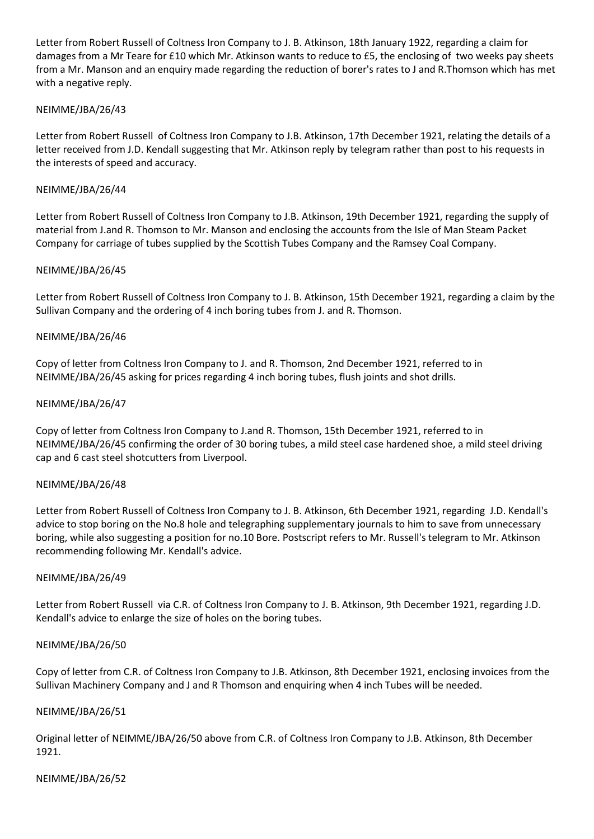Letter from Robert Russell of Coltness Iron Company to J. B. Atkinson, 18th January 1922, regarding a claim for damages from a Mr Teare for £10 which Mr. Atkinson wants to reduce to £5, the enclosing of two weeks pay sheets from a Mr. Manson and an enquiry made regarding the reduction of borer's rates to J and R.Thomson which has met with a negative reply.

## NEIMME/JBA/26/43

Letter from Robert Russell of Coltness Iron Company to J.B. Atkinson, 17th December 1921, relating the details of a letter received from J.D. Kendall suggesting that Mr. Atkinson reply by telegram rather than post to his requests in the interests of speed and accuracy.

## NEIMME/JBA/26/44

Letter from Robert Russell of Coltness Iron Company to J.B. Atkinson, 19th December 1921, regarding the supply of material from J.and R. Thomson to Mr. Manson and enclosing the accounts from the Isle of Man Steam Packet Company for carriage of tubes supplied by the Scottish Tubes Company and the Ramsey Coal Company.

## NEIMME/JBA/26/45

Letter from Robert Russell of Coltness Iron Company to J. B. Atkinson, 15th December 1921, regarding a claim by the Sullivan Company and the ordering of 4 inch boring tubes from J. and R. Thomson.

### NEIMME/JBA/26/46

Copy of letter from Coltness Iron Company to J. and R. Thomson, 2nd December 1921, referred to in NEIMME/JBA/26/45 asking for prices regarding 4 inch boring tubes, flush joints and shot drills.

## NEIMME/JBA/26/47

Copy of letter from Coltness Iron Company to J.and R. Thomson, 15th December 1921, referred to in NEIMME/JBA/26/45 confirming the order of 30 boring tubes, a mild steel case hardened shoe, a mild steel driving cap and 6 cast steel shotcutters from Liverpool.

### NEIMME/JBA/26/48

Letter from Robert Russell of Coltness Iron Company to J. B. Atkinson, 6th December 1921, regarding J.D. Kendall's advice to stop boring on the No.8 hole and telegraphing supplementary journals to him to save from unnecessary boring, while also suggesting a position for no.10 Bore. Postscript refers to Mr. Russell's telegram to Mr. Atkinson recommending following Mr. Kendall's advice.

### NEIMME/JBA/26/49

Letter from Robert Russell via C.R. of Coltness Iron Company to J. B. Atkinson, 9th December 1921, regarding J.D. Kendall's advice to enlarge the size of holes on the boring tubes.

### NEIMME/JBA/26/50

Copy of letter from C.R. of Coltness Iron Company to J.B. Atkinson, 8th December 1921, enclosing invoices from the Sullivan Machinery Company and J and R Thomson and enquiring when 4 inch Tubes will be needed.

### NEIMME/JBA/26/51

Original letter of NEIMME/JBA/26/50 above from C.R. of Coltness Iron Company to J.B. Atkinson, 8th December 1921.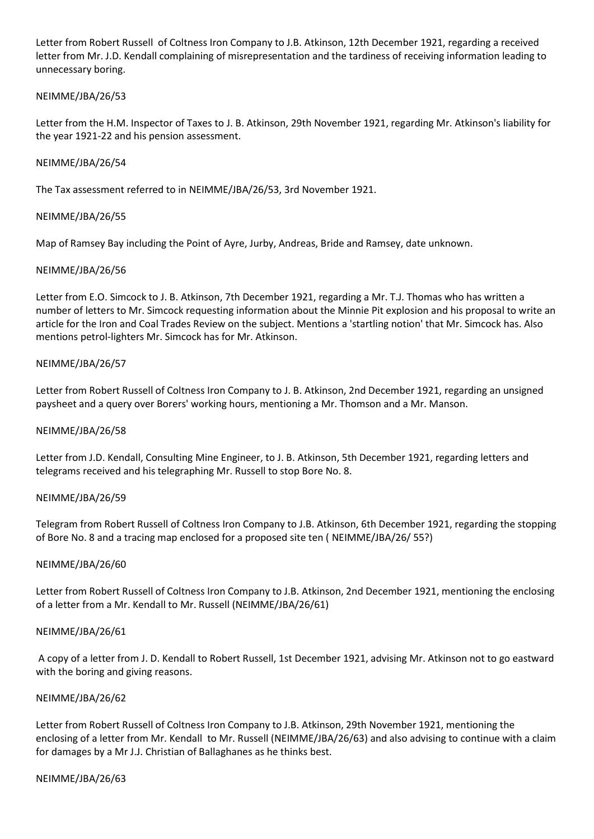Letter from Robert Russell of Coltness Iron Company to J.B. Atkinson, 12th December 1921, regarding a received letter from Mr. J.D. Kendall complaining of misrepresentation and the tardiness of receiving information leading to unnecessary boring.

### NEIMME/JBA/26/53

Letter from the H.M. Inspector of Taxes to J. B. Atkinson, 29th November 1921, regarding Mr. Atkinson's liability for the year 1921-22 and his pension assessment.

### NEIMME/JBA/26/54

The Tax assessment referred to in NEIMME/JBA/26/53, 3rd November 1921.

### NEIMME/JBA/26/55

Map of Ramsey Bay including the Point of Ayre, Jurby, Andreas, Bride and Ramsey, date unknown.

## NEIMME/JBA/26/56

Letter from E.O. Simcock to J. B. Atkinson, 7th December 1921, regarding a Mr. T.J. Thomas who has written a number of letters to Mr. Simcock requesting information about the Minnie Pit explosion and his proposal to write an article for the Iron and Coal Trades Review on the subject. Mentions a 'startling notion' that Mr. Simcock has. Also mentions petrol-lighters Mr. Simcock has for Mr. Atkinson.

## NEIMME/JBA/26/57

Letter from Robert Russell of Coltness Iron Company to J. B. Atkinson, 2nd December 1921, regarding an unsigned paysheet and a query over Borers' working hours, mentioning a Mr. Thomson and a Mr. Manson.

### NEIMME/JBA/26/58

Letter from J.D. Kendall, Consulting Mine Engineer, to J. B. Atkinson, 5th December 1921, regarding letters and telegrams received and his telegraphing Mr. Russell to stop Bore No. 8.

### NEIMME/JBA/26/59

Telegram from Robert Russell of Coltness Iron Company to J.B. Atkinson, 6th December 1921, regarding the stopping of Bore No. 8 and a tracing map enclosed for a proposed site ten ( NEIMME/JBA/26/ 55?)

### NEIMME/JBA/26/60

Letter from Robert Russell of Coltness Iron Company to J.B. Atkinson, 2nd December 1921, mentioning the enclosing of a letter from a Mr. Kendall to Mr. Russell (NEIMME/JBA/26/61)

### NEIMME/JBA/26/61

A copy of a letter from J. D. Kendall to Robert Russell, 1st December 1921, advising Mr. Atkinson not to go eastward with the boring and giving reasons.

### NEIMME/JBA/26/62

Letter from Robert Russell of Coltness Iron Company to J.B. Atkinson, 29th November 1921, mentioning the enclosing of a letter from Mr. Kendall to Mr. Russell (NEIMME/JBA/26/63) and also advising to continue with a claim for damages by a Mr J.J. Christian of Ballaghanes as he thinks best.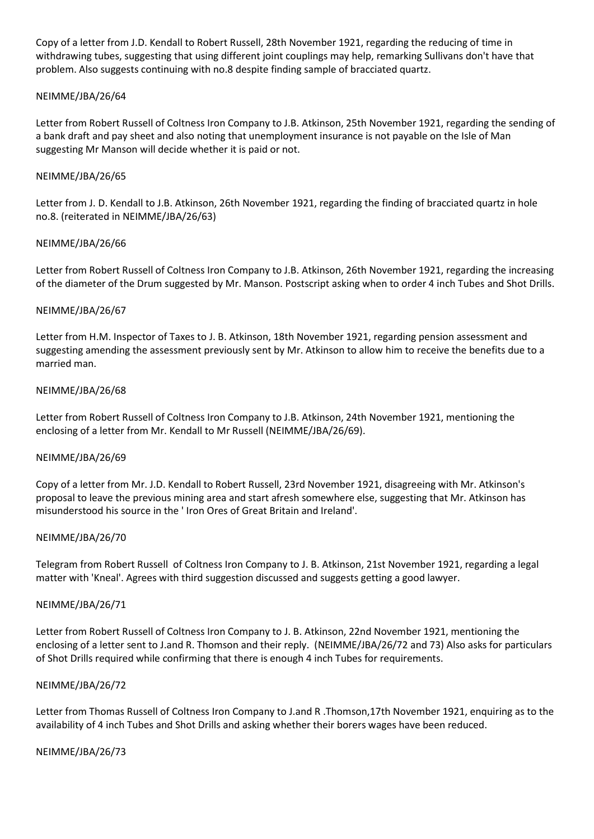Copy of a letter from J.D. Kendall to Robert Russell, 28th November 1921, regarding the reducing of time in withdrawing tubes, suggesting that using different joint couplings may help, remarking Sullivans don't have that problem. Also suggests continuing with no.8 despite finding sample of bracciated quartz.

### NEIMME/JBA/26/64

Letter from Robert Russell of Coltness Iron Company to J.B. Atkinson, 25th November 1921, regarding the sending of a bank draft and pay sheet and also noting that unemployment insurance is not payable on the Isle of Man suggesting Mr Manson will decide whether it is paid or not.

## NEIMME/JBA/26/65

Letter from J. D. Kendall to J.B. Atkinson, 26th November 1921, regarding the finding of bracciated quartz in hole no.8. (reiterated in NEIMME/JBA/26/63)

## NEIMME/JBA/26/66

Letter from Robert Russell of Coltness Iron Company to J.B. Atkinson, 26th November 1921, regarding the increasing of the diameter of the Drum suggested by Mr. Manson. Postscript asking when to order 4 inch Tubes and Shot Drills.

## NEIMME/JBA/26/67

Letter from H.M. Inspector of Taxes to J. B. Atkinson, 18th November 1921, regarding pension assessment and suggesting amending the assessment previously sent by Mr. Atkinson to allow him to receive the benefits due to a married man.

### NEIMME/JBA/26/68

Letter from Robert Russell of Coltness Iron Company to J.B. Atkinson, 24th November 1921, mentioning the enclosing of a letter from Mr. Kendall to Mr Russell (NEIMME/JBA/26/69).

### NEIMME/JBA/26/69

Copy of a letter from Mr. J.D. Kendall to Robert Russell, 23rd November 1921, disagreeing with Mr. Atkinson's proposal to leave the previous mining area and start afresh somewhere else, suggesting that Mr. Atkinson has misunderstood his source in the ' Iron Ores of Great Britain and Ireland'.

### NEIMME/JBA/26/70

Telegram from Robert Russell of Coltness Iron Company to J. B. Atkinson, 21st November 1921, regarding a legal matter with 'Kneal'. Agrees with third suggestion discussed and suggests getting a good lawyer.

### NEIMME/JBA/26/71

Letter from Robert Russell of Coltness Iron Company to J. B. Atkinson, 22nd November 1921, mentioning the enclosing of a letter sent to J.and R. Thomson and their reply. (NEIMME/JBA/26/72 and 73) Also asks for particulars of Shot Drills required while confirming that there is enough 4 inch Tubes for requirements.

### NEIMME/JBA/26/72

Letter from Thomas Russell of Coltness Iron Company to J.and R .Thomson,17th November 1921, enquiring as to the availability of 4 inch Tubes and Shot Drills and asking whether their borers wages have been reduced.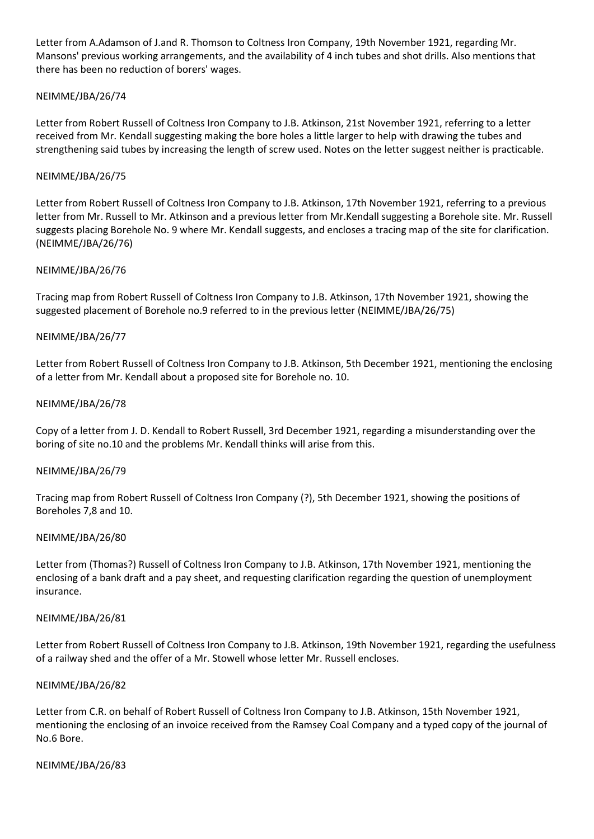Letter from A.Adamson of J.and R. Thomson to Coltness Iron Company, 19th November 1921, regarding Mr. Mansons' previous working arrangements, and the availability of 4 inch tubes and shot drills. Also mentions that there has been no reduction of borers' wages.

## NEIMME/JBA/26/74

Letter from Robert Russell of Coltness Iron Company to J.B. Atkinson, 21st November 1921, referring to a letter received from Mr. Kendall suggesting making the bore holes a little larger to help with drawing the tubes and strengthening said tubes by increasing the length of screw used. Notes on the letter suggest neither is practicable.

### NEIMME/JBA/26/75

Letter from Robert Russell of Coltness Iron Company to J.B. Atkinson, 17th November 1921, referring to a previous letter from Mr. Russell to Mr. Atkinson and a previous letter from Mr.Kendall suggesting a Borehole site. Mr. Russell suggests placing Borehole No. 9 where Mr. Kendall suggests, and encloses a tracing map of the site for clarification. (NEIMME/JBA/26/76)

### NEIMME/JBA/26/76

Tracing map from Robert Russell of Coltness Iron Company to J.B. Atkinson, 17th November 1921, showing the suggested placement of Borehole no.9 referred to in the previous letter (NEIMME/JBA/26/75)

### NEIMME/JBA/26/77

Letter from Robert Russell of Coltness Iron Company to J.B. Atkinson, 5th December 1921, mentioning the enclosing of a letter from Mr. Kendall about a proposed site for Borehole no. 10.

### NEIMME/JBA/26/78

Copy of a letter from J. D. Kendall to Robert Russell, 3rd December 1921, regarding a misunderstanding over the boring of site no.10 and the problems Mr. Kendall thinks will arise from this.

### NEIMME/JBA/26/79

Tracing map from Robert Russell of Coltness Iron Company (?), 5th December 1921, showing the positions of Boreholes 7,8 and 10.

### NEIMME/JBA/26/80

Letter from (Thomas?) Russell of Coltness Iron Company to J.B. Atkinson, 17th November 1921, mentioning the enclosing of a bank draft and a pay sheet, and requesting clarification regarding the question of unemployment insurance.

### NEIMME/JBA/26/81

Letter from Robert Russell of Coltness Iron Company to J.B. Atkinson, 19th November 1921, regarding the usefulness of a railway shed and the offer of a Mr. Stowell whose letter Mr. Russell encloses.

### NEIMME/JBA/26/82

Letter from C.R. on behalf of Robert Russell of Coltness Iron Company to J.B. Atkinson, 15th November 1921, mentioning the enclosing of an invoice received from the Ramsey Coal Company and a typed copy of the journal of No.6 Bore.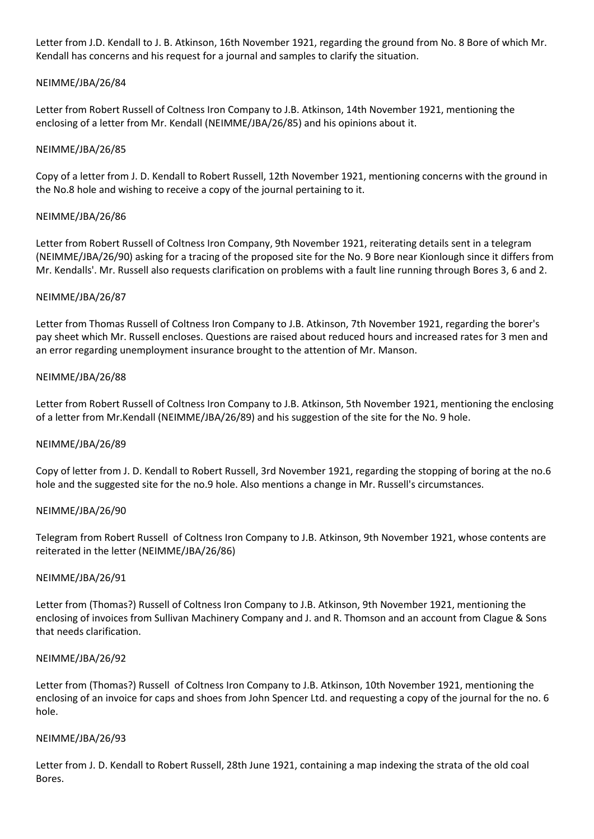Letter from J.D. Kendall to J. B. Atkinson, 16th November 1921, regarding the ground from No. 8 Bore of which Mr. Kendall has concerns and his request for a journal and samples to clarify the situation.

### NEIMME/JBA/26/84

Letter from Robert Russell of Coltness Iron Company to J.B. Atkinson, 14th November 1921, mentioning the enclosing of a letter from Mr. Kendall (NEIMME/JBA/26/85) and his opinions about it.

### NEIMME/JBA/26/85

Copy of a letter from J. D. Kendall to Robert Russell, 12th November 1921, mentioning concerns with the ground in the No.8 hole and wishing to receive a copy of the journal pertaining to it.

### NEIMME/JBA/26/86

Letter from Robert Russell of Coltness Iron Company, 9th November 1921, reiterating details sent in a telegram (NEIMME/JBA/26/90) asking for a tracing of the proposed site for the No. 9 Bore near Kionlough since it differs from Mr. Kendalls'. Mr. Russell also requests clarification on problems with a fault line running through Bores 3, 6 and 2.

### NEIMME/JBA/26/87

Letter from Thomas Russell of Coltness Iron Company to J.B. Atkinson, 7th November 1921, regarding the borer's pay sheet which Mr. Russell encloses. Questions are raised about reduced hours and increased rates for 3 men and an error regarding unemployment insurance brought to the attention of Mr. Manson.

### NEIMME/JBA/26/88

Letter from Robert Russell of Coltness Iron Company to J.B. Atkinson, 5th November 1921, mentioning the enclosing of a letter from Mr.Kendall (NEIMME/JBA/26/89) and his suggestion of the site for the No. 9 hole.

### NEIMME/JBA/26/89

Copy of letter from J. D. Kendall to Robert Russell, 3rd November 1921, regarding the stopping of boring at the no.6 hole and the suggested site for the no.9 hole. Also mentions a change in Mr. Russell's circumstances.

### NEIMME/JBA/26/90

Telegram from Robert Russell of Coltness Iron Company to J.B. Atkinson, 9th November 1921, whose contents are reiterated in the letter (NEIMME/JBA/26/86)

### NEIMME/JBA/26/91

Letter from (Thomas?) Russell of Coltness Iron Company to J.B. Atkinson, 9th November 1921, mentioning the enclosing of invoices from Sullivan Machinery Company and J. and R. Thomson and an account from Clague & Sons that needs clarification.

### NEIMME/JBA/26/92

Letter from (Thomas?) Russell of Coltness Iron Company to J.B. Atkinson, 10th November 1921, mentioning the enclosing of an invoice for caps and shoes from John Spencer Ltd. and requesting a copy of the journal for the no. 6 hole.

### NEIMME/JBA/26/93

Letter from J. D. Kendall to Robert Russell, 28th June 1921, containing a map indexing the strata of the old coal Bores.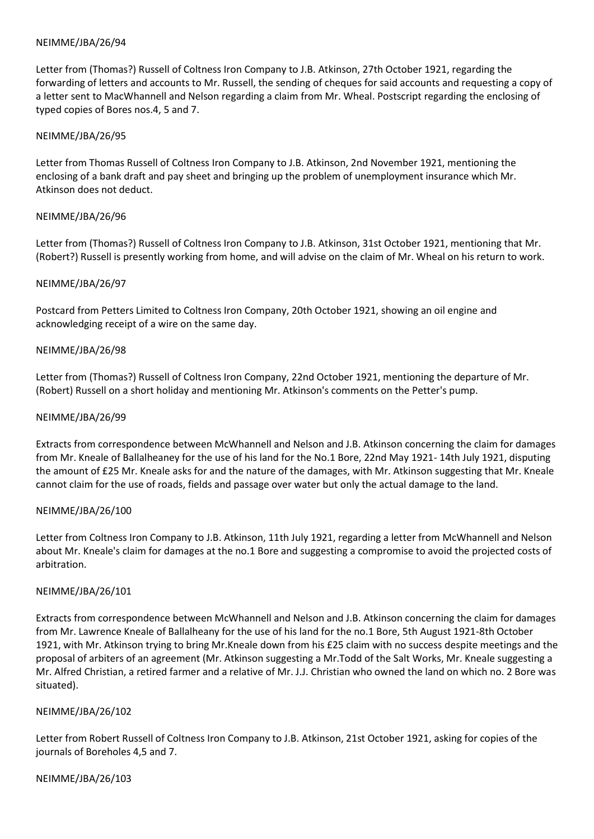Letter from (Thomas?) Russell of Coltness Iron Company to J.B. Atkinson, 27th October 1921, regarding the forwarding of letters and accounts to Mr. Russell, the sending of cheques for said accounts and requesting a copy of a letter sent to MacWhannell and Nelson regarding a claim from Mr. Wheal. Postscript regarding the enclosing of typed copies of Bores nos.4, 5 and 7.

#### NEIMME/JBA/26/95

Letter from Thomas Russell of Coltness Iron Company to J.B. Atkinson, 2nd November 1921, mentioning the enclosing of a bank draft and pay sheet and bringing up the problem of unemployment insurance which Mr. Atkinson does not deduct.

### NEIMME/JBA/26/96

Letter from (Thomas?) Russell of Coltness Iron Company to J.B. Atkinson, 31st October 1921, mentioning that Mr. (Robert?) Russell is presently working from home, and will advise on the claim of Mr. Wheal on his return to work.

#### NEIMME/JBA/26/97

Postcard from Petters Limited to Coltness Iron Company, 20th October 1921, showing an oil engine and acknowledging receipt of a wire on the same day.

#### NEIMME/JBA/26/98

Letter from (Thomas?) Russell of Coltness Iron Company, 22nd October 1921, mentioning the departure of Mr. (Robert) Russell on a short holiday and mentioning Mr. Atkinson's comments on the Petter's pump.

#### NEIMME/JBA/26/99

Extracts from correspondence between McWhannell and Nelson and J.B. Atkinson concerning the claim for damages from Mr. Kneale of Ballalheaney for the use of his land for the No.1 Bore, 22nd May 1921- 14th July 1921, disputing the amount of £25 Mr. Kneale asks for and the nature of the damages, with Mr. Atkinson suggesting that Mr. Kneale cannot claim for the use of roads, fields and passage over water but only the actual damage to the land.

#### NEIMME/JBA/26/100

Letter from Coltness Iron Company to J.B. Atkinson, 11th July 1921, regarding a letter from McWhannell and Nelson about Mr. Kneale's claim for damages at the no.1 Bore and suggesting a compromise to avoid the projected costs of arbitration.

### NEIMME/JBA/26/101

Extracts from correspondence between McWhannell and Nelson and J.B. Atkinson concerning the claim for damages from Mr. Lawrence Kneale of Ballalheany for the use of his land for the no.1 Bore, 5th August 1921-8th October 1921, with Mr. Atkinson trying to bring Mr.Kneale down from his £25 claim with no success despite meetings and the proposal of arbiters of an agreement (Mr. Atkinson suggesting a Mr.Todd of the Salt Works, Mr. Kneale suggesting a Mr. Alfred Christian, a retired farmer and a relative of Mr. J.J. Christian who owned the land on which no. 2 Bore was situated).

### NEIMME/JBA/26/102

Letter from Robert Russell of Coltness Iron Company to J.B. Atkinson, 21st October 1921, asking for copies of the journals of Boreholes 4,5 and 7.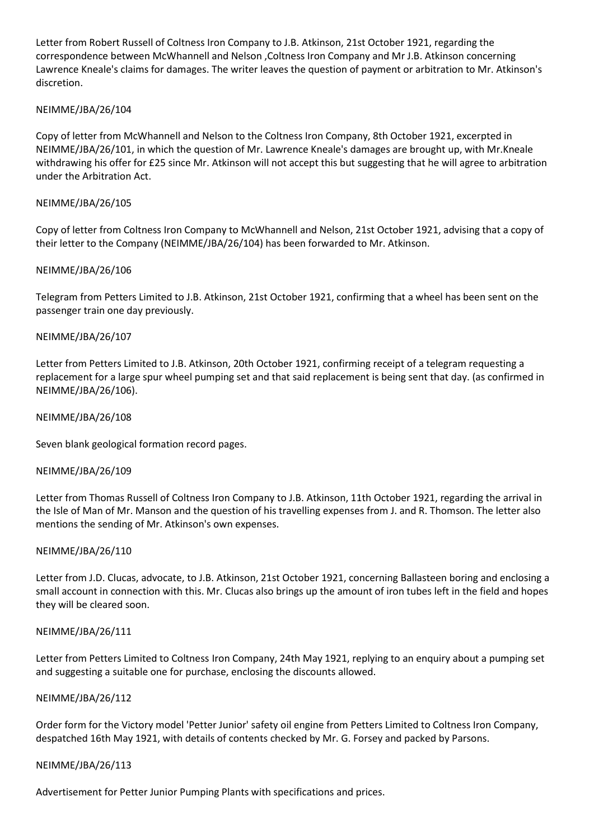Letter from Robert Russell of Coltness Iron Company to J.B. Atkinson, 21st October 1921, regarding the correspondence between McWhannell and Nelson ,Coltness Iron Company and Mr J.B. Atkinson concerning Lawrence Kneale's claims for damages. The writer leaves the question of payment or arbitration to Mr. Atkinson's discretion.

### NEIMME/JBA/26/104

Copy of letter from McWhannell and Nelson to the Coltness Iron Company, 8th October 1921, excerpted in NEIMME/JBA/26/101, in which the question of Mr. Lawrence Kneale's damages are brought up, with Mr.Kneale withdrawing his offer for £25 since Mr. Atkinson will not accept this but suggesting that he will agree to arbitration under the Arbitration Act.

### NEIMME/JBA/26/105

Copy of letter from Coltness Iron Company to McWhannell and Nelson, 21st October 1921, advising that a copy of their letter to the Company (NEIMME/JBA/26/104) has been forwarded to Mr. Atkinson.

### NEIMME/JBA/26/106

Telegram from Petters Limited to J.B. Atkinson, 21st October 1921, confirming that a wheel has been sent on the passenger train one day previously.

### NEIMME/JBA/26/107

Letter from Petters Limited to J.B. Atkinson, 20th October 1921, confirming receipt of a telegram requesting a replacement for a large spur wheel pumping set and that said replacement is being sent that day. (as confirmed in NEIMME/JBA/26/106).

#### NEIMME/JBA/26/108

Seven blank geological formation record pages.

### NEIMME/JBA/26/109

Letter from Thomas Russell of Coltness Iron Company to J.B. Atkinson, 11th October 1921, regarding the arrival in the Isle of Man of Mr. Manson and the question of his travelling expenses from J. and R. Thomson. The letter also mentions the sending of Mr. Atkinson's own expenses.

### NEIMME/JBA/26/110

Letter from J.D. Clucas, advocate, to J.B. Atkinson, 21st October 1921, concerning Ballasteen boring and enclosing a small account in connection with this. Mr. Clucas also brings up the amount of iron tubes left in the field and hopes they will be cleared soon.

### NEIMME/JBA/26/111

Letter from Petters Limited to Coltness Iron Company, 24th May 1921, replying to an enquiry about a pumping set and suggesting a suitable one for purchase, enclosing the discounts allowed.

#### NEIMME/JBA/26/112

Order form for the Victory model 'Petter Junior' safety oil engine from Petters Limited to Coltness Iron Company, despatched 16th May 1921, with details of contents checked by Mr. G. Forsey and packed by Parsons.

### NEIMME/JBA/26/113

Advertisement for Petter Junior Pumping Plants with specifications and prices.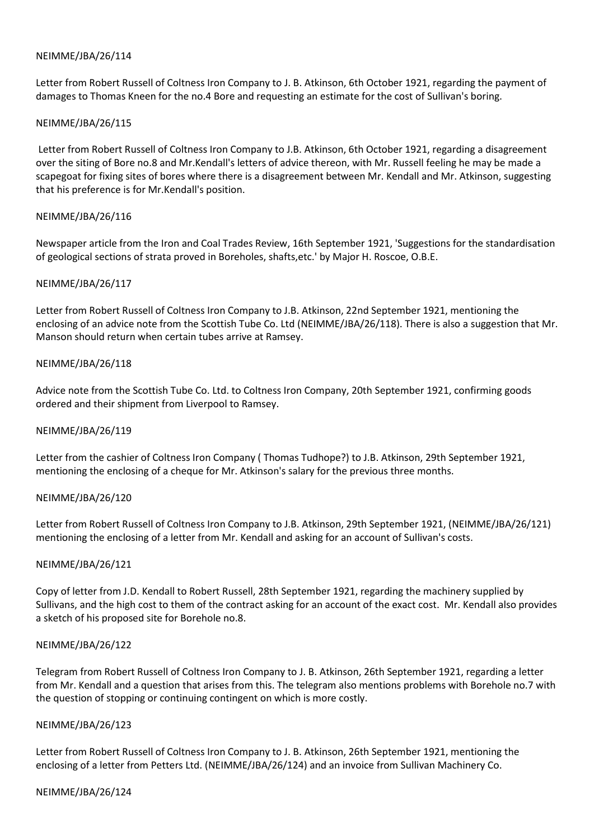Letter from Robert Russell of Coltness Iron Company to J. B. Atkinson, 6th October 1921, regarding the payment of damages to Thomas Kneen for the no.4 Bore and requesting an estimate for the cost of Sullivan's boring.

### NEIMME/JBA/26/115

Letter from Robert Russell of Coltness Iron Company to J.B. Atkinson, 6th October 1921, regarding a disagreement over the siting of Bore no.8 and Mr.Kendall's letters of advice thereon, with Mr. Russell feeling he may be made a scapegoat for fixing sites of bores where there is a disagreement between Mr. Kendall and Mr. Atkinson, suggesting that his preference is for Mr.Kendall's position.

## NEIMME/JBA/26/116

Newspaper article from the Iron and Coal Trades Review, 16th September 1921, 'Suggestions for the standardisation of geological sections of strata proved in Boreholes, shafts,etc.' by Major H. Roscoe, O.B.E.

## NEIMME/JBA/26/117

Letter from Robert Russell of Coltness Iron Company to J.B. Atkinson, 22nd September 1921, mentioning the enclosing of an advice note from the Scottish Tube Co. Ltd (NEIMME/JBA/26/118). There is also a suggestion that Mr. Manson should return when certain tubes arrive at Ramsey.

## NEIMME/JBA/26/118

Advice note from the Scottish Tube Co. Ltd. to Coltness Iron Company, 20th September 1921, confirming goods ordered and their shipment from Liverpool to Ramsey.

### NEIMME/JBA/26/119

Letter from the cashier of Coltness Iron Company ( Thomas Tudhope?) to J.B. Atkinson, 29th September 1921, mentioning the enclosing of a cheque for Mr. Atkinson's salary for the previous three months.

### NEIMME/JBA/26/120

Letter from Robert Russell of Coltness Iron Company to J.B. Atkinson, 29th September 1921, (NEIMME/JBA/26/121) mentioning the enclosing of a letter from Mr. Kendall and asking for an account of Sullivan's costs.

### NEIMME/JBA/26/121

Copy of letter from J.D. Kendall to Robert Russell, 28th September 1921, regarding the machinery supplied by Sullivans, and the high cost to them of the contract asking for an account of the exact cost. Mr. Kendall also provides a sketch of his proposed site for Borehole no.8.

### NEIMME/JBA/26/122

Telegram from Robert Russell of Coltness Iron Company to J. B. Atkinson, 26th September 1921, regarding a letter from Mr. Kendall and a question that arises from this. The telegram also mentions problems with Borehole no.7 with the question of stopping or continuing contingent on which is more costly.

### NEIMME/JBA/26/123

Letter from Robert Russell of Coltness Iron Company to J. B. Atkinson, 26th September 1921, mentioning the enclosing of a letter from Petters Ltd. (NEIMME/JBA/26/124) and an invoice from Sullivan Machinery Co.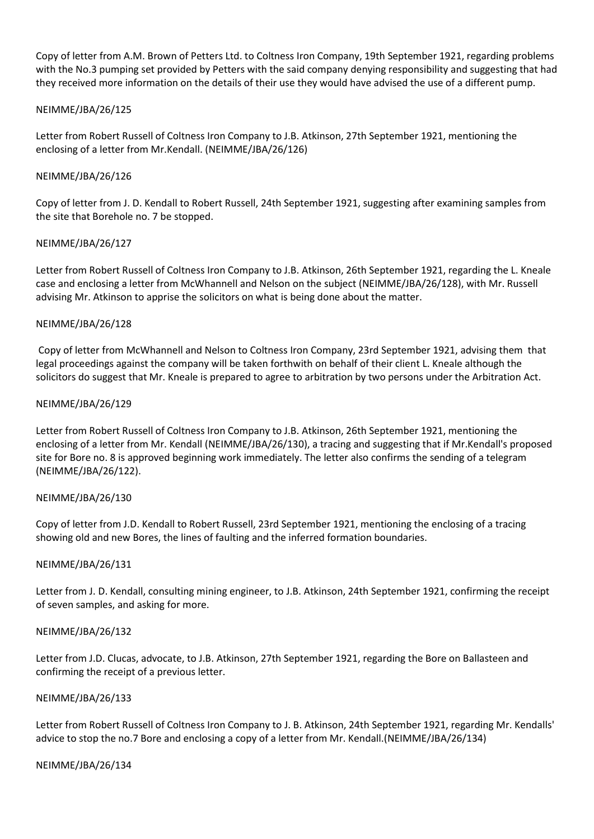Copy of letter from A.M. Brown of Petters Ltd. to Coltness Iron Company, 19th September 1921, regarding problems with the No.3 pumping set provided by Petters with the said company denying responsibility and suggesting that had they received more information on the details of their use they would have advised the use of a different pump.

### NEIMME/JBA/26/125

Letter from Robert Russell of Coltness Iron Company to J.B. Atkinson, 27th September 1921, mentioning the enclosing of a letter from Mr.Kendall. (NEIMME/JBA/26/126)

### NEIMME/JBA/26/126

Copy of letter from J. D. Kendall to Robert Russell, 24th September 1921, suggesting after examining samples from the site that Borehole no. 7 be stopped.

## NEIMME/JBA/26/127

Letter from Robert Russell of Coltness Iron Company to J.B. Atkinson, 26th September 1921, regarding the L. Kneale case and enclosing a letter from McWhannell and Nelson on the subject (NEIMME/JBA/26/128), with Mr. Russell advising Mr. Atkinson to apprise the solicitors on what is being done about the matter.

## NEIMME/JBA/26/128

Copy of letter from McWhannell and Nelson to Coltness Iron Company, 23rd September 1921, advising them that legal proceedings against the company will be taken forthwith on behalf of their client L. Kneale although the solicitors do suggest that Mr. Kneale is prepared to agree to arbitration by two persons under the Arbitration Act.

## NEIMME/JBA/26/129

Letter from Robert Russell of Coltness Iron Company to J.B. Atkinson, 26th September 1921, mentioning the enclosing of a letter from Mr. Kendall (NEIMME/JBA/26/130), a tracing and suggesting that if Mr.Kendall's proposed site for Bore no. 8 is approved beginning work immediately. The letter also confirms the sending of a telegram (NEIMME/JBA/26/122).

### NEIMME/JBA/26/130

Copy of letter from J.D. Kendall to Robert Russell, 23rd September 1921, mentioning the enclosing of a tracing showing old and new Bores, the lines of faulting and the inferred formation boundaries.

### NEIMME/JBA/26/131

Letter from J. D. Kendall, consulting mining engineer, to J.B. Atkinson, 24th September 1921, confirming the receipt of seven samples, and asking for more.

### NEIMME/JBA/26/132

Letter from J.D. Clucas, advocate, to J.B. Atkinson, 27th September 1921, regarding the Bore on Ballasteen and confirming the receipt of a previous letter.

### NEIMME/JBA/26/133

Letter from Robert Russell of Coltness Iron Company to J. B. Atkinson, 24th September 1921, regarding Mr. Kendalls' advice to stop the no.7 Bore and enclosing a copy of a letter from Mr. Kendall.(NEIMME/JBA/26/134)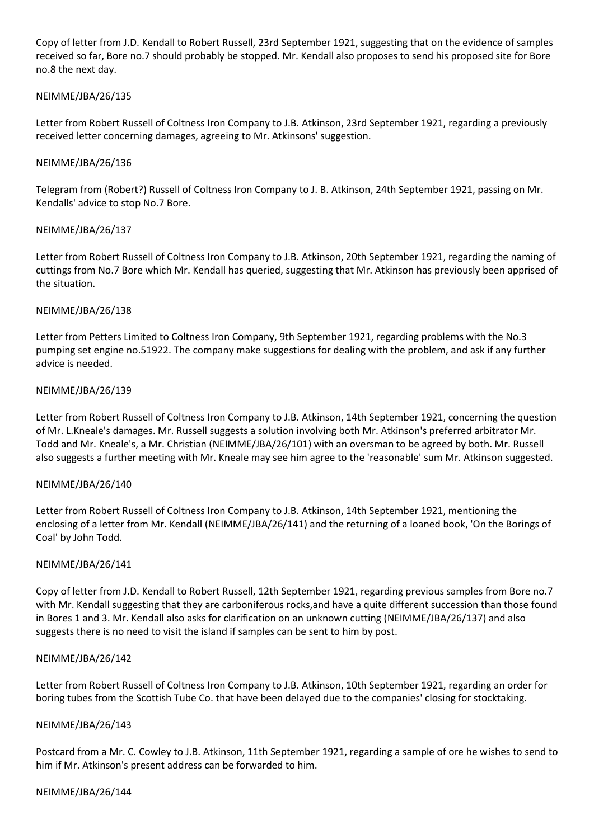Copy of letter from J.D. Kendall to Robert Russell, 23rd September 1921, suggesting that on the evidence of samples received so far, Bore no.7 should probably be stopped. Mr. Kendall also proposes to send his proposed site for Bore no.8 the next day.

## NEIMME/JBA/26/135

Letter from Robert Russell of Coltness Iron Company to J.B. Atkinson, 23rd September 1921, regarding a previously received letter concerning damages, agreeing to Mr. Atkinsons' suggestion.

## NEIMME/JBA/26/136

Telegram from (Robert?) Russell of Coltness Iron Company to J. B. Atkinson, 24th September 1921, passing on Mr. Kendalls' advice to stop No.7 Bore.

## NEIMME/JBA/26/137

Letter from Robert Russell of Coltness Iron Company to J.B. Atkinson, 20th September 1921, regarding the naming of cuttings from No.7 Bore which Mr. Kendall has queried, suggesting that Mr. Atkinson has previously been apprised of the situation.

## NEIMME/JBA/26/138

Letter from Petters Limited to Coltness Iron Company, 9th September 1921, regarding problems with the No.3 pumping set engine no.51922. The company make suggestions for dealing with the problem, and ask if any further advice is needed.

## NEIMME/JBA/26/139

Letter from Robert Russell of Coltness Iron Company to J.B. Atkinson, 14th September 1921, concerning the question of Mr. L.Kneale's damages. Mr. Russell suggests a solution involving both Mr. Atkinson's preferred arbitrator Mr. Todd and Mr. Kneale's, a Mr. Christian (NEIMME/JBA/26/101) with an oversman to be agreed by both. Mr. Russell also suggests a further meeting with Mr. Kneale may see him agree to the 'reasonable' sum Mr. Atkinson suggested.

### NEIMME/JBA/26/140

Letter from Robert Russell of Coltness Iron Company to J.B. Atkinson, 14th September 1921, mentioning the enclosing of a letter from Mr. Kendall (NEIMME/JBA/26/141) and the returning of a loaned book, 'On the Borings of Coal' by John Todd.

### NEIMME/JBA/26/141

Copy of letter from J.D. Kendall to Robert Russell, 12th September 1921, regarding previous samples from Bore no.7 with Mr. Kendall suggesting that they are carboniferous rocks,and have a quite different succession than those found in Bores 1 and 3. Mr. Kendall also asks for clarification on an unknown cutting (NEIMME/JBA/26/137) and also suggests there is no need to visit the island if samples can be sent to him by post.

### NEIMME/JBA/26/142

Letter from Robert Russell of Coltness Iron Company to J.B. Atkinson, 10th September 1921, regarding an order for boring tubes from the Scottish Tube Co. that have been delayed due to the companies' closing for stocktaking.

### NEIMME/JBA/26/143

Postcard from a Mr. C. Cowley to J.B. Atkinson, 11th September 1921, regarding a sample of ore he wishes to send to him if Mr. Atkinson's present address can be forwarded to him.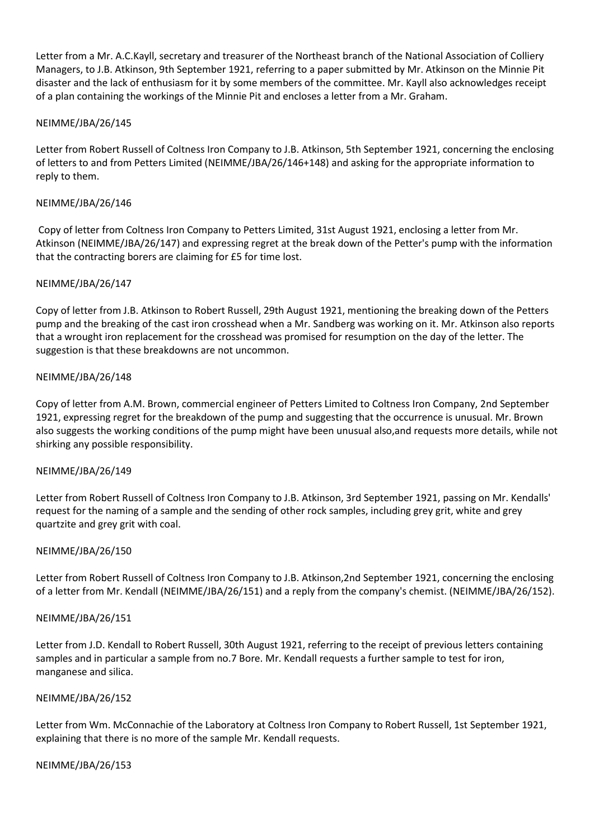Letter from a Mr. A.C.Kayll, secretary and treasurer of the Northeast branch of the National Association of Colliery Managers, to J.B. Atkinson, 9th September 1921, referring to a paper submitted by Mr. Atkinson on the Minnie Pit disaster and the lack of enthusiasm for it by some members of the committee. Mr. Kayll also acknowledges receipt of a plan containing the workings of the Minnie Pit and encloses a letter from a Mr. Graham.

## NEIMME/JBA/26/145

Letter from Robert Russell of Coltness Iron Company to J.B. Atkinson, 5th September 1921, concerning the enclosing of letters to and from Petters Limited (NEIMME/JBA/26/146+148) and asking for the appropriate information to reply to them.

## NEIMME/JBA/26/146

Copy of letter from Coltness Iron Company to Petters Limited, 31st August 1921, enclosing a letter from Mr. Atkinson (NEIMME/JBA/26/147) and expressing regret at the break down of the Petter's pump with the information that the contracting borers are claiming for £5 for time lost.

### NEIMME/JBA/26/147

Copy of letter from J.B. Atkinson to Robert Russell, 29th August 1921, mentioning the breaking down of the Petters pump and the breaking of the cast iron crosshead when a Mr. Sandberg was working on it. Mr. Atkinson also reports that a wrought iron replacement for the crosshead was promised for resumption on the day of the letter. The suggestion is that these breakdowns are not uncommon.

## NEIMME/JBA/26/148

Copy of letter from A.M. Brown, commercial engineer of Petters Limited to Coltness Iron Company, 2nd September 1921, expressing regret for the breakdown of the pump and suggesting that the occurrence is unusual. Mr. Brown also suggests the working conditions of the pump might have been unusual also,and requests more details, while not shirking any possible responsibility.

### NEIMME/JBA/26/149

Letter from Robert Russell of Coltness Iron Company to J.B. Atkinson, 3rd September 1921, passing on Mr. Kendalls' request for the naming of a sample and the sending of other rock samples, including grey grit, white and grey quartzite and grey grit with coal.

### NEIMME/JBA/26/150

Letter from Robert Russell of Coltness Iron Company to J.B. Atkinson,2nd September 1921, concerning the enclosing of a letter from Mr. Kendall (NEIMME/JBA/26/151) and a reply from the company's chemist. (NEIMME/JBA/26/152).

### NEIMME/JBA/26/151

Letter from J.D. Kendall to Robert Russell, 30th August 1921, referring to the receipt of previous letters containing samples and in particular a sample from no.7 Bore. Mr. Kendall requests a further sample to test for iron, manganese and silica.

### NEIMME/JBA/26/152

Letter from Wm. McConnachie of the Laboratory at Coltness Iron Company to Robert Russell, 1st September 1921, explaining that there is no more of the sample Mr. Kendall requests.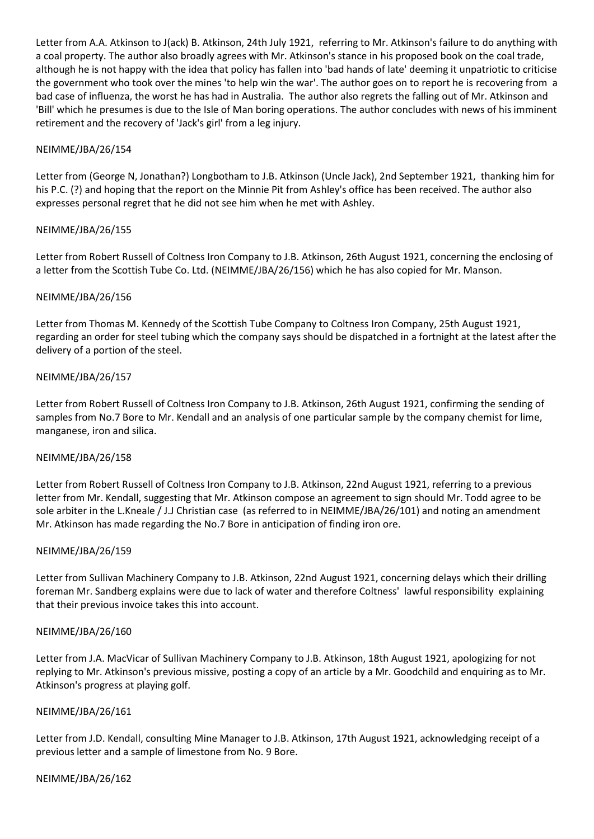Letter from A.A. Atkinson to J(ack) B. Atkinson, 24th July 1921, referring to Mr. Atkinson's failure to do anything with a coal property. The author also broadly agrees with Mr. Atkinson's stance in his proposed book on the coal trade, although he is not happy with the idea that policy has fallen into 'bad hands of late' deeming it unpatriotic to criticise the government who took over the mines 'to help win the war'. The author goes on to report he is recovering from a bad case of influenza, the worst he has had in Australia. The author also regrets the falling out of Mr. Atkinson and 'Bill' which he presumes is due to the Isle of Man boring operations. The author concludes with news of his imminent retirement and the recovery of 'Jack's girl' from a leg injury.

### NEIMME/JBA/26/154

Letter from (George N, Jonathan?) Longbotham to J.B. Atkinson (Uncle Jack), 2nd September 1921, thanking him for his P.C. (?) and hoping that the report on the Minnie Pit from Ashley's office has been received. The author also expresses personal regret that he did not see him when he met with Ashley.

### NEIMME/JBA/26/155

Letter from Robert Russell of Coltness Iron Company to J.B. Atkinson, 26th August 1921, concerning the enclosing of a letter from the Scottish Tube Co. Ltd. (NEIMME/JBA/26/156) which he has also copied for Mr. Manson.

## NEIMME/JBA/26/156

Letter from Thomas M. Kennedy of the Scottish Tube Company to Coltness Iron Company, 25th August 1921, regarding an order for steel tubing which the company says should be dispatched in a fortnight at the latest after the delivery of a portion of the steel.

## NEIMME/JBA/26/157

Letter from Robert Russell of Coltness Iron Company to J.B. Atkinson, 26th August 1921, confirming the sending of samples from No.7 Bore to Mr. Kendall and an analysis of one particular sample by the company chemist for lime, manganese, iron and silica.

### NEIMME/JBA/26/158

Letter from Robert Russell of Coltness Iron Company to J.B. Atkinson, 22nd August 1921, referring to a previous letter from Mr. Kendall, suggesting that Mr. Atkinson compose an agreement to sign should Mr. Todd agree to be sole arbiter in the L.Kneale / J.J Christian case (as referred to in NEIMME/JBA/26/101) and noting an amendment Mr. Atkinson has made regarding the No.7 Bore in anticipation of finding iron ore.

### NEIMME/JBA/26/159

Letter from Sullivan Machinery Company to J.B. Atkinson, 22nd August 1921, concerning delays which their drilling foreman Mr. Sandberg explains were due to lack of water and therefore Coltness' lawful responsibility explaining that their previous invoice takes this into account.

### NEIMME/JBA/26/160

Letter from J.A. MacVicar of Sullivan Machinery Company to J.B. Atkinson, 18th August 1921, apologizing for not replying to Mr. Atkinson's previous missive, posting a copy of an article by a Mr. Goodchild and enquiring as to Mr. Atkinson's progress at playing golf.

### NEIMME/JBA/26/161

Letter from J.D. Kendall, consulting Mine Manager to J.B. Atkinson, 17th August 1921, acknowledging receipt of a previous letter and a sample of limestone from No. 9 Bore.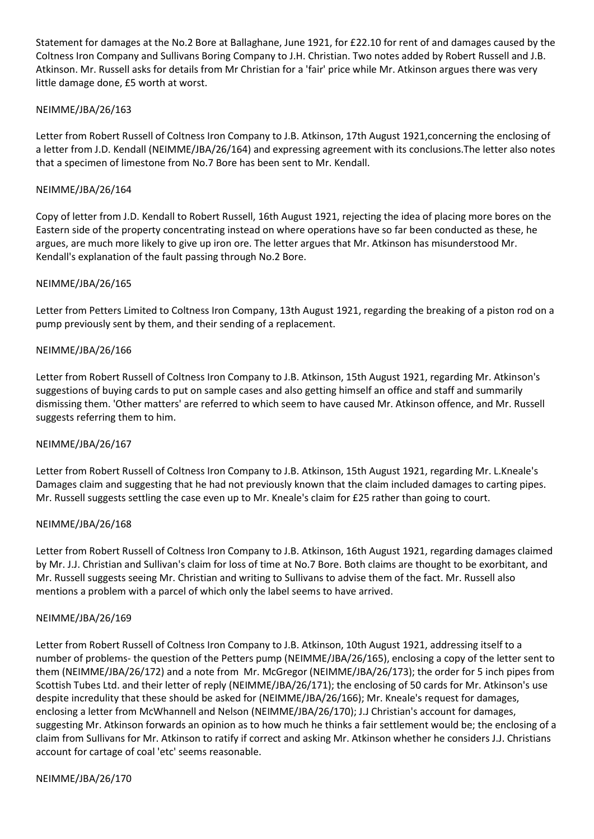Statement for damages at the No.2 Bore at Ballaghane, June 1921, for £22.10 for rent of and damages caused by the Coltness Iron Company and Sullivans Boring Company to J.H. Christian. Two notes added by Robert Russell and J.B. Atkinson. Mr. Russell asks for details from Mr Christian for a 'fair' price while Mr. Atkinson argues there was very little damage done, £5 worth at worst.

# NEIMME/JBA/26/163

Letter from Robert Russell of Coltness Iron Company to J.B. Atkinson, 17th August 1921,concerning the enclosing of a letter from J.D. Kendall (NEIMME/JBA/26/164) and expressing agreement with its conclusions.The letter also notes that a specimen of limestone from No.7 Bore has been sent to Mr. Kendall.

### NEIMME/JBA/26/164

Copy of letter from J.D. Kendall to Robert Russell, 16th August 1921, rejecting the idea of placing more bores on the Eastern side of the property concentrating instead on where operations have so far been conducted as these, he argues, are much more likely to give up iron ore. The letter argues that Mr. Atkinson has misunderstood Mr. Kendall's explanation of the fault passing through No.2 Bore.

## NEIMME/JBA/26/165

Letter from Petters Limited to Coltness Iron Company, 13th August 1921, regarding the breaking of a piston rod on a pump previously sent by them, and their sending of a replacement.

## NEIMME/JBA/26/166

Letter from Robert Russell of Coltness Iron Company to J.B. Atkinson, 15th August 1921, regarding Mr. Atkinson's suggestions of buying cards to put on sample cases and also getting himself an office and staff and summarily dismissing them. 'Other matters' are referred to which seem to have caused Mr. Atkinson offence, and Mr. Russell suggests referring them to him.

### NEIMME/JBA/26/167

Letter from Robert Russell of Coltness Iron Company to J.B. Atkinson, 15th August 1921, regarding Mr. L.Kneale's Damages claim and suggesting that he had not previously known that the claim included damages to carting pipes. Mr. Russell suggests settling the case even up to Mr. Kneale's claim for £25 rather than going to court.

### NEIMME/JBA/26/168

Letter from Robert Russell of Coltness Iron Company to J.B. Atkinson, 16th August 1921, regarding damages claimed by Mr. J.J. Christian and Sullivan's claim for loss of time at No.7 Bore. Both claims are thought to be exorbitant, and Mr. Russell suggests seeing Mr. Christian and writing to Sullivans to advise them of the fact. Mr. Russell also mentions a problem with a parcel of which only the label seems to have arrived.

### NEIMME/JBA/26/169

Letter from Robert Russell of Coltness Iron Company to J.B. Atkinson, 10th August 1921, addressing itself to a number of problems- the question of the Petters pump (NEIMME/JBA/26/165), enclosing a copy of the letter sent to them (NEIMME/JBA/26/172) and a note from Mr. McGregor (NEIMME/JBA/26/173); the order for 5 inch pipes from Scottish Tubes Ltd. and their letter of reply (NEIMME/JBA/26/171); the enclosing of 50 cards for Mr. Atkinson's use despite incredulity that these should be asked for (NEIMME/JBA/26/166); Mr. Kneale's request for damages, enclosing a letter from McWhannell and Nelson (NEIMME/JBA/26/170); J.J Christian's account for damages, suggesting Mr. Atkinson forwards an opinion as to how much he thinks a fair settlement would be; the enclosing of a claim from Sullivans for Mr. Atkinson to ratify if correct and asking Mr. Atkinson whether he considers J.J. Christians account for cartage of coal 'etc' seems reasonable.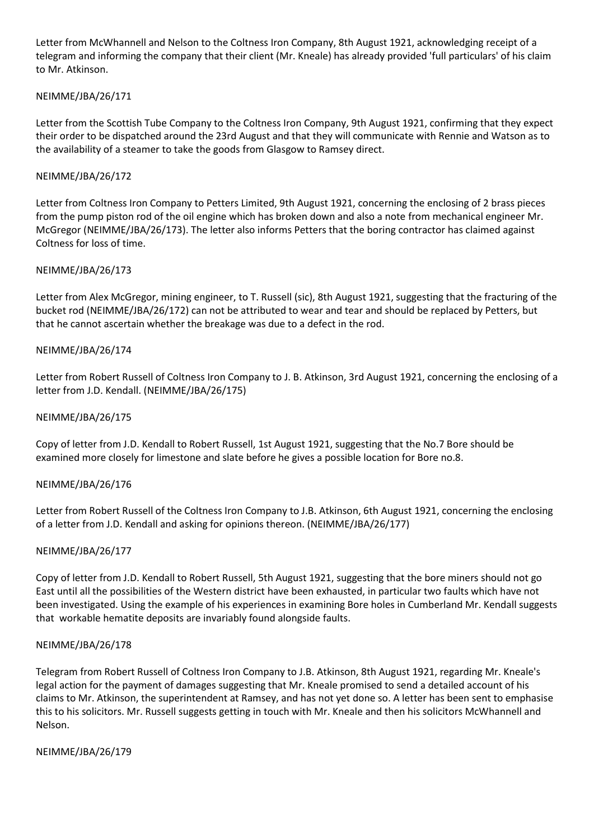Letter from McWhannell and Nelson to the Coltness Iron Company, 8th August 1921, acknowledging receipt of a telegram and informing the company that their client (Mr. Kneale) has already provided 'full particulars' of his claim to Mr. Atkinson.

# NEIMME/JBA/26/171

Letter from the Scottish Tube Company to the Coltness Iron Company, 9th August 1921, confirming that they expect their order to be dispatched around the 23rd August and that they will communicate with Rennie and Watson as to the availability of a steamer to take the goods from Glasgow to Ramsey direct.

### NEIMME/JBA/26/172

Letter from Coltness Iron Company to Petters Limited, 9th August 1921, concerning the enclosing of 2 brass pieces from the pump piston rod of the oil engine which has broken down and also a note from mechanical engineer Mr. McGregor (NEIMME/JBA/26/173). The letter also informs Petters that the boring contractor has claimed against Coltness for loss of time.

### NEIMME/JBA/26/173

Letter from Alex McGregor, mining engineer, to T. Russell (sic), 8th August 1921, suggesting that the fracturing of the bucket rod (NEIMME/JBA/26/172) can not be attributed to wear and tear and should be replaced by Petters, but that he cannot ascertain whether the breakage was due to a defect in the rod.

## NEIMME/JBA/26/174

Letter from Robert Russell of Coltness Iron Company to J. B. Atkinson, 3rd August 1921, concerning the enclosing of a letter from J.D. Kendall. (NEIMME/JBA/26/175)

### NEIMME/JBA/26/175

Copy of letter from J.D. Kendall to Robert Russell, 1st August 1921, suggesting that the No.7 Bore should be examined more closely for limestone and slate before he gives a possible location for Bore no.8.

### NEIMME/JBA/26/176

Letter from Robert Russell of the Coltness Iron Company to J.B. Atkinson, 6th August 1921, concerning the enclosing of a letter from J.D. Kendall and asking for opinions thereon. (NEIMME/JBA/26/177)

### NEIMME/JBA/26/177

Copy of letter from J.D. Kendall to Robert Russell, 5th August 1921, suggesting that the bore miners should not go East until all the possibilities of the Western district have been exhausted, in particular two faults which have not been investigated. Using the example of his experiences in examining Bore holes in Cumberland Mr. Kendall suggests that workable hematite deposits are invariably found alongside faults.

### NEIMME/JBA/26/178

Telegram from Robert Russell of Coltness Iron Company to J.B. Atkinson, 8th August 1921, regarding Mr. Kneale's legal action for the payment of damages suggesting that Mr. Kneale promised to send a detailed account of his claims to Mr. Atkinson, the superintendent at Ramsey, and has not yet done so. A letter has been sent to emphasise this to his solicitors. Mr. Russell suggests getting in touch with Mr. Kneale and then his solicitors McWhannell and Nelson.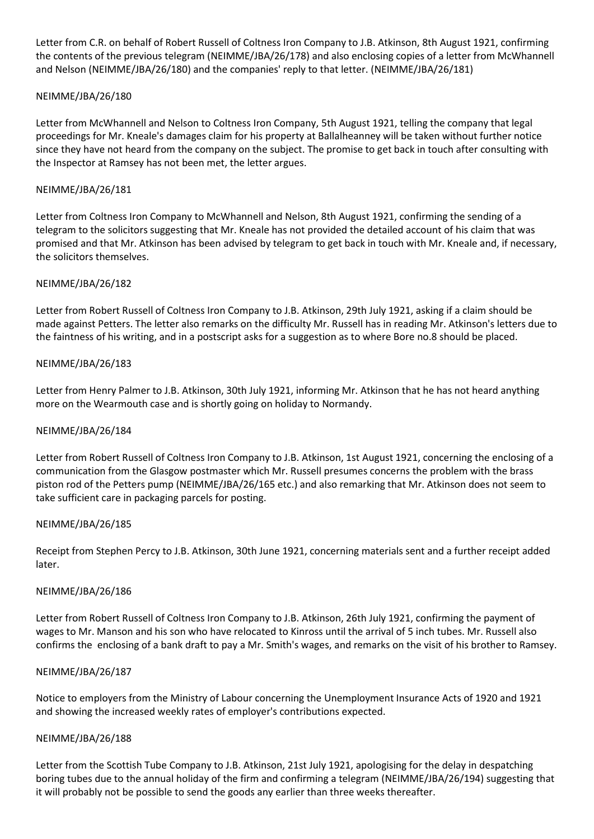Letter from C.R. on behalf of Robert Russell of Coltness Iron Company to J.B. Atkinson, 8th August 1921, confirming the contents of the previous telegram (NEIMME/JBA/26/178) and also enclosing copies of a letter from McWhannell and Nelson (NEIMME/JBA/26/180) and the companies' reply to that letter. (NEIMME/JBA/26/181)

## NEIMME/JBA/26/180

Letter from McWhannell and Nelson to Coltness Iron Company, 5th August 1921, telling the company that legal proceedings for Mr. Kneale's damages claim for his property at Ballalheanney will be taken without further notice since they have not heard from the company on the subject. The promise to get back in touch after consulting with the Inspector at Ramsey has not been met, the letter argues.

### NEIMME/JBA/26/181

Letter from Coltness Iron Company to McWhannell and Nelson, 8th August 1921, confirming the sending of a telegram to the solicitors suggesting that Mr. Kneale has not provided the detailed account of his claim that was promised and that Mr. Atkinson has been advised by telegram to get back in touch with Mr. Kneale and, if necessary, the solicitors themselves.

## NEIMME/JBA/26/182

Letter from Robert Russell of Coltness Iron Company to J.B. Atkinson, 29th July 1921, asking if a claim should be made against Petters. The letter also remarks on the difficulty Mr. Russell has in reading Mr. Atkinson's letters due to the faintness of his writing, and in a postscript asks for a suggestion as to where Bore no.8 should be placed.

## NEIMME/JBA/26/183

Letter from Henry Palmer to J.B. Atkinson, 30th July 1921, informing Mr. Atkinson that he has not heard anything more on the Wearmouth case and is shortly going on holiday to Normandy.

### NEIMME/JBA/26/184

Letter from Robert Russell of Coltness Iron Company to J.B. Atkinson, 1st August 1921, concerning the enclosing of a communication from the Glasgow postmaster which Mr. Russell presumes concerns the problem with the brass piston rod of the Petters pump (NEIMME/JBA/26/165 etc.) and also remarking that Mr. Atkinson does not seem to take sufficient care in packaging parcels for posting.

### NEIMME/JBA/26/185

Receipt from Stephen Percy to J.B. Atkinson, 30th June 1921, concerning materials sent and a further receipt added later.

### NEIMME/JBA/26/186

Letter from Robert Russell of Coltness Iron Company to J.B. Atkinson, 26th July 1921, confirming the payment of wages to Mr. Manson and his son who have relocated to Kinross until the arrival of 5 inch tubes. Mr. Russell also confirms the enclosing of a bank draft to pay a Mr. Smith's wages, and remarks on the visit of his brother to Ramsey.

### NEIMME/JBA/26/187

Notice to employers from the Ministry of Labour concerning the Unemployment Insurance Acts of 1920 and 1921 and showing the increased weekly rates of employer's contributions expected.

### NEIMME/JBA/26/188

Letter from the Scottish Tube Company to J.B. Atkinson, 21st July 1921, apologising for the delay in despatching boring tubes due to the annual holiday of the firm and confirming a telegram (NEIMME/JBA/26/194) suggesting that it will probably not be possible to send the goods any earlier than three weeks thereafter.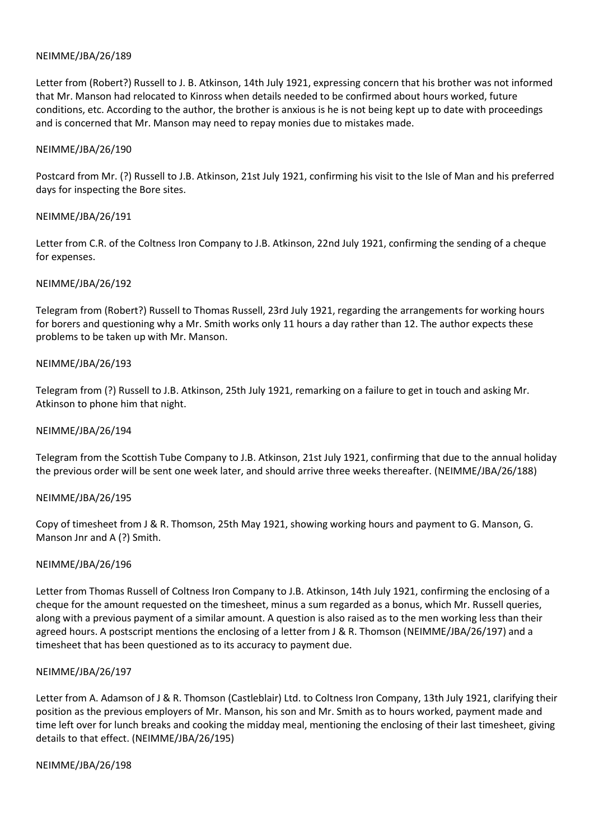Letter from (Robert?) Russell to J. B. Atkinson, 14th July 1921, expressing concern that his brother was not informed that Mr. Manson had relocated to Kinross when details needed to be confirmed about hours worked, future conditions, etc. According to the author, the brother is anxious is he is not being kept up to date with proceedings and is concerned that Mr. Manson may need to repay monies due to mistakes made.

#### NEIMME/JBA/26/190

Postcard from Mr. (?) Russell to J.B. Atkinson, 21st July 1921, confirming his visit to the Isle of Man and his preferred days for inspecting the Bore sites.

### NEIMME/JBA/26/191

Letter from C.R. of the Coltness Iron Company to J.B. Atkinson, 22nd July 1921, confirming the sending of a cheque for expenses.

#### NEIMME/JBA/26/192

Telegram from (Robert?) Russell to Thomas Russell, 23rd July 1921, regarding the arrangements for working hours for borers and questioning why a Mr. Smith works only 11 hours a day rather than 12. The author expects these problems to be taken up with Mr. Manson.

#### NEIMME/JBA/26/193

Telegram from (?) Russell to J.B. Atkinson, 25th July 1921, remarking on a failure to get in touch and asking Mr. Atkinson to phone him that night.

#### NEIMME/JBA/26/194

Telegram from the Scottish Tube Company to J.B. Atkinson, 21st July 1921, confirming that due to the annual holiday the previous order will be sent one week later, and should arrive three weeks thereafter. (NEIMME/JBA/26/188)

### NEIMME/JBA/26/195

Copy of timesheet from J & R. Thomson, 25th May 1921, showing working hours and payment to G. Manson, G. Manson Jnr and A (?) Smith.

### NEIMME/JBA/26/196

Letter from Thomas Russell of Coltness Iron Company to J.B. Atkinson, 14th July 1921, confirming the enclosing of a cheque for the amount requested on the timesheet, minus a sum regarded as a bonus, which Mr. Russell queries, along with a previous payment of a similar amount. A question is also raised as to the men working less than their agreed hours. A postscript mentions the enclosing of a letter from J & R. Thomson (NEIMME/JBA/26/197) and a timesheet that has been questioned as to its accuracy to payment due.

#### NEIMME/JBA/26/197

Letter from A. Adamson of J & R. Thomson (Castleblair) Ltd. to Coltness Iron Company, 13th July 1921, clarifying their position as the previous employers of Mr. Manson, his son and Mr. Smith as to hours worked, payment made and time left over for lunch breaks and cooking the midday meal, mentioning the enclosing of their last timesheet, giving details to that effect. (NEIMME/JBA/26/195)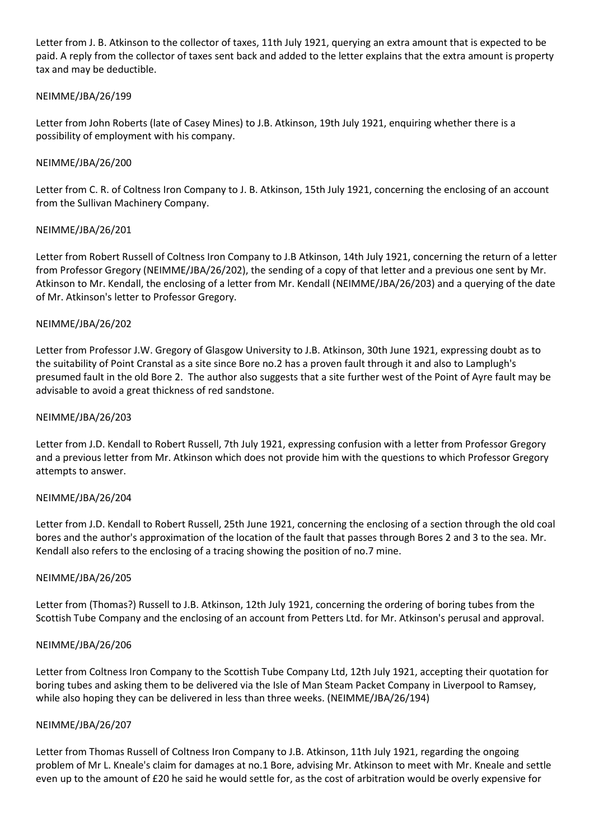Letter from J. B. Atkinson to the collector of taxes, 11th July 1921, querying an extra amount that is expected to be paid. A reply from the collector of taxes sent back and added to the letter explains that the extra amount is property tax and may be deductible.

## NEIMME/JBA/26/199

Letter from John Roberts (late of Casey Mines) to J.B. Atkinson, 19th July 1921, enquiring whether there is a possibility of employment with his company.

## NEIMME/JBA/26/200

Letter from C. R. of Coltness Iron Company to J. B. Atkinson, 15th July 1921, concerning the enclosing of an account from the Sullivan Machinery Company.

## NEIMME/JBA/26/201

Letter from Robert Russell of Coltness Iron Company to J.B Atkinson, 14th July 1921, concerning the return of a letter from Professor Gregory (NEIMME/JBA/26/202), the sending of a copy of that letter and a previous one sent by Mr. Atkinson to Mr. Kendall, the enclosing of a letter from Mr. Kendall (NEIMME/JBA/26/203) and a querying of the date of Mr. Atkinson's letter to Professor Gregory.

### NEIMME/JBA/26/202

Letter from Professor J.W. Gregory of Glasgow University to J.B. Atkinson, 30th June 1921, expressing doubt as to the suitability of Point Cranstal as a site since Bore no.2 has a proven fault through it and also to Lamplugh's presumed fault in the old Bore 2. The author also suggests that a site further west of the Point of Ayre fault may be advisable to avoid a great thickness of red sandstone.

#### NEIMME/JBA/26/203

Letter from J.D. Kendall to Robert Russell, 7th July 1921, expressing confusion with a letter from Professor Gregory and a previous letter from Mr. Atkinson which does not provide him with the questions to which Professor Gregory attempts to answer.

### NEIMME/JBA/26/204

Letter from J.D. Kendall to Robert Russell, 25th June 1921, concerning the enclosing of a section through the old coal bores and the author's approximation of the location of the fault that passes through Bores 2 and 3 to the sea. Mr. Kendall also refers to the enclosing of a tracing showing the position of no.7 mine.

### NEIMME/JBA/26/205

Letter from (Thomas?) Russell to J.B. Atkinson, 12th July 1921, concerning the ordering of boring tubes from the Scottish Tube Company and the enclosing of an account from Petters Ltd. for Mr. Atkinson's perusal and approval.

### NEIMME/JBA/26/206

Letter from Coltness Iron Company to the Scottish Tube Company Ltd, 12th July 1921, accepting their quotation for boring tubes and asking them to be delivered via the Isle of Man Steam Packet Company in Liverpool to Ramsey, while also hoping they can be delivered in less than three weeks. (NEIMME/JBA/26/194)

### NEIMME/JBA/26/207

Letter from Thomas Russell of Coltness Iron Company to J.B. Atkinson, 11th July 1921, regarding the ongoing problem of Mr L. Kneale's claim for damages at no.1 Bore, advising Mr. Atkinson to meet with Mr. Kneale and settle even up to the amount of £20 he said he would settle for, as the cost of arbitration would be overly expensive for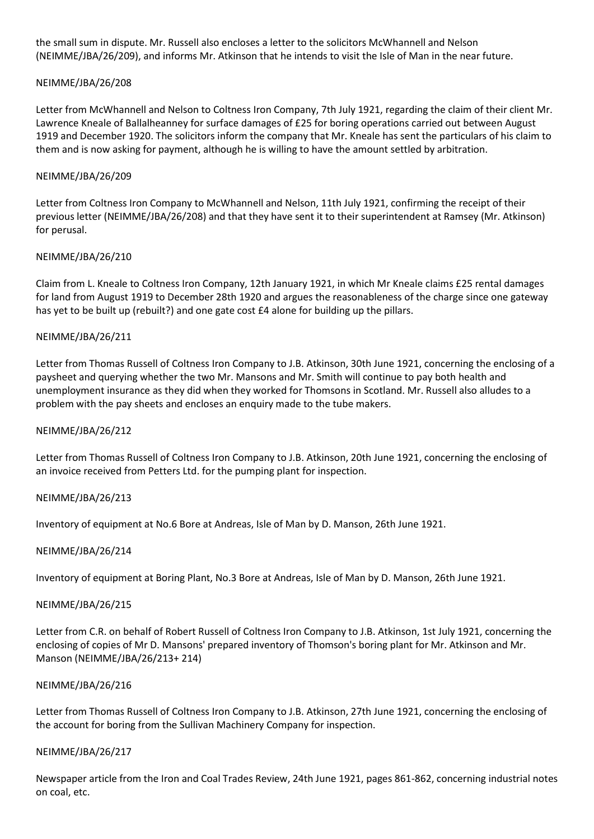the small sum in dispute. Mr. Russell also encloses a letter to the solicitors McWhannell and Nelson (NEIMME/JBA/26/209), and informs Mr. Atkinson that he intends to visit the Isle of Man in the near future.

## NEIMME/JBA/26/208

Letter from McWhannell and Nelson to Coltness Iron Company, 7th July 1921, regarding the claim of their client Mr. Lawrence Kneale of Ballalheanney for surface damages of £25 for boring operations carried out between August 1919 and December 1920. The solicitors inform the company that Mr. Kneale has sent the particulars of his claim to them and is now asking for payment, although he is willing to have the amount settled by arbitration.

### NEIMME/JBA/26/209

Letter from Coltness Iron Company to McWhannell and Nelson, 11th July 1921, confirming the receipt of their previous letter (NEIMME/JBA/26/208) and that they have sent it to their superintendent at Ramsey (Mr. Atkinson) for perusal.

## NEIMME/JBA/26/210

Claim from L. Kneale to Coltness Iron Company, 12th January 1921, in which Mr Kneale claims £25 rental damages for land from August 1919 to December 28th 1920 and argues the reasonableness of the charge since one gateway has yet to be built up (rebuilt?) and one gate cost £4 alone for building up the pillars.

## NEIMME/JBA/26/211

Letter from Thomas Russell of Coltness Iron Company to J.B. Atkinson, 30th June 1921, concerning the enclosing of a paysheet and querying whether the two Mr. Mansons and Mr. Smith will continue to pay both health and unemployment insurance as they did when they worked for Thomsons in Scotland. Mr. Russell also alludes to a problem with the pay sheets and encloses an enquiry made to the tube makers.

### NEIMME/JBA/26/212

Letter from Thomas Russell of Coltness Iron Company to J.B. Atkinson, 20th June 1921, concerning the enclosing of an invoice received from Petters Ltd. for the pumping plant for inspection.

### NEIMME/JBA/26/213

Inventory of equipment at No.6 Bore at Andreas, Isle of Man by D. Manson, 26th June 1921.

### NEIMME/JBA/26/214

Inventory of equipment at Boring Plant, No.3 Bore at Andreas, Isle of Man by D. Manson, 26th June 1921.

### NEIMME/JBA/26/215

Letter from C.R. on behalf of Robert Russell of Coltness Iron Company to J.B. Atkinson, 1st July 1921, concerning the enclosing of copies of Mr D. Mansons' prepared inventory of Thomson's boring plant for Mr. Atkinson and Mr. Manson (NEIMME/JBA/26/213+ 214)

### NEIMME/JBA/26/216

Letter from Thomas Russell of Coltness Iron Company to J.B. Atkinson, 27th June 1921, concerning the enclosing of the account for boring from the Sullivan Machinery Company for inspection.

### NEIMME/JBA/26/217

Newspaper article from the Iron and Coal Trades Review, 24th June 1921, pages 861-862, concerning industrial notes on coal, etc.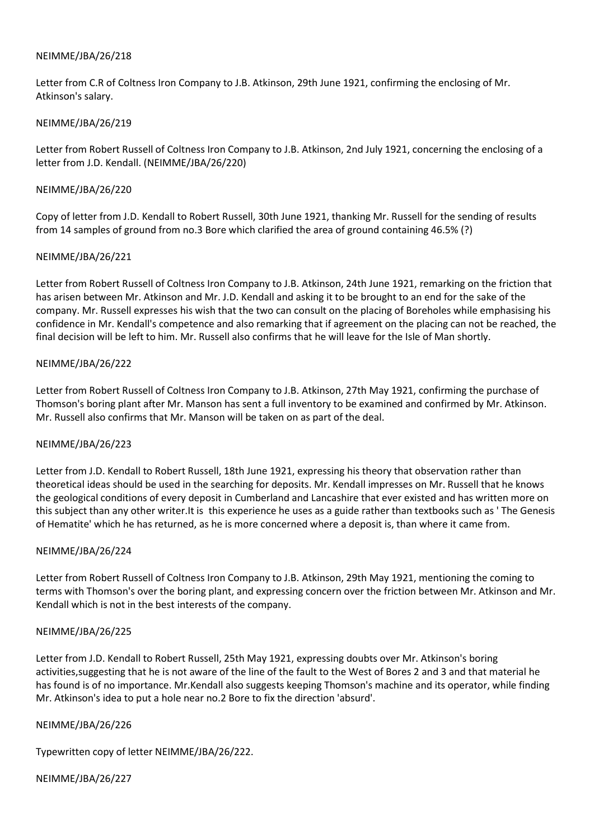Letter from C.R of Coltness Iron Company to J.B. Atkinson, 29th June 1921, confirming the enclosing of Mr. Atkinson's salary.

### NEIMME/JBA/26/219

Letter from Robert Russell of Coltness Iron Company to J.B. Atkinson, 2nd July 1921, concerning the enclosing of a letter from J.D. Kendall. (NEIMME/JBA/26/220)

### NEIMME/JBA/26/220

Copy of letter from J.D. Kendall to Robert Russell, 30th June 1921, thanking Mr. Russell for the sending of results from 14 samples of ground from no.3 Bore which clarified the area of ground containing 46.5% (?)

## NEIMME/JBA/26/221

Letter from Robert Russell of Coltness Iron Company to J.B. Atkinson, 24th June 1921, remarking on the friction that has arisen between Mr. Atkinson and Mr. J.D. Kendall and asking it to be brought to an end for the sake of the company. Mr. Russell expresses his wish that the two can consult on the placing of Boreholes while emphasising his confidence in Mr. Kendall's competence and also remarking that if agreement on the placing can not be reached, the final decision will be left to him. Mr. Russell also confirms that he will leave for the Isle of Man shortly.

## NEIMME/JBA/26/222

Letter from Robert Russell of Coltness Iron Company to J.B. Atkinson, 27th May 1921, confirming the purchase of Thomson's boring plant after Mr. Manson has sent a full inventory to be examined and confirmed by Mr. Atkinson. Mr. Russell also confirms that Mr. Manson will be taken on as part of the deal.

# NEIMME/JBA/26/223

Letter from J.D. Kendall to Robert Russell, 18th June 1921, expressing his theory that observation rather than theoretical ideas should be used in the searching for deposits. Mr. Kendall impresses on Mr. Russell that he knows the geological conditions of every deposit in Cumberland and Lancashire that ever existed and has written more on this subject than any other writer.It is this experience he uses as a guide rather than textbooks such as ' The Genesis of Hematite' which he has returned, as he is more concerned where a deposit is, than where it came from.

### NEIMME/JBA/26/224

Letter from Robert Russell of Coltness Iron Company to J.B. Atkinson, 29th May 1921, mentioning the coming to terms with Thomson's over the boring plant, and expressing concern over the friction between Mr. Atkinson and Mr. Kendall which is not in the best interests of the company.

### NEIMME/JBA/26/225

Letter from J.D. Kendall to Robert Russell, 25th May 1921, expressing doubts over Mr. Atkinson's boring activities,suggesting that he is not aware of the line of the fault to the West of Bores 2 and 3 and that material he has found is of no importance. Mr.Kendall also suggests keeping Thomson's machine and its operator, while finding Mr. Atkinson's idea to put a hole near no.2 Bore to fix the direction 'absurd'.

### NEIMME/JBA/26/226

Typewritten copy of letter NEIMME/JBA/26/222.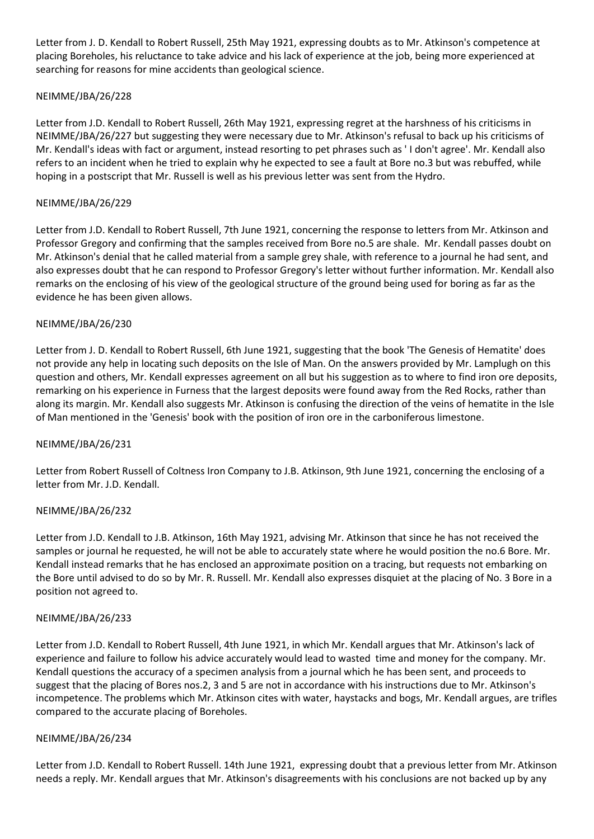Letter from J. D. Kendall to Robert Russell, 25th May 1921, expressing doubts as to Mr. Atkinson's competence at placing Boreholes, his reluctance to take advice and his lack of experience at the job, being more experienced at searching for reasons for mine accidents than geological science.

# NEIMME/JBA/26/228

Letter from J.D. Kendall to Robert Russell, 26th May 1921, expressing regret at the harshness of his criticisms in NEIMME/JBA/26/227 but suggesting they were necessary due to Mr. Atkinson's refusal to back up his criticisms of Mr. Kendall's ideas with fact or argument, instead resorting to pet phrases such as ' I don't agree'. Mr. Kendall also refers to an incident when he tried to explain why he expected to see a fault at Bore no.3 but was rebuffed, while hoping in a postscript that Mr. Russell is well as his previous letter was sent from the Hydro.

# NEIMME/JBA/26/229

Letter from J.D. Kendall to Robert Russell, 7th June 1921, concerning the response to letters from Mr. Atkinson and Professor Gregory and confirming that the samples received from Bore no.5 are shale. Mr. Kendall passes doubt on Mr. Atkinson's denial that he called material from a sample grey shale, with reference to a journal he had sent, and also expresses doubt that he can respond to Professor Gregory's letter without further information. Mr. Kendall also remarks on the enclosing of his view of the geological structure of the ground being used for boring as far as the evidence he has been given allows.

# NEIMME/JBA/26/230

Letter from J. D. Kendall to Robert Russell, 6th June 1921, suggesting that the book 'The Genesis of Hematite' does not provide any help in locating such deposits on the Isle of Man. On the answers provided by Mr. Lamplugh on this question and others, Mr. Kendall expresses agreement on all but his suggestion as to where to find iron ore deposits, remarking on his experience in Furness that the largest deposits were found away from the Red Rocks, rather than along its margin. Mr. Kendall also suggests Mr. Atkinson is confusing the direction of the veins of hematite in the Isle of Man mentioned in the 'Genesis' book with the position of iron ore in the carboniferous limestone.

# NEIMME/JBA/26/231

Letter from Robert Russell of Coltness Iron Company to J.B. Atkinson, 9th June 1921, concerning the enclosing of a letter from Mr. J.D. Kendall.

# NEIMME/JBA/26/232

Letter from J.D. Kendall to J.B. Atkinson, 16th May 1921, advising Mr. Atkinson that since he has not received the samples or journal he requested, he will not be able to accurately state where he would position the no.6 Bore. Mr. Kendall instead remarks that he has enclosed an approximate position on a tracing, but requests not embarking on the Bore until advised to do so by Mr. R. Russell. Mr. Kendall also expresses disquiet at the placing of No. 3 Bore in a position not agreed to.

# NEIMME/JBA/26/233

Letter from J.D. Kendall to Robert Russell, 4th June 1921, in which Mr. Kendall argues that Mr. Atkinson's lack of experience and failure to follow his advice accurately would lead to wasted time and money for the company. Mr. Kendall questions the accuracy of a specimen analysis from a journal which he has been sent, and proceeds to suggest that the placing of Bores nos.2, 3 and 5 are not in accordance with his instructions due to Mr. Atkinson's incompetence. The problems which Mr. Atkinson cites with water, haystacks and bogs, Mr. Kendall argues, are trifles compared to the accurate placing of Boreholes.

# NEIMME/JBA/26/234

Letter from J.D. Kendall to Robert Russell. 14th June 1921, expressing doubt that a previous letter from Mr. Atkinson needs a reply. Mr. Kendall argues that Mr. Atkinson's disagreements with his conclusions are not backed up by any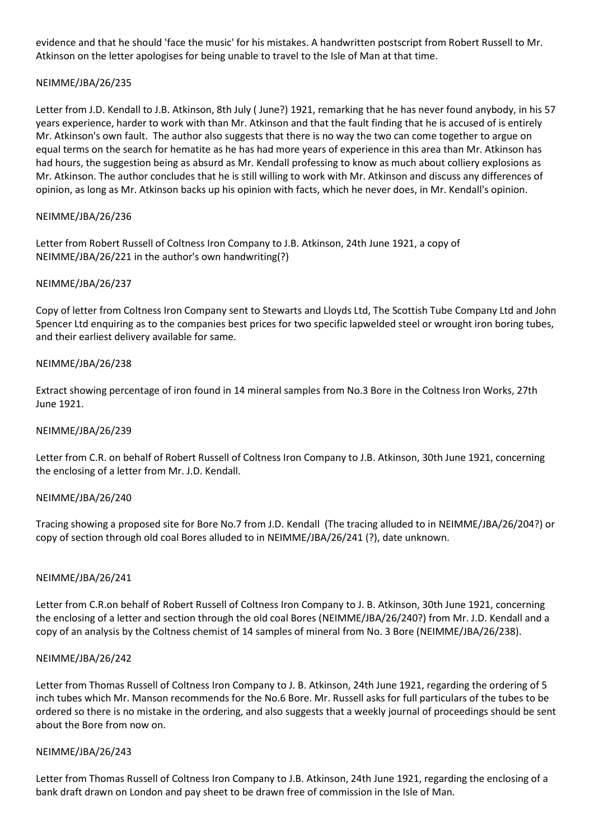evidence and that he should 'face the music' for his mistakes. A handwritten postscript from Robert Russell to Mr. Atkinson on the letter apologises for being unable to travel to the Isle of Man at that time.

# NEIMME/JBA/26/235

Letter from J.D. Kendall to J.B. Atkinson, 8th July ( June?) 1921, remarking that he has never found anybody, in his 57 years experience, harder to work with than Mr. Atkinson and that the fault finding that he is accused of is entirely Mr. Atkinson's own fault. The author also suggests that there is no way the two can come together to argue on equal terms on the search for hematite as he has had more years of experience in this area than Mr. Atkinson has had hours, the suggestion being as absurd as Mr. Kendall professing to know as much about colliery explosions as Mr. Atkinson. The author concludes that he is still willing to work with Mr. Atkinson and discuss any differences of opinion, as long as Mr. Atkinson backs up his opinion with facts, which he never does, in Mr. Kendall's opinion.

## NEIMME/JBA/26/236

Letter from Robert Russell of Coltness Iron Company to J.B. Atkinson, 24th June 1921, a copy of NEIMME/JBA/26/221 in the author's own handwriting(?)

### NEIMME/JBA/26/237

Copy of letter from Coltness Iron Company sent to Stewarts and Lloyds Ltd, The Scottish Tube Company Ltd and John Spencer Ltd enquiring as to the companies best prices for two specific lapwelded steel or wrought iron boring tubes, and their earliest delivery available for same.

## NEIMME/JBA/26/238

Extract showing percentage of iron found in 14 mineral samples from No.3 Bore in the Coltness Iron Works, 27th June 1921.

### NEIMME/JBA/26/239

Letter from C.R. on behalf of Robert Russell of Coltness Iron Company to J.B. Atkinson, 30th June 1921, concerning the enclosing of a letter from Mr. J.D. Kendall.

### NEIMME/JBA/26/240

Tracing showing a proposed site for Bore No.7 from J.D. Kendall (The tracing alluded to in NEIMME/JBA/26/204?) or copy of section through old coal Bores alluded to in NEIMME/JBA/26/241 (?), date unknown.

### NEIMME/JBA/26/241

Letter from C.R.on behalf of Robert Russell of Coltness Iron Company to J. B. Atkinson, 30th June 1921, concerning the enclosing of a letter and section through the old coal Bores (NEIMME/JBA/26/240?) from Mr. J.D. Kendall and a copy of an analysis by the Coltness chemist of 14 samples of mineral from No. 3 Bore (NEIMME/JBA/26/238).

### NEIMME/JBA/26/242

Letter from Thomas Russell of Coltness Iron Company to J. B. Atkinson, 24th June 1921, regarding the ordering of 5 inch tubes which Mr. Manson recommends for the No.6 Bore. Mr. Russell asks for full particulars of the tubes to be ordered so there is no mistake in the ordering, and also suggests that a weekly journal of proceedings should be sent about the Bore from now on.

### NEIMME/JBA/26/243

Letter from Thomas Russell of Coltness Iron Company to J.B. Atkinson, 24th June 1921, regarding the enclosing of a bank draft drawn on London and pay sheet to be drawn free of commission in the Isle of Man.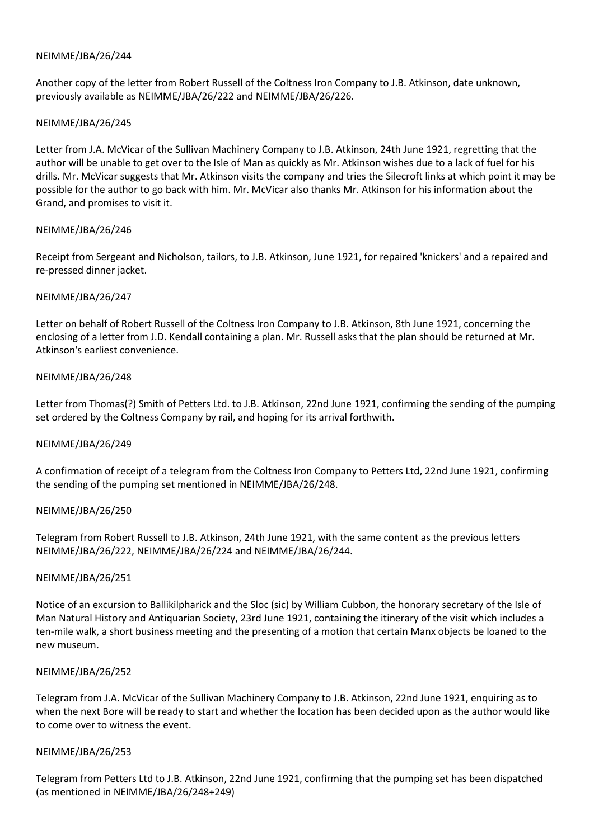Another copy of the letter from Robert Russell of the Coltness Iron Company to J.B. Atkinson, date unknown, previously available as NEIMME/JBA/26/222 and NEIMME/JBA/26/226.

### NEIMME/JBA/26/245

Letter from J.A. McVicar of the Sullivan Machinery Company to J.B. Atkinson, 24th June 1921, regretting that the author will be unable to get over to the Isle of Man as quickly as Mr. Atkinson wishes due to a lack of fuel for his drills. Mr. McVicar suggests that Mr. Atkinson visits the company and tries the Silecroft links at which point it may be possible for the author to go back with him. Mr. McVicar also thanks Mr. Atkinson for his information about the Grand, and promises to visit it.

### NEIMME/JBA/26/246

Receipt from Sergeant and Nicholson, tailors, to J.B. Atkinson, June 1921, for repaired 'knickers' and a repaired and re-pressed dinner jacket.

## NEIMME/JBA/26/247

Letter on behalf of Robert Russell of the Coltness Iron Company to J.B. Atkinson, 8th June 1921, concerning the enclosing of a letter from J.D. Kendall containing a plan. Mr. Russell asks that the plan should be returned at Mr. Atkinson's earliest convenience.

## NEIMME/JBA/26/248

Letter from Thomas(?) Smith of Petters Ltd. to J.B. Atkinson, 22nd June 1921, confirming the sending of the pumping set ordered by the Coltness Company by rail, and hoping for its arrival forthwith.

### NEIMME/JBA/26/249

A confirmation of receipt of a telegram from the Coltness Iron Company to Petters Ltd, 22nd June 1921, confirming the sending of the pumping set mentioned in NEIMME/JBA/26/248.

### NEIMME/JBA/26/250

Telegram from Robert Russell to J.B. Atkinson, 24th June 1921, with the same content as the previous letters NEIMME/JBA/26/222, NEIMME/JBA/26/224 and NEIMME/JBA/26/244.

### NEIMME/JBA/26/251

Notice of an excursion to Ballikilpharick and the Sloc (sic) by William Cubbon, the honorary secretary of the Isle of Man Natural History and Antiquarian Society, 23rd June 1921, containing the itinerary of the visit which includes a ten-mile walk, a short business meeting and the presenting of a motion that certain Manx objects be loaned to the new museum.

### NEIMME/JBA/26/252

Telegram from J.A. McVicar of the Sullivan Machinery Company to J.B. Atkinson, 22nd June 1921, enquiring as to when the next Bore will be ready to start and whether the location has been decided upon as the author would like to come over to witness the event.

### NEIMME/JBA/26/253

Telegram from Petters Ltd to J.B. Atkinson, 22nd June 1921, confirming that the pumping set has been dispatched (as mentioned in NEIMME/JBA/26/248+249)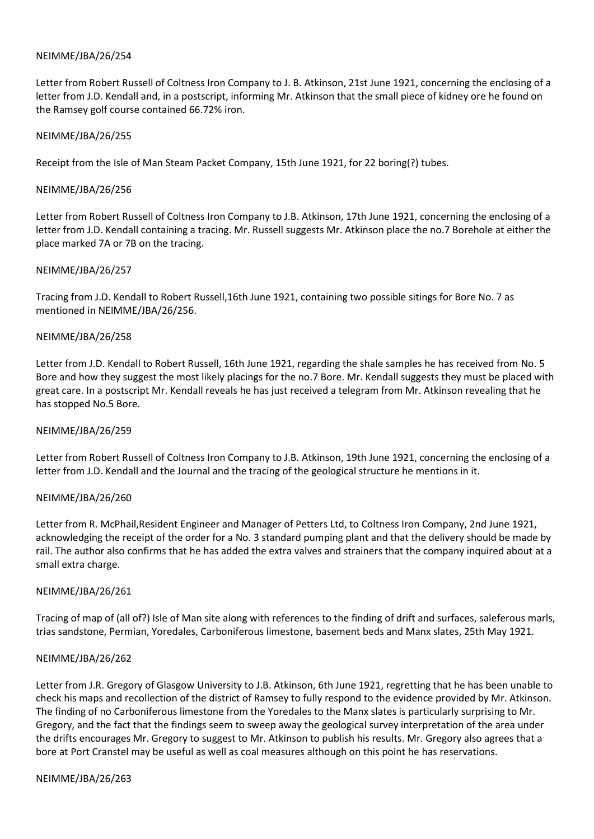Letter from Robert Russell of Coltness Iron Company to J. B. Atkinson, 21st June 1921, concerning the enclosing of a letter from J.D. Kendall and, in a postscript, informing Mr. Atkinson that the small piece of kidney ore he found on the Ramsey golf course contained 66.72% iron.

#### NEIMME/JBA/26/255

Receipt from the Isle of Man Steam Packet Company, 15th June 1921, for 22 boring(?) tubes.

#### NEIMME/JBA/26/256

Letter from Robert Russell of Coltness Iron Company to J.B. Atkinson, 17th June 1921, concerning the enclosing of a letter from J.D. Kendall containing a tracing. Mr. Russell suggests Mr. Atkinson place the no.7 Borehole at either the place marked 7A or 7B on the tracing.

#### NEIMME/JBA/26/257

Tracing from J.D. Kendall to Robert Russell,16th June 1921, containing two possible sitings for Bore No. 7 as mentioned in NEIMME/JBA/26/256.

#### NEIMME/JBA/26/258

Letter from J.D. Kendall to Robert Russell, 16th June 1921, regarding the shale samples he has received from No. 5 Bore and how they suggest the most likely placings for the no.7 Bore. Mr. Kendall suggests they must be placed with great care. In a postscript Mr. Kendall reveals he has just received a telegram from Mr. Atkinson revealing that he has stopped No.5 Bore.

#### NEIMME/JBA/26/259

Letter from Robert Russell of Coltness Iron Company to J.B. Atkinson, 19th June 1921, concerning the enclosing of a letter from J.D. Kendall and the Journal and the tracing of the geological structure he mentions in it.

### NEIMME/JBA/26/260

Letter from R. McPhail,Resident Engineer and Manager of Petters Ltd, to Coltness Iron Company, 2nd June 1921, acknowledging the receipt of the order for a No. 3 standard pumping plant and that the delivery should be made by rail. The author also confirms that he has added the extra valves and strainers that the company inquired about at a small extra charge.

### NEIMME/JBA/26/261

Tracing of map of (all of?) Isle of Man site along with references to the finding of drift and surfaces, saleferous marls, trias sandstone, Permian, Yoredales, Carboniferous limestone, basement beds and Manx slates, 25th May 1921.

### NEIMME/JBA/26/262

Letter from J.R. Gregory of Glasgow University to J.B. Atkinson, 6th June 1921, regretting that he has been unable to check his maps and recollection of the district of Ramsey to fully respond to the evidence provided by Mr. Atkinson. The finding of no Carboniferous limestone from the Yoredales to the Manx slates is particularly surprising to Mr. Gregory, and the fact that the findings seem to sweep away the geological survey interpretation of the area under the drifts encourages Mr. Gregory to suggest to Mr. Atkinson to publish his results. Mr. Gregory also agrees that a bore at Port Cranstel may be useful as well as coal measures although on this point he has reservations.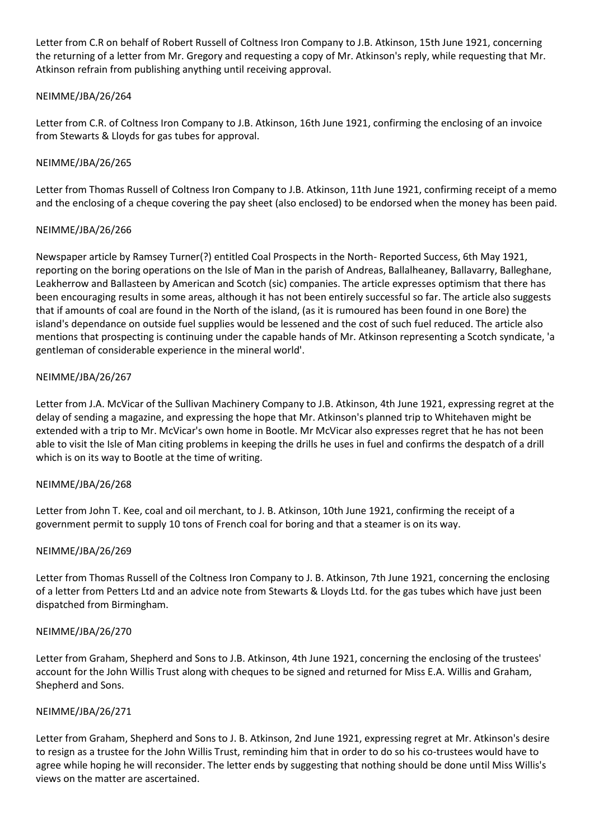Letter from C.R on behalf of Robert Russell of Coltness Iron Company to J.B. Atkinson, 15th June 1921, concerning the returning of a letter from Mr. Gregory and requesting a copy of Mr. Atkinson's reply, while requesting that Mr. Atkinson refrain from publishing anything until receiving approval.

# NEIMME/JBA/26/264

Letter from C.R. of Coltness Iron Company to J.B. Atkinson, 16th June 1921, confirming the enclosing of an invoice from Stewarts & Lloyds for gas tubes for approval.

## NEIMME/JBA/26/265

Letter from Thomas Russell of Coltness Iron Company to J.B. Atkinson, 11th June 1921, confirming receipt of a memo and the enclosing of a cheque covering the pay sheet (also enclosed) to be endorsed when the money has been paid.

### NEIMME/JBA/26/266

Newspaper article by Ramsey Turner(?) entitled Coal Prospects in the North- Reported Success, 6th May 1921, reporting on the boring operations on the Isle of Man in the parish of Andreas, Ballalheaney, Ballavarry, Balleghane, Leakherrow and Ballasteen by American and Scotch (sic) companies. The article expresses optimism that there has been encouraging results in some areas, although it has not been entirely successful so far. The article also suggests that if amounts of coal are found in the North of the island, (as it is rumoured has been found in one Bore) the island's dependance on outside fuel supplies would be lessened and the cost of such fuel reduced. The article also mentions that prospecting is continuing under the capable hands of Mr. Atkinson representing a Scotch syndicate, 'a gentleman of considerable experience in the mineral world'.

## NEIMME/JBA/26/267

Letter from J.A. McVicar of the Sullivan Machinery Company to J.B. Atkinson, 4th June 1921, expressing regret at the delay of sending a magazine, and expressing the hope that Mr. Atkinson's planned trip to Whitehaven might be extended with a trip to Mr. McVicar's own home in Bootle. Mr McVicar also expresses regret that he has not been able to visit the Isle of Man citing problems in keeping the drills he uses in fuel and confirms the despatch of a drill which is on its way to Bootle at the time of writing.

### NEIMME/JBA/26/268

Letter from John T. Kee, coal and oil merchant, to J. B. Atkinson, 10th June 1921, confirming the receipt of a government permit to supply 10 tons of French coal for boring and that a steamer is on its way.

### NEIMME/JBA/26/269

Letter from Thomas Russell of the Coltness Iron Company to J. B. Atkinson, 7th June 1921, concerning the enclosing of a letter from Petters Ltd and an advice note from Stewarts & Lloyds Ltd. for the gas tubes which have just been dispatched from Birmingham.

### NEIMME/JBA/26/270

Letter from Graham, Shepherd and Sons to J.B. Atkinson, 4th June 1921, concerning the enclosing of the trustees' account for the John Willis Trust along with cheques to be signed and returned for Miss E.A. Willis and Graham, Shepherd and Sons.

### NEIMME/JBA/26/271

Letter from Graham, Shepherd and Sons to J. B. Atkinson, 2nd June 1921, expressing regret at Mr. Atkinson's desire to resign as a trustee for the John Willis Trust, reminding him that in order to do so his co-trustees would have to agree while hoping he will reconsider. The letter ends by suggesting that nothing should be done until Miss Willis's views on the matter are ascertained.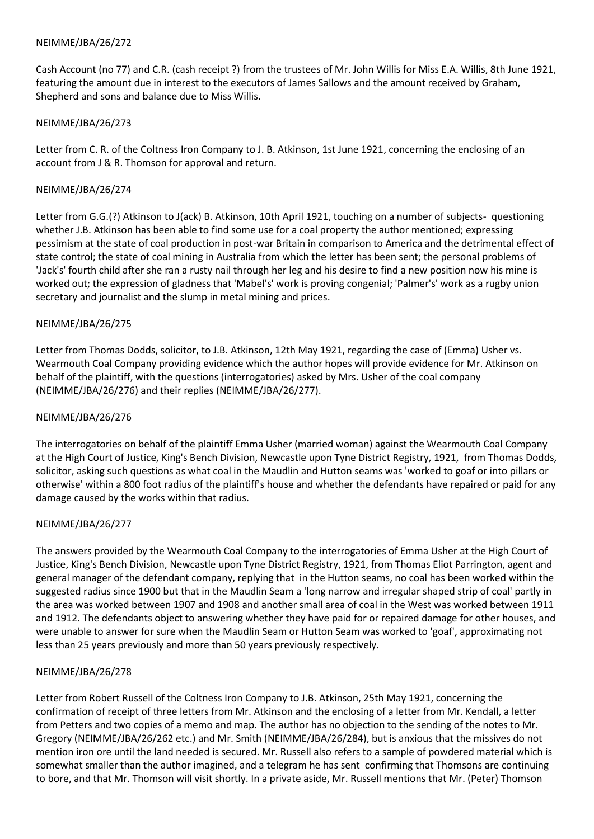Cash Account (no 77) and C.R. (cash receipt ?) from the trustees of Mr. John Willis for Miss E.A. Willis, 8th June 1921, featuring the amount due in interest to the executors of James Sallows and the amount received by Graham, Shepherd and sons and balance due to Miss Willis.

## NEIMME/JBA/26/273

Letter from C. R. of the Coltness Iron Company to J. B. Atkinson, 1st June 1921, concerning the enclosing of an account from J & R. Thomson for approval and return.

## NEIMME/JBA/26/274

Letter from G.G.(?) Atkinson to J(ack) B. Atkinson, 10th April 1921, touching on a number of subjects- questioning whether J.B. Atkinson has been able to find some use for a coal property the author mentioned; expressing pessimism at the state of coal production in post-war Britain in comparison to America and the detrimental effect of state control; the state of coal mining in Australia from which the letter has been sent; the personal problems of 'Jack's' fourth child after she ran a rusty nail through her leg and his desire to find a new position now his mine is worked out; the expression of gladness that 'Mabel's' work is proving congenial; 'Palmer's' work as a rugby union secretary and journalist and the slump in metal mining and prices.

## NEIMME/JBA/26/275

Letter from Thomas Dodds, solicitor, to J.B. Atkinson, 12th May 1921, regarding the case of (Emma) Usher vs. Wearmouth Coal Company providing evidence which the author hopes will provide evidence for Mr. Atkinson on behalf of the plaintiff, with the questions (interrogatories) asked by Mrs. Usher of the coal company (NEIMME/JBA/26/276) and their replies (NEIMME/JBA/26/277).

### NEIMME/JBA/26/276

The interrogatories on behalf of the plaintiff Emma Usher (married woman) against the Wearmouth Coal Company at the High Court of Justice, King's Bench Division, Newcastle upon Tyne District Registry, 1921, from Thomas Dodds, solicitor, asking such questions as what coal in the Maudlin and Hutton seams was 'worked to goaf or into pillars or otherwise' within a 800 foot radius of the plaintiff's house and whether the defendants have repaired or paid for any damage caused by the works within that radius.

### NEIMME/JBA/26/277

The answers provided by the Wearmouth Coal Company to the interrogatories of Emma Usher at the High Court of Justice, King's Bench Division, Newcastle upon Tyne District Registry, 1921, from Thomas Eliot Parrington, agent and general manager of the defendant company, replying that in the Hutton seams, no coal has been worked within the suggested radius since 1900 but that in the Maudlin Seam a 'long narrow and irregular shaped strip of coal' partly in the area was worked between 1907 and 1908 and another small area of coal in the West was worked between 1911 and 1912. The defendants object to answering whether they have paid for or repaired damage for other houses, and were unable to answer for sure when the Maudlin Seam or Hutton Seam was worked to 'goaf', approximating not less than 25 years previously and more than 50 years previously respectively.

### NEIMME/JBA/26/278

Letter from Robert Russell of the Coltness Iron Company to J.B. Atkinson, 25th May 1921, concerning the confirmation of receipt of three letters from Mr. Atkinson and the enclosing of a letter from Mr. Kendall, a letter from Petters and two copies of a memo and map. The author has no objection to the sending of the notes to Mr. Gregory (NEIMME/JBA/26/262 etc.) and Mr. Smith (NEIMME/JBA/26/284), but is anxious that the missives do not mention iron ore until the land needed is secured. Mr. Russell also refers to a sample of powdered material which is somewhat smaller than the author imagined, and a telegram he has sent confirming that Thomsons are continuing to bore, and that Mr. Thomson will visit shortly. In a private aside, Mr. Russell mentions that Mr. (Peter) Thomson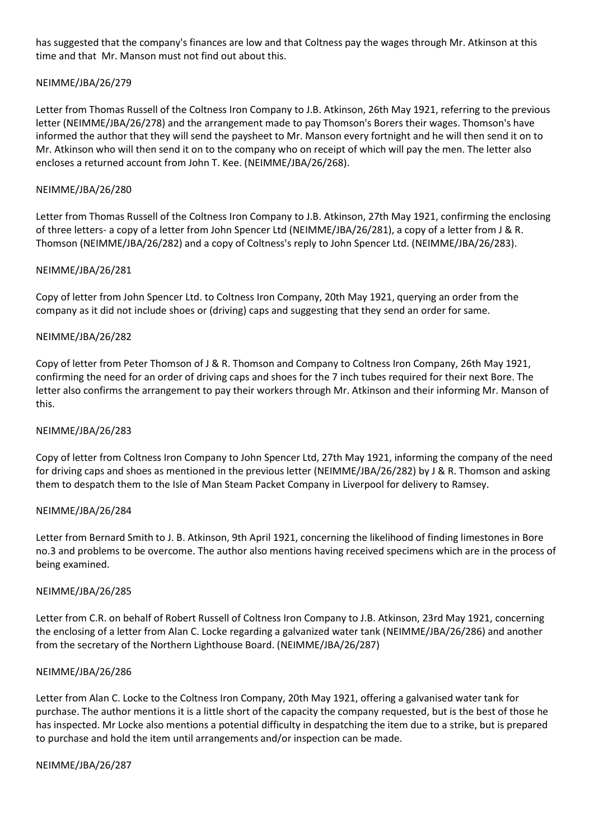has suggested that the company's finances are low and that Coltness pay the wages through Mr. Atkinson at this time and that Mr. Manson must not find out about this.

## NEIMME/JBA/26/279

Letter from Thomas Russell of the Coltness Iron Company to J.B. Atkinson, 26th May 1921, referring to the previous letter (NEIMME/JBA/26/278) and the arrangement made to pay Thomson's Borers their wages. Thomson's have informed the author that they will send the paysheet to Mr. Manson every fortnight and he will then send it on to Mr. Atkinson who will then send it on to the company who on receipt of which will pay the men. The letter also encloses a returned account from John T. Kee. (NEIMME/JBA/26/268).

### NEIMME/JBA/26/280

Letter from Thomas Russell of the Coltness Iron Company to J.B. Atkinson, 27th May 1921, confirming the enclosing of three letters- a copy of a letter from John Spencer Ltd (NEIMME/JBA/26/281), a copy of a letter from J & R. Thomson (NEIMME/JBA/26/282) and a copy of Coltness's reply to John Spencer Ltd. (NEIMME/JBA/26/283).

## NEIMME/JBA/26/281

Copy of letter from John Spencer Ltd. to Coltness Iron Company, 20th May 1921, querying an order from the company as it did not include shoes or (driving) caps and suggesting that they send an order for same.

## NEIMME/JBA/26/282

Copy of letter from Peter Thomson of J & R. Thomson and Company to Coltness Iron Company, 26th May 1921, confirming the need for an order of driving caps and shoes for the 7 inch tubes required for their next Bore. The letter also confirms the arrangement to pay their workers through Mr. Atkinson and their informing Mr. Manson of this.

### NEIMME/JBA/26/283

Copy of letter from Coltness Iron Company to John Spencer Ltd, 27th May 1921, informing the company of the need for driving caps and shoes as mentioned in the previous letter (NEIMME/JBA/26/282) by J & R. Thomson and asking them to despatch them to the Isle of Man Steam Packet Company in Liverpool for delivery to Ramsey.

### NEIMME/JBA/26/284

Letter from Bernard Smith to J. B. Atkinson, 9th April 1921, concerning the likelihood of finding limestones in Bore no.3 and problems to be overcome. The author also mentions having received specimens which are in the process of being examined.

### NEIMME/JBA/26/285

Letter from C.R. on behalf of Robert Russell of Coltness Iron Company to J.B. Atkinson, 23rd May 1921, concerning the enclosing of a letter from Alan C. Locke regarding a galvanized water tank (NEIMME/JBA/26/286) and another from the secretary of the Northern Lighthouse Board. (NEIMME/JBA/26/287)

### NEIMME/JBA/26/286

Letter from Alan C. Locke to the Coltness Iron Company, 20th May 1921, offering a galvanised water tank for purchase. The author mentions it is a little short of the capacity the company requested, but is the best of those he has inspected. Mr Locke also mentions a potential difficulty in despatching the item due to a strike, but is prepared to purchase and hold the item until arrangements and/or inspection can be made.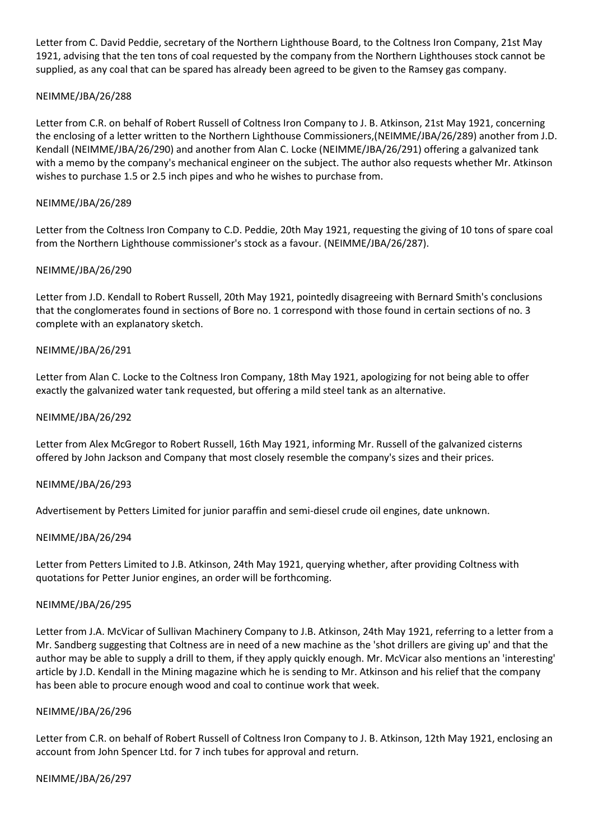Letter from C. David Peddie, secretary of the Northern Lighthouse Board, to the Coltness Iron Company, 21st May 1921, advising that the ten tons of coal requested by the company from the Northern Lighthouses stock cannot be supplied, as any coal that can be spared has already been agreed to be given to the Ramsey gas company.

## NEIMME/JBA/26/288

Letter from C.R. on behalf of Robert Russell of Coltness Iron Company to J. B. Atkinson, 21st May 1921, concerning the enclosing of a letter written to the Northern Lighthouse Commissioners,(NEIMME/JBA/26/289) another from J.D. Kendall (NEIMME/JBA/26/290) and another from Alan C. Locke (NEIMME/JBA/26/291) offering a galvanized tank with a memo by the company's mechanical engineer on the subject. The author also requests whether Mr. Atkinson wishes to purchase 1.5 or 2.5 inch pipes and who he wishes to purchase from.

### NEIMME/JBA/26/289

Letter from the Coltness Iron Company to C.D. Peddie, 20th May 1921, requesting the giving of 10 tons of spare coal from the Northern Lighthouse commissioner's stock as a favour. (NEIMME/JBA/26/287).

### NEIMME/JBA/26/290

Letter from J.D. Kendall to Robert Russell, 20th May 1921, pointedly disagreeing with Bernard Smith's conclusions that the conglomerates found in sections of Bore no. 1 correspond with those found in certain sections of no. 3 complete with an explanatory sketch.

### NEIMME/JBA/26/291

Letter from Alan C. Locke to the Coltness Iron Company, 18th May 1921, apologizing for not being able to offer exactly the galvanized water tank requested, but offering a mild steel tank as an alternative.

### NEIMME/JBA/26/292

Letter from Alex McGregor to Robert Russell, 16th May 1921, informing Mr. Russell of the galvanized cisterns offered by John Jackson and Company that most closely resemble the company's sizes and their prices.

### NEIMME/JBA/26/293

Advertisement by Petters Limited for junior paraffin and semi-diesel crude oil engines, date unknown.

### NEIMME/JBA/26/294

Letter from Petters Limited to J.B. Atkinson, 24th May 1921, querying whether, after providing Coltness with quotations for Petter Junior engines, an order will be forthcoming.

### NEIMME/JBA/26/295

Letter from J.A. McVicar of Sullivan Machinery Company to J.B. Atkinson, 24th May 1921, referring to a letter from a Mr. Sandberg suggesting that Coltness are in need of a new machine as the 'shot drillers are giving up' and that the author may be able to supply a drill to them, if they apply quickly enough. Mr. McVicar also mentions an 'interesting' article by J.D. Kendall in the Mining magazine which he is sending to Mr. Atkinson and his relief that the company has been able to procure enough wood and coal to continue work that week.

### NEIMME/JBA/26/296

Letter from C.R. on behalf of Robert Russell of Coltness Iron Company to J. B. Atkinson, 12th May 1921, enclosing an account from John Spencer Ltd. for 7 inch tubes for approval and return.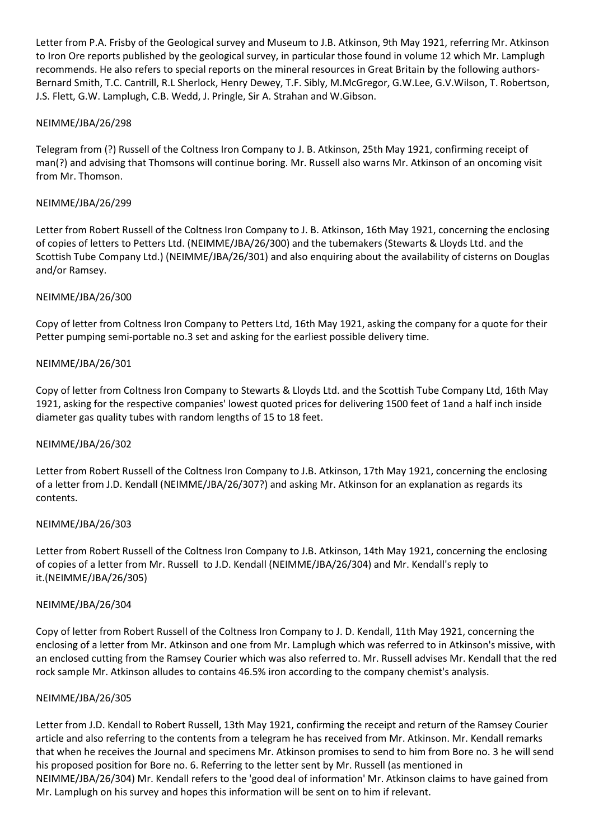Letter from P.A. Frisby of the Geological survey and Museum to J.B. Atkinson, 9th May 1921, referring Mr. Atkinson to Iron Ore reports published by the geological survey, in particular those found in volume 12 which Mr. Lamplugh recommends. He also refers to special reports on the mineral resources in Great Britain by the following authors-Bernard Smith, T.C. Cantrill, R.L Sherlock, Henry Dewey, T.F. Sibly, M.McGregor, G.W.Lee, G.V.Wilson, T. Robertson, J.S. Flett, G.W. Lamplugh, C.B. Wedd, J. Pringle, Sir A. Strahan and W.Gibson.

# NEIMME/JBA/26/298

Telegram from (?) Russell of the Coltness Iron Company to J. B. Atkinson, 25th May 1921, confirming receipt of man(?) and advising that Thomsons will continue boring. Mr. Russell also warns Mr. Atkinson of an oncoming visit from Mr. Thomson.

### NEIMME/JBA/26/299

Letter from Robert Russell of the Coltness Iron Company to J. B. Atkinson, 16th May 1921, concerning the enclosing of copies of letters to Petters Ltd. (NEIMME/JBA/26/300) and the tubemakers (Stewarts & Lloyds Ltd. and the Scottish Tube Company Ltd.) (NEIMME/JBA/26/301) and also enquiring about the availability of cisterns on Douglas and/or Ramsey.

## NEIMME/JBA/26/300

Copy of letter from Coltness Iron Company to Petters Ltd, 16th May 1921, asking the company for a quote for their Petter pumping semi-portable no.3 set and asking for the earliest possible delivery time.

## NEIMME/JBA/26/301

Copy of letter from Coltness Iron Company to Stewarts & Lloyds Ltd. and the Scottish Tube Company Ltd, 16th May 1921, asking for the respective companies' lowest quoted prices for delivering 1500 feet of 1and a half inch inside diameter gas quality tubes with random lengths of 15 to 18 feet.

### NEIMME/JBA/26/302

Letter from Robert Russell of the Coltness Iron Company to J.B. Atkinson, 17th May 1921, concerning the enclosing of a letter from J.D. Kendall (NEIMME/JBA/26/307?) and asking Mr. Atkinson for an explanation as regards its contents.

### NEIMME/JBA/26/303

Letter from Robert Russell of the Coltness Iron Company to J.B. Atkinson, 14th May 1921, concerning the enclosing of copies of a letter from Mr. Russell to J.D. Kendall (NEIMME/JBA/26/304) and Mr. Kendall's reply to it.(NEIMME/JBA/26/305)

### NEIMME/JBA/26/304

Copy of letter from Robert Russell of the Coltness Iron Company to J. D. Kendall, 11th May 1921, concerning the enclosing of a letter from Mr. Atkinson and one from Mr. Lamplugh which was referred to in Atkinson's missive, with an enclosed cutting from the Ramsey Courier which was also referred to. Mr. Russell advises Mr. Kendall that the red rock sample Mr. Atkinson alludes to contains 46.5% iron according to the company chemist's analysis.

### NEIMME/JBA/26/305

Letter from J.D. Kendall to Robert Russell, 13th May 1921, confirming the receipt and return of the Ramsey Courier article and also referring to the contents from a telegram he has received from Mr. Atkinson. Mr. Kendall remarks that when he receives the Journal and specimens Mr. Atkinson promises to send to him from Bore no. 3 he will send his proposed position for Bore no. 6. Referring to the letter sent by Mr. Russell (as mentioned in NEIMME/JBA/26/304) Mr. Kendall refers to the 'good deal of information' Mr. Atkinson claims to have gained from Mr. Lamplugh on his survey and hopes this information will be sent on to him if relevant.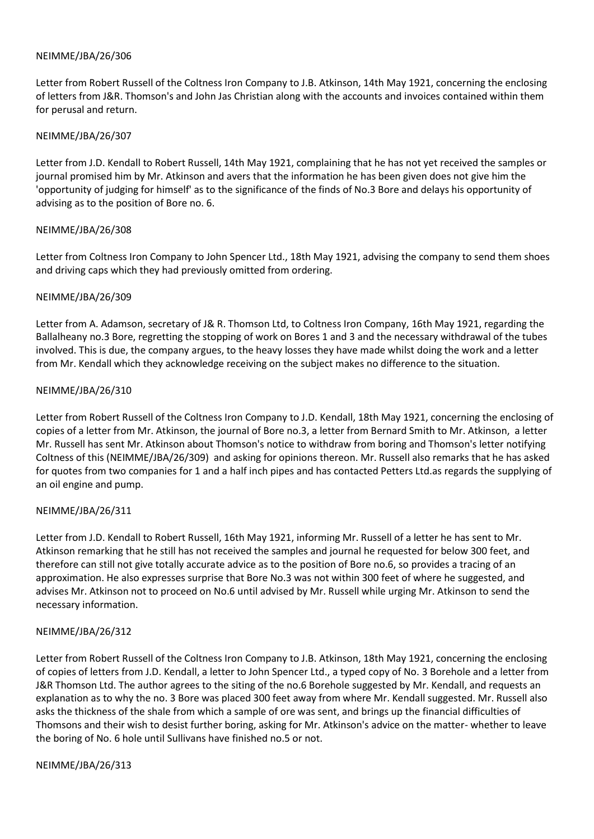Letter from Robert Russell of the Coltness Iron Company to J.B. Atkinson, 14th May 1921, concerning the enclosing of letters from J&R. Thomson's and John Jas Christian along with the accounts and invoices contained within them for perusal and return.

### NEIMME/JBA/26/307

Letter from J.D. Kendall to Robert Russell, 14th May 1921, complaining that he has not yet received the samples or journal promised him by Mr. Atkinson and avers that the information he has been given does not give him the 'opportunity of judging for himself' as to the significance of the finds of No.3 Bore and delays his opportunity of advising as to the position of Bore no. 6.

### NEIMME/JBA/26/308

Letter from Coltness Iron Company to John Spencer Ltd., 18th May 1921, advising the company to send them shoes and driving caps which they had previously omitted from ordering.

## NEIMME/JBA/26/309

Letter from A. Adamson, secretary of J& R. Thomson Ltd, to Coltness Iron Company, 16th May 1921, regarding the Ballalheany no.3 Bore, regretting the stopping of work on Bores 1 and 3 and the necessary withdrawal of the tubes involved. This is due, the company argues, to the heavy losses they have made whilst doing the work and a letter from Mr. Kendall which they acknowledge receiving on the subject makes no difference to the situation.

## NEIMME/JBA/26/310

Letter from Robert Russell of the Coltness Iron Company to J.D. Kendall, 18th May 1921, concerning the enclosing of copies of a letter from Mr. Atkinson, the journal of Bore no.3, a letter from Bernard Smith to Mr. Atkinson, a letter Mr. Russell has sent Mr. Atkinson about Thomson's notice to withdraw from boring and Thomson's letter notifying Coltness of this (NEIMME/JBA/26/309) and asking for opinions thereon. Mr. Russell also remarks that he has asked for quotes from two companies for 1 and a half inch pipes and has contacted Petters Ltd.as regards the supplying of an oil engine and pump.

### NEIMME/JBA/26/311

Letter from J.D. Kendall to Robert Russell, 16th May 1921, informing Mr. Russell of a letter he has sent to Mr. Atkinson remarking that he still has not received the samples and journal he requested for below 300 feet, and therefore can still not give totally accurate advice as to the position of Bore no.6, so provides a tracing of an approximation. He also expresses surprise that Bore No.3 was not within 300 feet of where he suggested, and advises Mr. Atkinson not to proceed on No.6 until advised by Mr. Russell while urging Mr. Atkinson to send the necessary information.

### NEIMME/JBA/26/312

Letter from Robert Russell of the Coltness Iron Company to J.B. Atkinson, 18th May 1921, concerning the enclosing of copies of letters from J.D. Kendall, a letter to John Spencer Ltd., a typed copy of No. 3 Borehole and a letter from J&R Thomson Ltd. The author agrees to the siting of the no.6 Borehole suggested by Mr. Kendall, and requests an explanation as to why the no. 3 Bore was placed 300 feet away from where Mr. Kendall suggested. Mr. Russell also asks the thickness of the shale from which a sample of ore was sent, and brings up the financial difficulties of Thomsons and their wish to desist further boring, asking for Mr. Atkinson's advice on the matter- whether to leave the boring of No. 6 hole until Sullivans have finished no.5 or not.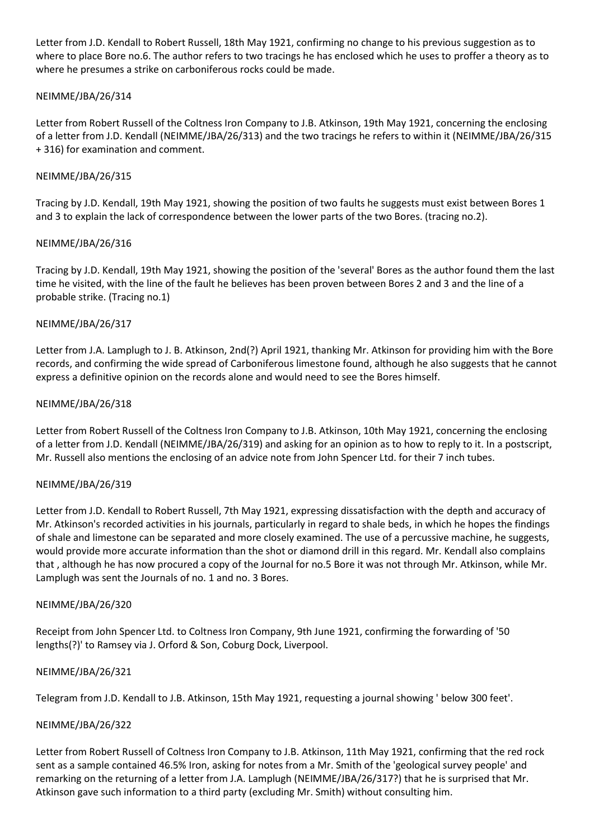Letter from J.D. Kendall to Robert Russell, 18th May 1921, confirming no change to his previous suggestion as to where to place Bore no.6. The author refers to two tracings he has enclosed which he uses to proffer a theory as to where he presumes a strike on carboniferous rocks could be made.

# NEIMME/JBA/26/314

Letter from Robert Russell of the Coltness Iron Company to J.B. Atkinson, 19th May 1921, concerning the enclosing of a letter from J.D. Kendall (NEIMME/JBA/26/313) and the two tracings he refers to within it (NEIMME/JBA/26/315 + 316) for examination and comment.

## NEIMME/JBA/26/315

Tracing by J.D. Kendall, 19th May 1921, showing the position of two faults he suggests must exist between Bores 1 and 3 to explain the lack of correspondence between the lower parts of the two Bores. (tracing no.2).

## NEIMME/JBA/26/316

Tracing by J.D. Kendall, 19th May 1921, showing the position of the 'several' Bores as the author found them the last time he visited, with the line of the fault he believes has been proven between Bores 2 and 3 and the line of a probable strike. (Tracing no.1)

## NEIMME/JBA/26/317

Letter from J.A. Lamplugh to J. B. Atkinson, 2nd(?) April 1921, thanking Mr. Atkinson for providing him with the Bore records, and confirming the wide spread of Carboniferous limestone found, although he also suggests that he cannot express a definitive opinion on the records alone and would need to see the Bores himself.

## NEIMME/JBA/26/318

Letter from Robert Russell of the Coltness Iron Company to J.B. Atkinson, 10th May 1921, concerning the enclosing of a letter from J.D. Kendall (NEIMME/JBA/26/319) and asking for an opinion as to how to reply to it. In a postscript, Mr. Russell also mentions the enclosing of an advice note from John Spencer Ltd. for their 7 inch tubes.

### NEIMME/JBA/26/319

Letter from J.D. Kendall to Robert Russell, 7th May 1921, expressing dissatisfaction with the depth and accuracy of Mr. Atkinson's recorded activities in his journals, particularly in regard to shale beds, in which he hopes the findings of shale and limestone can be separated and more closely examined. The use of a percussive machine, he suggests, would provide more accurate information than the shot or diamond drill in this regard. Mr. Kendall also complains that , although he has now procured a copy of the Journal for no.5 Bore it was not through Mr. Atkinson, while Mr. Lamplugh was sent the Journals of no. 1 and no. 3 Bores.

### NEIMME/JBA/26/320

Receipt from John Spencer Ltd. to Coltness Iron Company, 9th June 1921, confirming the forwarding of '50 lengths(?)' to Ramsey via J. Orford & Son, Coburg Dock, Liverpool.

### NEIMME/JBA/26/321

Telegram from J.D. Kendall to J.B. Atkinson, 15th May 1921, requesting a journal showing ' below 300 feet'.

### NEIMME/JBA/26/322

Letter from Robert Russell of Coltness Iron Company to J.B. Atkinson, 11th May 1921, confirming that the red rock sent as a sample contained 46.5% Iron, asking for notes from a Mr. Smith of the 'geological survey people' and remarking on the returning of a letter from J.A. Lamplugh (NEIMME/JBA/26/317?) that he is surprised that Mr. Atkinson gave such information to a third party (excluding Mr. Smith) without consulting him.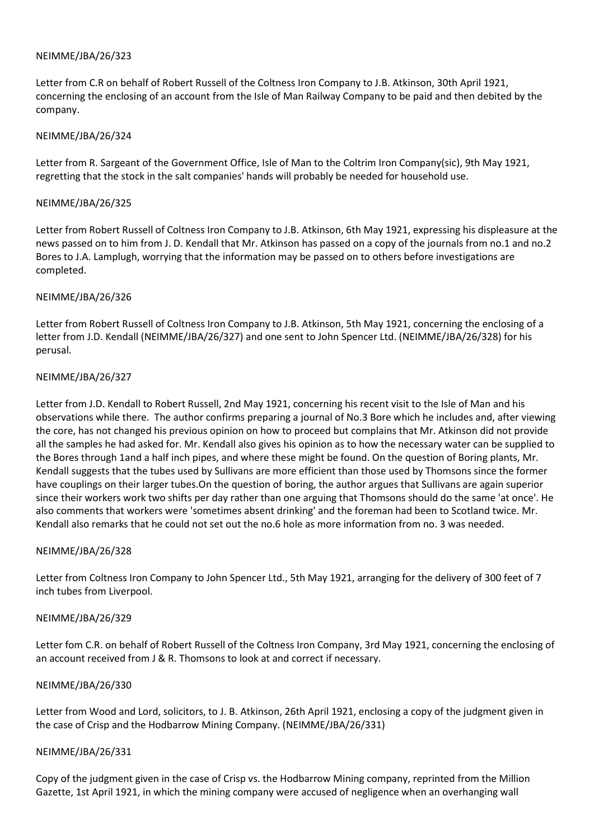Letter from C.R on behalf of Robert Russell of the Coltness Iron Company to J.B. Atkinson, 30th April 1921, concerning the enclosing of an account from the Isle of Man Railway Company to be paid and then debited by the company.

### NEIMME/JBA/26/324

Letter from R. Sargeant of the Government Office, Isle of Man to the Coltrim Iron Company(sic), 9th May 1921, regretting that the stock in the salt companies' hands will probably be needed for household use.

### NEIMME/JBA/26/325

Letter from Robert Russell of Coltness Iron Company to J.B. Atkinson, 6th May 1921, expressing his displeasure at the news passed on to him from J. D. Kendall that Mr. Atkinson has passed on a copy of the journals from no.1 and no.2 Bores to J.A. Lamplugh, worrying that the information may be passed on to others before investigations are completed.

## NEIMME/JBA/26/326

Letter from Robert Russell of Coltness Iron Company to J.B. Atkinson, 5th May 1921, concerning the enclosing of a letter from J.D. Kendall (NEIMME/JBA/26/327) and one sent to John Spencer Ltd. (NEIMME/JBA/26/328) for his perusal.

## NEIMME/JBA/26/327

Letter from J.D. Kendall to Robert Russell, 2nd May 1921, concerning his recent visit to the Isle of Man and his observations while there. The author confirms preparing a journal of No.3 Bore which he includes and, after viewing the core, has not changed his previous opinion on how to proceed but complains that Mr. Atkinson did not provide all the samples he had asked for. Mr. Kendall also gives his opinion as to how the necessary water can be supplied to the Bores through 1and a half inch pipes, and where these might be found. On the question of Boring plants, Mr. Kendall suggests that the tubes used by Sullivans are more efficient than those used by Thomsons since the former have couplings on their larger tubes.On the question of boring, the author argues that Sullivans are again superior since their workers work two shifts per day rather than one arguing that Thomsons should do the same 'at once'. He also comments that workers were 'sometimes absent drinking' and the foreman had been to Scotland twice. Mr. Kendall also remarks that he could not set out the no.6 hole as more information from no. 3 was needed.

### NEIMME/JBA/26/328

Letter from Coltness Iron Company to John Spencer Ltd., 5th May 1921, arranging for the delivery of 300 feet of 7 inch tubes from Liverpool.

### NEIMME/JBA/26/329

Letter fom C.R. on behalf of Robert Russell of the Coltness Iron Company, 3rd May 1921, concerning the enclosing of an account received from J & R. Thomsons to look at and correct if necessary.

# NEIMME/JBA/26/330

Letter from Wood and Lord, solicitors, to J. B. Atkinson, 26th April 1921, enclosing a copy of the judgment given in the case of Crisp and the Hodbarrow Mining Company. (NEIMME/JBA/26/331)

### NEIMME/JBA/26/331

Copy of the judgment given in the case of Crisp vs. the Hodbarrow Mining company, reprinted from the Million Gazette, 1st April 1921, in which the mining company were accused of negligence when an overhanging wall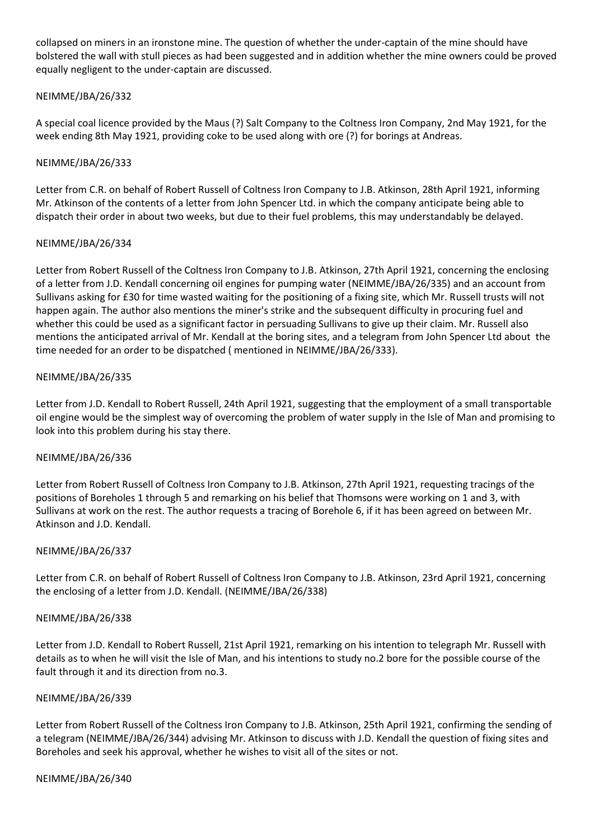collapsed on miners in an ironstone mine. The question of whether the under-captain of the mine should have bolstered the wall with stull pieces as had been suggested and in addition whether the mine owners could be proved equally negligent to the under-captain are discussed.

# NEIMME/JBA/26/332

A special coal licence provided by the Maus (?) Salt Company to the Coltness Iron Company, 2nd May 1921, for the week ending 8th May 1921, providing coke to be used along with ore (?) for borings at Andreas.

## NEIMME/JBA/26/333

Letter from C.R. on behalf of Robert Russell of Coltness Iron Company to J.B. Atkinson, 28th April 1921, informing Mr. Atkinson of the contents of a letter from John Spencer Ltd. in which the company anticipate being able to dispatch their order in about two weeks, but due to their fuel problems, this may understandably be delayed.

### NEIMME/JBA/26/334

Letter from Robert Russell of the Coltness Iron Company to J.B. Atkinson, 27th April 1921, concerning the enclosing of a letter from J.D. Kendall concerning oil engines for pumping water (NEIMME/JBA/26/335) and an account from Sullivans asking for £30 for time wasted waiting for the positioning of a fixing site, which Mr. Russell trusts will not happen again. The author also mentions the miner's strike and the subsequent difficulty in procuring fuel and whether this could be used as a significant factor in persuading Sullivans to give up their claim. Mr. Russell also mentions the anticipated arrival of Mr. Kendall at the boring sites, and a telegram from John Spencer Ltd about the time needed for an order to be dispatched ( mentioned in NEIMME/JBA/26/333).

## NEIMME/JBA/26/335

Letter from J.D. Kendall to Robert Russell, 24th April 1921, suggesting that the employment of a small transportable oil engine would be the simplest way of overcoming the problem of water supply in the Isle of Man and promising to look into this problem during his stay there.

### NEIMME/JBA/26/336

Letter from Robert Russell of Coltness Iron Company to J.B. Atkinson, 27th April 1921, requesting tracings of the positions of Boreholes 1 through 5 and remarking on his belief that Thomsons were working on 1 and 3, with Sullivans at work on the rest. The author requests a tracing of Borehole 6, if it has been agreed on between Mr. Atkinson and J.D. Kendall.

### NEIMME/JBA/26/337

Letter from C.R. on behalf of Robert Russell of Coltness Iron Company to J.B. Atkinson, 23rd April 1921, concerning the enclosing of a letter from J.D. Kendall. (NEIMME/JBA/26/338)

### NEIMME/JBA/26/338

Letter from J.D. Kendall to Robert Russell, 21st April 1921, remarking on his intention to telegraph Mr. Russell with details as to when he will visit the Isle of Man, and his intentions to study no.2 bore for the possible course of the fault through it and its direction from no.3.

### NEIMME/JBA/26/339

Letter from Robert Russell of the Coltness Iron Company to J.B. Atkinson, 25th April 1921, confirming the sending of a telegram (NEIMME/JBA/26/344) advising Mr. Atkinson to discuss with J.D. Kendall the question of fixing sites and Boreholes and seek his approval, whether he wishes to visit all of the sites or not.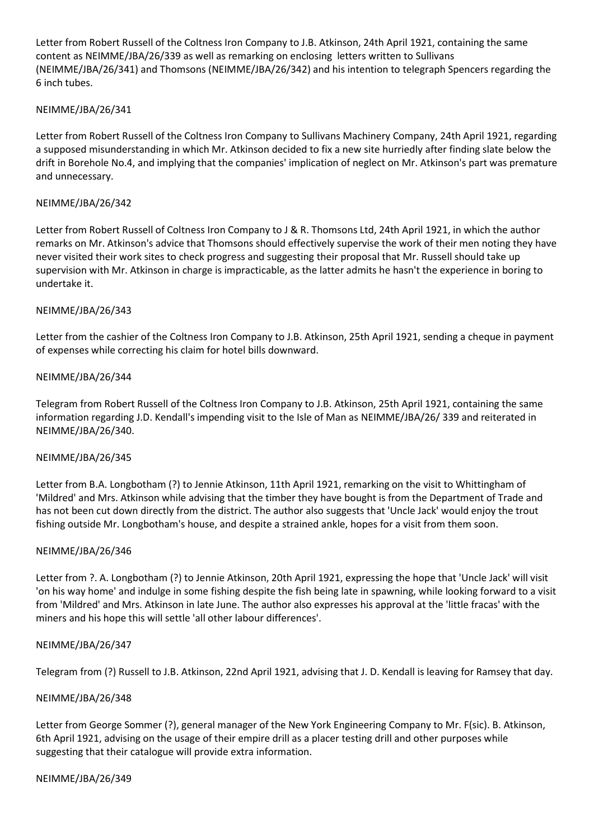Letter from Robert Russell of the Coltness Iron Company to J.B. Atkinson, 24th April 1921, containing the same content as NEIMME/JBA/26/339 as well as remarking on enclosing letters written to Sullivans (NEIMME/JBA/26/341) and Thomsons (NEIMME/JBA/26/342) and his intention to telegraph Spencers regarding the 6 inch tubes.

## NEIMME/JBA/26/341

Letter from Robert Russell of the Coltness Iron Company to Sullivans Machinery Company, 24th April 1921, regarding a supposed misunderstanding in which Mr. Atkinson decided to fix a new site hurriedly after finding slate below the drift in Borehole No.4, and implying that the companies' implication of neglect on Mr. Atkinson's part was premature and unnecessary.

### NEIMME/JBA/26/342

Letter from Robert Russell of Coltness Iron Company to J & R. Thomsons Ltd, 24th April 1921, in which the author remarks on Mr. Atkinson's advice that Thomsons should effectively supervise the work of their men noting they have never visited their work sites to check progress and suggesting their proposal that Mr. Russell should take up supervision with Mr. Atkinson in charge is impracticable, as the latter admits he hasn't the experience in boring to undertake it.

### NEIMME/JBA/26/343

Letter from the cashier of the Coltness Iron Company to J.B. Atkinson, 25th April 1921, sending a cheque in payment of expenses while correcting his claim for hotel bills downward.

## NEIMME/JBA/26/344

Telegram from Robert Russell of the Coltness Iron Company to J.B. Atkinson, 25th April 1921, containing the same information regarding J.D. Kendall's impending visit to the Isle of Man as NEIMME/JBA/26/ 339 and reiterated in NEIMME/JBA/26/340.

### NEIMME/JBA/26/345

Letter from B.A. Longbotham (?) to Jennie Atkinson, 11th April 1921, remarking on the visit to Whittingham of 'Mildred' and Mrs. Atkinson while advising that the timber they have bought is from the Department of Trade and has not been cut down directly from the district. The author also suggests that 'Uncle Jack' would enjoy the trout fishing outside Mr. Longbotham's house, and despite a strained ankle, hopes for a visit from them soon.

### NEIMME/JBA/26/346

Letter from ?. A. Longbotham (?) to Jennie Atkinson, 20th April 1921, expressing the hope that 'Uncle Jack' will visit 'on his way home' and indulge in some fishing despite the fish being late in spawning, while looking forward to a visit from 'Mildred' and Mrs. Atkinson in late June. The author also expresses his approval at the 'little fracas' with the miners and his hope this will settle 'all other labour differences'.

### NEIMME/JBA/26/347

Telegram from (?) Russell to J.B. Atkinson, 22nd April 1921, advising that J. D. Kendall is leaving for Ramsey that day.

### NEIMME/JBA/26/348

Letter from George Sommer (?), general manager of the New York Engineering Company to Mr. F(sic). B. Atkinson, 6th April 1921, advising on the usage of their empire drill as a placer testing drill and other purposes while suggesting that their catalogue will provide extra information.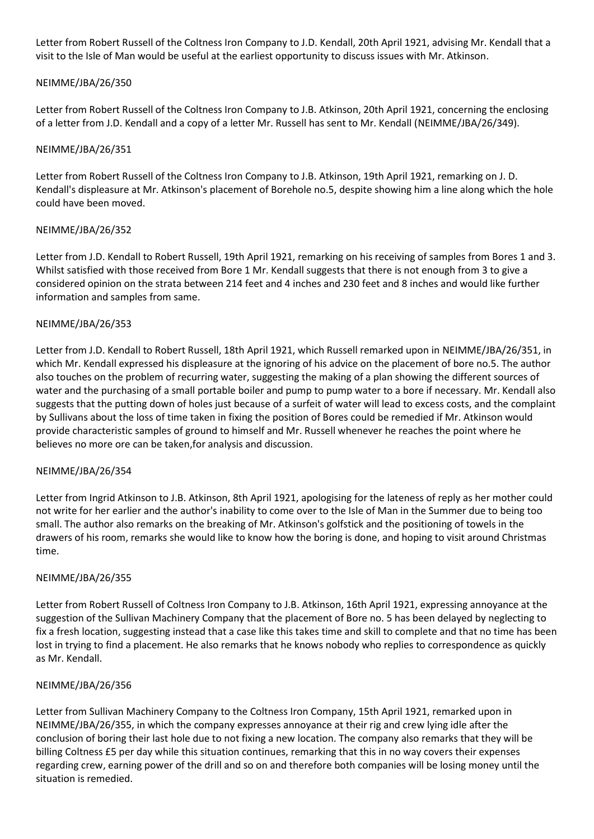Letter from Robert Russell of the Coltness Iron Company to J.D. Kendall, 20th April 1921, advising Mr. Kendall that a visit to the Isle of Man would be useful at the earliest opportunity to discuss issues with Mr. Atkinson.

# NEIMME/JBA/26/350

Letter from Robert Russell of the Coltness Iron Company to J.B. Atkinson, 20th April 1921, concerning the enclosing of a letter from J.D. Kendall and a copy of a letter Mr. Russell has sent to Mr. Kendall (NEIMME/JBA/26/349).

### NEIMME/JBA/26/351

Letter from Robert Russell of the Coltness Iron Company to J.B. Atkinson, 19th April 1921, remarking on J. D. Kendall's displeasure at Mr. Atkinson's placement of Borehole no.5, despite showing him a line along which the hole could have been moved.

## NEIMME/JBA/26/352

Letter from J.D. Kendall to Robert Russell, 19th April 1921, remarking on his receiving of samples from Bores 1 and 3. Whilst satisfied with those received from Bore 1 Mr. Kendall suggests that there is not enough from 3 to give a considered opinion on the strata between 214 feet and 4 inches and 230 feet and 8 inches and would like further information and samples from same.

## NEIMME/JBA/26/353

Letter from J.D. Kendall to Robert Russell, 18th April 1921, which Russell remarked upon in NEIMME/JBA/26/351, in which Mr. Kendall expressed his displeasure at the ignoring of his advice on the placement of bore no.5. The author also touches on the problem of recurring water, suggesting the making of a plan showing the different sources of water and the purchasing of a small portable boiler and pump to pump water to a bore if necessary. Mr. Kendall also suggests that the putting down of holes just because of a surfeit of water will lead to excess costs, and the complaint by Sullivans about the loss of time taken in fixing the position of Bores could be remedied if Mr. Atkinson would provide characteristic samples of ground to himself and Mr. Russell whenever he reaches the point where he believes no more ore can be taken,for analysis and discussion.

### NEIMME/JBA/26/354

Letter from Ingrid Atkinson to J.B. Atkinson, 8th April 1921, apologising for the lateness of reply as her mother could not write for her earlier and the author's inability to come over to the Isle of Man in the Summer due to being too small. The author also remarks on the breaking of Mr. Atkinson's golfstick and the positioning of towels in the drawers of his room, remarks she would like to know how the boring is done, and hoping to visit around Christmas time.

### NEIMME/JBA/26/355

Letter from Robert Russell of Coltness Iron Company to J.B. Atkinson, 16th April 1921, expressing annoyance at the suggestion of the Sullivan Machinery Company that the placement of Bore no. 5 has been delayed by neglecting to fix a fresh location, suggesting instead that a case like this takes time and skill to complete and that no time has been lost in trying to find a placement. He also remarks that he knows nobody who replies to correspondence as quickly as Mr. Kendall.

### NEIMME/JBA/26/356

Letter from Sullivan Machinery Company to the Coltness Iron Company, 15th April 1921, remarked upon in NEIMME/JBA/26/355, in which the company expresses annoyance at their rig and crew lying idle after the conclusion of boring their last hole due to not fixing a new location. The company also remarks that they will be billing Coltness £5 per day while this situation continues, remarking that this in no way covers their expenses regarding crew, earning power of the drill and so on and therefore both companies will be losing money until the situation is remedied.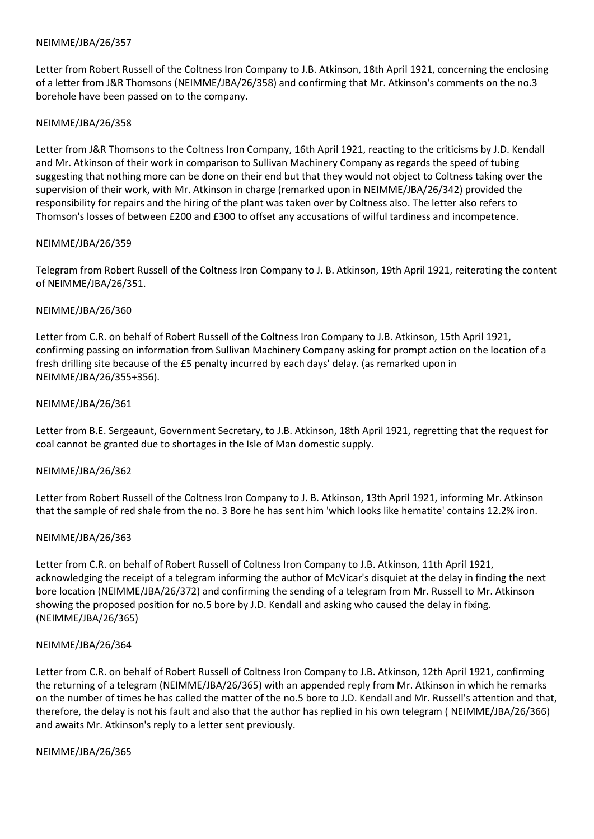Letter from Robert Russell of the Coltness Iron Company to J.B. Atkinson, 18th April 1921, concerning the enclosing of a letter from J&R Thomsons (NEIMME/JBA/26/358) and confirming that Mr. Atkinson's comments on the no.3 borehole have been passed on to the company.

### NEIMME/JBA/26/358

Letter from J&R Thomsons to the Coltness Iron Company, 16th April 1921, reacting to the criticisms by J.D. Kendall and Mr. Atkinson of their work in comparison to Sullivan Machinery Company as regards the speed of tubing suggesting that nothing more can be done on their end but that they would not object to Coltness taking over the supervision of their work, with Mr. Atkinson in charge (remarked upon in NEIMME/JBA/26/342) provided the responsibility for repairs and the hiring of the plant was taken over by Coltness also. The letter also refers to Thomson's losses of between £200 and £300 to offset any accusations of wilful tardiness and incompetence.

## NEIMME/JBA/26/359

Telegram from Robert Russell of the Coltness Iron Company to J. B. Atkinson, 19th April 1921, reiterating the content of NEIMME/JBA/26/351.

## NEIMME/JBA/26/360

Letter from C.R. on behalf of Robert Russell of the Coltness Iron Company to J.B. Atkinson, 15th April 1921, confirming passing on information from Sullivan Machinery Company asking for prompt action on the location of a fresh drilling site because of the £5 penalty incurred by each days' delay. (as remarked upon in NEIMME/JBA/26/355+356).

## NEIMME/JBA/26/361

Letter from B.E. Sergeaunt, Government Secretary, to J.B. Atkinson, 18th April 1921, regretting that the request for coal cannot be granted due to shortages in the Isle of Man domestic supply.

### NEIMME/JBA/26/362

Letter from Robert Russell of the Coltness Iron Company to J. B. Atkinson, 13th April 1921, informing Mr. Atkinson that the sample of red shale from the no. 3 Bore he has sent him 'which looks like hematite' contains 12.2% iron.

### NEIMME/JBA/26/363

Letter from C.R. on behalf of Robert Russell of Coltness Iron Company to J.B. Atkinson, 11th April 1921, acknowledging the receipt of a telegram informing the author of McVicar's disquiet at the delay in finding the next bore location (NEIMME/JBA/26/372) and confirming the sending of a telegram from Mr. Russell to Mr. Atkinson showing the proposed position for no.5 bore by J.D. Kendall and asking who caused the delay in fixing. (NEIMME/JBA/26/365)

### NEIMME/JBA/26/364

Letter from C.R. on behalf of Robert Russell of Coltness Iron Company to J.B. Atkinson, 12th April 1921, confirming the returning of a telegram (NEIMME/JBA/26/365) with an appended reply from Mr. Atkinson in which he remarks on the number of times he has called the matter of the no.5 bore to J.D. Kendall and Mr. Russell's attention and that, therefore, the delay is not his fault and also that the author has replied in his own telegram ( NEIMME/JBA/26/366) and awaits Mr. Atkinson's reply to a letter sent previously.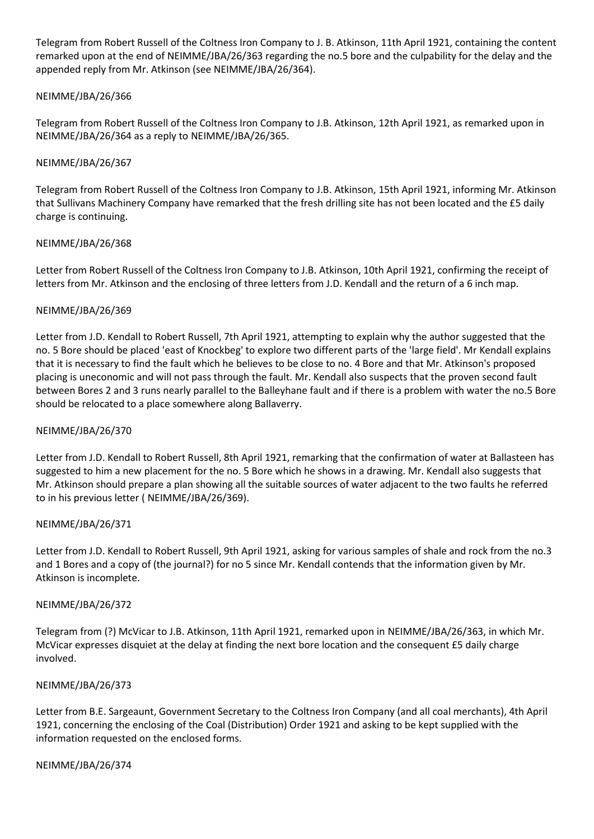Telegram from Robert Russell of the Coltness Iron Company to J. B. Atkinson, 11th April 1921, containing the content remarked upon at the end of NEIMME/JBA/26/363 regarding the no.5 bore and the culpability for the delay and the appended reply from Mr. Atkinson (see NEIMME/JBA/26/364).

# NEIMME/JBA/26/366

Telegram from Robert Russell of the Coltness Iron Company to J.B. Atkinson, 12th April 1921, as remarked upon in NEIMME/JBA/26/364 as a reply to NEIMME/JBA/26/365.

## NEIMME/JBA/26/367

Telegram from Robert Russell of the Coltness Iron Company to J.B. Atkinson, 15th April 1921, informing Mr. Atkinson that Sullivans Machinery Company have remarked that the fresh drilling site has not been located and the £5 daily charge is continuing.

## NEIMME/JBA/26/368

Letter from Robert Russell of the Coltness Iron Company to J.B. Atkinson, 10th April 1921, confirming the receipt of letters from Mr. Atkinson and the enclosing of three letters from J.D. Kendall and the return of a 6 inch map.

## NEIMME/JBA/26/369

Letter from J.D. Kendall to Robert Russell, 7th April 1921, attempting to explain why the author suggested that the no. 5 Bore should be placed 'east of Knockbeg' to explore two different parts of the 'large field'. Mr Kendall explains that it is necessary to find the fault which he believes to be close to no. 4 Bore and that Mr. Atkinson's proposed placing is uneconomic and will not pass through the fault. Mr. Kendall also suspects that the proven second fault between Bores 2 and 3 runs nearly parallel to the Balleyhane fault and if there is a problem with water the no.5 Bore should be relocated to a place somewhere along Ballaverry.

### NEIMME/JBA/26/370

Letter from J.D. Kendall to Robert Russell, 8th April 1921, remarking that the confirmation of water at Ballasteen has suggested to him a new placement for the no. 5 Bore which he shows in a drawing. Mr. Kendall also suggests that Mr. Atkinson should prepare a plan showing all the suitable sources of water adjacent to the two faults he referred to in his previous letter ( NEIMME/JBA/26/369).

### NEIMME/JBA/26/371

Letter from J.D. Kendall to Robert Russell, 9th April 1921, asking for various samples of shale and rock from the no.3 and 1 Bores and a copy of (the journal?) for no 5 since Mr. Kendall contends that the information given by Mr. Atkinson is incomplete.

### NEIMME/JBA/26/372

Telegram from (?) McVicar to J.B. Atkinson, 11th April 1921, remarked upon in NEIMME/JBA/26/363, in which Mr. McVicar expresses disquiet at the delay at finding the next bore location and the consequent £5 daily charge involved.

### NEIMME/JBA/26/373

Letter from B.E. Sargeaunt, Government Secretary to the Coltness Iron Company (and all coal merchants), 4th April 1921, concerning the enclosing of the Coal (Distribution) Order 1921 and asking to be kept supplied with the information requested on the enclosed forms.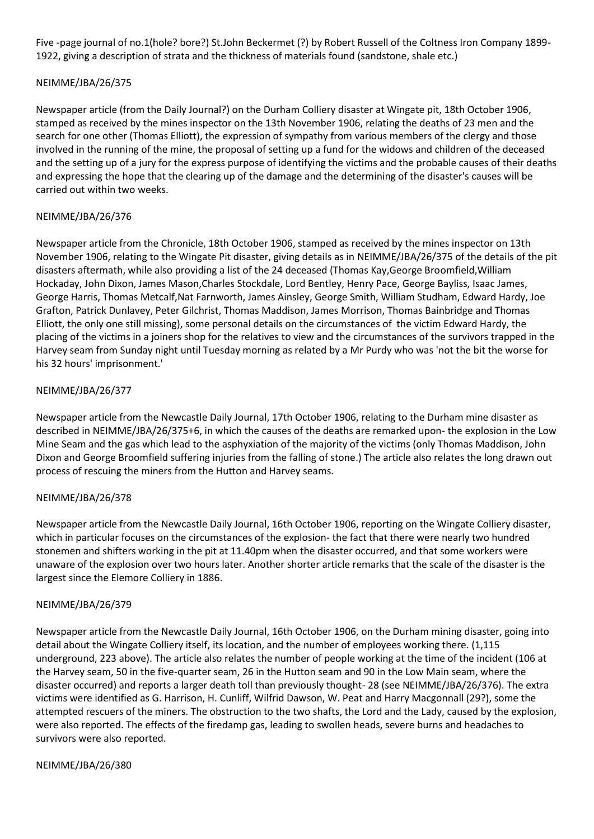Five -page journal of no.1(hole? bore?) St.John Beckermet (?) by Robert Russell of the Coltness Iron Company 1899- 1922, giving a description of strata and the thickness of materials found (sandstone, shale etc.)

# NEIMME/JBA/26/375

Newspaper article (from the Daily Journal?) on the Durham Colliery disaster at Wingate pit, 18th October 1906, stamped as received by the mines inspector on the 13th November 1906, relating the deaths of 23 men and the search for one other (Thomas Elliott), the expression of sympathy from various members of the clergy and those involved in the running of the mine, the proposal of setting up a fund for the widows and children of the deceased and the setting up of a jury for the express purpose of identifying the victims and the probable causes of their deaths and expressing the hope that the clearing up of the damage and the determining of the disaster's causes will be carried out within two weeks.

# NEIMME/JBA/26/376

Newspaper article from the Chronicle, 18th October 1906, stamped as received by the mines inspector on 13th November 1906, relating to the Wingate Pit disaster, giving details as in NEIMME/JBA/26/375 of the details of the pit disasters aftermath, while also providing a list of the 24 deceased (Thomas Kay,George Broomfield,William Hockaday, John Dixon, James Mason,Charles Stockdale, Lord Bentley, Henry Pace, George Bayliss, Isaac James, George Harris, Thomas Metcalf,Nat Farnworth, James Ainsley, George Smith, William Studham, Edward Hardy, Joe Grafton, Patrick Dunlavey, Peter Gilchrist, Thomas Maddison, James Morrison, Thomas Bainbridge and Thomas Elliott, the only one still missing), some personal details on the circumstances of the victim Edward Hardy, the placing of the victims in a joiners shop for the relatives to view and the circumstances of the survivors trapped in the Harvey seam from Sunday night until Tuesday morning as related by a Mr Purdy who was 'not the bit the worse for his 32 hours' imprisonment.'

## NEIMME/JBA/26/377

Newspaper article from the Newcastle Daily Journal, 17th October 1906, relating to the Durham mine disaster as described in NEIMME/JBA/26/375+6, in which the causes of the deaths are remarked upon- the explosion in the Low Mine Seam and the gas which lead to the asphyxiation of the majority of the victims (only Thomas Maddison, John Dixon and George Broomfield suffering injuries from the falling of stone.) The article also relates the long drawn out process of rescuing the miners from the Hutton and Harvey seams.

### NEIMME/JBA/26/378

Newspaper article from the Newcastle Daily Journal, 16th October 1906, reporting on the Wingate Colliery disaster, which in particular focuses on the circumstances of the explosion- the fact that there were nearly two hundred stonemen and shifters working in the pit at 11.40pm when the disaster occurred, and that some workers were unaware of the explosion over two hours later. Another shorter article remarks that the scale of the disaster is the largest since the Elemore Colliery in 1886.

### NEIMME/JBA/26/379

Newspaper article from the Newcastle Daily Journal, 16th October 1906, on the Durham mining disaster, going into detail about the Wingate Colliery itself, its location, and the number of employees working there. (1,115 underground, 223 above). The article also relates the number of people working at the time of the incident (106 at the Harvey seam, 50 in the five-quarter seam, 26 in the Hutton seam and 90 in the Low Main seam, where the disaster occurred) and reports a larger death toll than previously thought- 28 (see NEIMME/JBA/26/376). The extra victims were identified as G. Harrison, H. Cunliff, Wilfrid Dawson, W. Peat and Harry Macgonnall (29?), some the attempted rescuers of the miners. The obstruction to the two shafts, the Lord and the Lady, caused by the explosion, were also reported. The effects of the firedamp gas, leading to swollen heads, severe burns and headaches to survivors were also reported.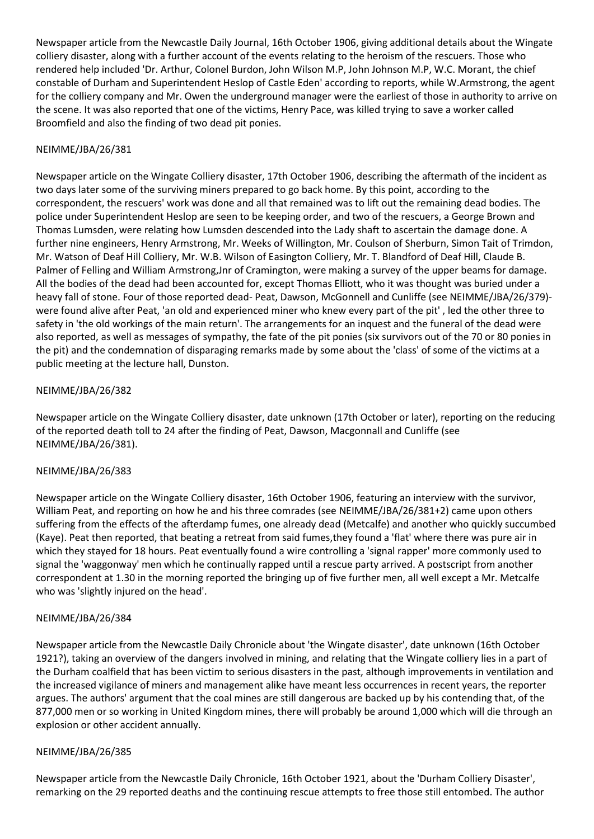Newspaper article from the Newcastle Daily Journal, 16th October 1906, giving additional details about the Wingate colliery disaster, along with a further account of the events relating to the heroism of the rescuers. Those who rendered help included 'Dr. Arthur, Colonel Burdon, John Wilson M.P, John Johnson M.P, W.C. Morant, the chief constable of Durham and Superintendent Heslop of Castle Eden' according to reports, while W.Armstrong, the agent for the colliery company and Mr. Owen the underground manager were the earliest of those in authority to arrive on the scene. It was also reported that one of the victims, Henry Pace, was killed trying to save a worker called Broomfield and also the finding of two dead pit ponies.

# NEIMME/JBA/26/381

Newspaper article on the Wingate Colliery disaster, 17th October 1906, describing the aftermath of the incident as two days later some of the surviving miners prepared to go back home. By this point, according to the correspondent, the rescuers' work was done and all that remained was to lift out the remaining dead bodies. The police under Superintendent Heslop are seen to be keeping order, and two of the rescuers, a George Brown and Thomas Lumsden, were relating how Lumsden descended into the Lady shaft to ascertain the damage done. A further nine engineers, Henry Armstrong, Mr. Weeks of Willington, Mr. Coulson of Sherburn, Simon Tait of Trimdon, Mr. Watson of Deaf Hill Colliery, Mr. W.B. Wilson of Easington Colliery, Mr. T. Blandford of Deaf Hill, Claude B. Palmer of Felling and William Armstrong,Jnr of Cramington, were making a survey of the upper beams for damage. All the bodies of the dead had been accounted for, except Thomas Elliott, who it was thought was buried under a heavy fall of stone. Four of those reported dead- Peat, Dawson, McGonnell and Cunliffe (see NEIMME/JBA/26/379) were found alive after Peat, 'an old and experienced miner who knew every part of the pit' , led the other three to safety in 'the old workings of the main return'. The arrangements for an inquest and the funeral of the dead were also reported, as well as messages of sympathy, the fate of the pit ponies (six survivors out of the 70 or 80 ponies in the pit) and the condemnation of disparaging remarks made by some about the 'class' of some of the victims at a public meeting at the lecture hall, Dunston.

## NEIMME/JBA/26/382

Newspaper article on the Wingate Colliery disaster, date unknown (17th October or later), reporting on the reducing of the reported death toll to 24 after the finding of Peat, Dawson, Macgonnall and Cunliffe (see NEIMME/JBA/26/381).

### NEIMME/JBA/26/383

Newspaper article on the Wingate Colliery disaster, 16th October 1906, featuring an interview with the survivor, William Peat, and reporting on how he and his three comrades (see NEIMME/JBA/26/381+2) came upon others suffering from the effects of the afterdamp fumes, one already dead (Metcalfe) and another who quickly succumbed (Kaye). Peat then reported, that beating a retreat from said fumes,they found a 'flat' where there was pure air in which they stayed for 18 hours. Peat eventually found a wire controlling a 'signal rapper' more commonly used to signal the 'waggonway' men which he continually rapped until a rescue party arrived. A postscript from another correspondent at 1.30 in the morning reported the bringing up of five further men, all well except a Mr. Metcalfe who was 'slightly injured on the head'.

### NEIMME/JBA/26/384

Newspaper article from the Newcastle Daily Chronicle about 'the Wingate disaster', date unknown (16th October 1921?), taking an overview of the dangers involved in mining, and relating that the Wingate colliery lies in a part of the Durham coalfield that has been victim to serious disasters in the past, although improvements in ventilation and the increased vigilance of miners and management alike have meant less occurrences in recent years, the reporter argues. The authors' argument that the coal mines are still dangerous are backed up by his contending that, of the 877,000 men or so working in United Kingdom mines, there will probably be around 1,000 which will die through an explosion or other accident annually.

### NEIMME/JBA/26/385

Newspaper article from the Newcastle Daily Chronicle, 16th October 1921, about the 'Durham Colliery Disaster', remarking on the 29 reported deaths and the continuing rescue attempts to free those still entombed. The author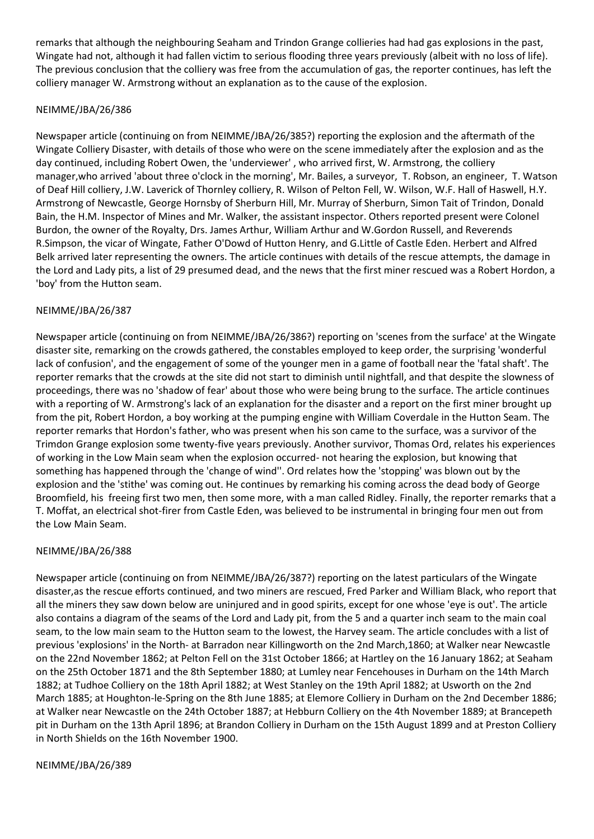remarks that although the neighbouring Seaham and Trindon Grange collieries had had gas explosions in the past, Wingate had not, although it had fallen victim to serious flooding three years previously (albeit with no loss of life). The previous conclusion that the colliery was free from the accumulation of gas, the reporter continues, has left the colliery manager W. Armstrong without an explanation as to the cause of the explosion.

# NEIMME/JBA/26/386

Newspaper article (continuing on from NEIMME/JBA/26/385?) reporting the explosion and the aftermath of the Wingate Colliery Disaster, with details of those who were on the scene immediately after the explosion and as the day continued, including Robert Owen, the 'underviewer' , who arrived first, W. Armstrong, the colliery manager,who arrived 'about three o'clock in the morning', Mr. Bailes, a surveyor, T. Robson, an engineer, T. Watson of Deaf Hill colliery, J.W. Laverick of Thornley colliery, R. Wilson of Pelton Fell, W. Wilson, W.F. Hall of Haswell, H.Y. Armstrong of Newcastle, George Hornsby of Sherburn Hill, Mr. Murray of Sherburn, Simon Tait of Trindon, Donald Bain, the H.M. Inspector of Mines and Mr. Walker, the assistant inspector. Others reported present were Colonel Burdon, the owner of the Royalty, Drs. James Arthur, William Arthur and W.Gordon Russell, and Reverends R.Simpson, the vicar of Wingate, Father O'Dowd of Hutton Henry, and G.Little of Castle Eden. Herbert and Alfred Belk arrived later representing the owners. The article continues with details of the rescue attempts, the damage in the Lord and Lady pits, a list of 29 presumed dead, and the news that the first miner rescued was a Robert Hordon, a 'boy' from the Hutton seam.

# NEIMME/JBA/26/387

Newspaper article (continuing on from NEIMME/JBA/26/386?) reporting on 'scenes from the surface' at the Wingate disaster site, remarking on the crowds gathered, the constables employed to keep order, the surprising 'wonderful lack of confusion', and the engagement of some of the younger men in a game of football near the 'fatal shaft'. The reporter remarks that the crowds at the site did not start to diminish until nightfall, and that despite the slowness of proceedings, there was no 'shadow of fear' about those who were being brung to the surface. The article continues with a reporting of W. Armstrong's lack of an explanation for the disaster and a report on the first miner brought up from the pit, Robert Hordon, a boy working at the pumping engine with William Coverdale in the Hutton Seam. The reporter remarks that Hordon's father, who was present when his son came to the surface, was a survivor of the Trimdon Grange explosion some twenty-five years previously. Another survivor, Thomas Ord, relates his experiences of working in the Low Main seam when the explosion occurred- not hearing the explosion, but knowing that something has happened through the 'change of wind''. Ord relates how the 'stopping' was blown out by the explosion and the 'stithe' was coming out. He continues by remarking his coming across the dead body of George Broomfield, his freeing first two men, then some more, with a man called Ridley. Finally, the reporter remarks that a T. Moffat, an electrical shot-firer from Castle Eden, was believed to be instrumental in bringing four men out from the Low Main Seam.

# NEIMME/JBA/26/388

Newspaper article (continuing on from NEIMME/JBA/26/387?) reporting on the latest particulars of the Wingate disaster,as the rescue efforts continued, and two miners are rescued, Fred Parker and William Black, who report that all the miners they saw down below are uninjured and in good spirits, except for one whose 'eye is out'. The article also contains a diagram of the seams of the Lord and Lady pit, from the 5 and a quarter inch seam to the main coal seam, to the low main seam to the Hutton seam to the lowest, the Harvey seam. The article concludes with a list of previous 'explosions' in the North- at Barradon near Killingworth on the 2nd March,1860; at Walker near Newcastle on the 22nd November 1862; at Pelton Fell on the 31st October 1866; at Hartley on the 16 January 1862; at Seaham on the 25th October 1871 and the 8th September 1880; at Lumley near Fencehouses in Durham on the 14th March 1882; at Tudhoe Colliery on the 18th April 1882; at West Stanley on the 19th April 1882; at Usworth on the 2nd March 1885; at Houghton-le-Spring on the 8th June 1885; at Elemore Colliery in Durham on the 2nd December 1886; at Walker near Newcastle on the 24th October 1887; at Hebburn Colliery on the 4th November 1889; at Brancepeth pit in Durham on the 13th April 1896; at Brandon Colliery in Durham on the 15th August 1899 and at Preston Colliery in North Shields on the 16th November 1900.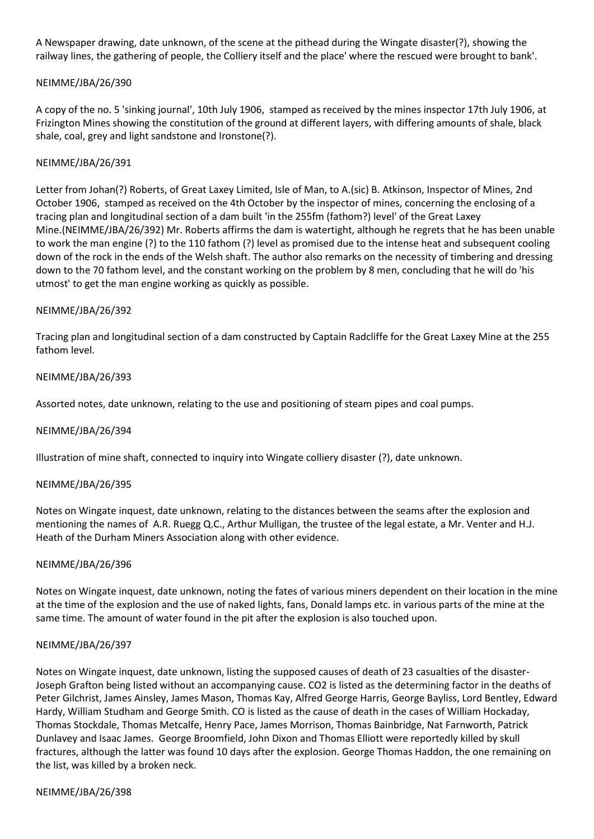A Newspaper drawing, date unknown, of the scene at the pithead during the Wingate disaster(?), showing the railway lines, the gathering of people, the Colliery itself and the place' where the rescued were brought to bank'.

## NEIMME/JBA/26/390

A copy of the no. 5 'sinking journal', 10th July 1906, stamped as received by the mines inspector 17th July 1906, at Frizington Mines showing the constitution of the ground at different layers, with differing amounts of shale, black shale, coal, grey and light sandstone and Ironstone(?).

## NEIMME/JBA/26/391

Letter from Johan(?) Roberts, of Great Laxey Limited, Isle of Man, to A.(sic) B. Atkinson, Inspector of Mines, 2nd October 1906, stamped as received on the 4th October by the inspector of mines, concerning the enclosing of a tracing plan and longitudinal section of a dam built 'in the 255fm (fathom?) level' of the Great Laxey Mine.(NEIMME/JBA/26/392) Mr. Roberts affirms the dam is watertight, although he regrets that he has been unable to work the man engine (?) to the 110 fathom (?) level as promised due to the intense heat and subsequent cooling down of the rock in the ends of the Welsh shaft. The author also remarks on the necessity of timbering and dressing down to the 70 fathom level, and the constant working on the problem by 8 men, concluding that he will do 'his utmost' to get the man engine working as quickly as possible.

## NEIMME/JBA/26/392

Tracing plan and longitudinal section of a dam constructed by Captain Radcliffe for the Great Laxey Mine at the 255 fathom level.

## NEIMME/JBA/26/393

Assorted notes, date unknown, relating to the use and positioning of steam pipes and coal pumps.

### NEIMME/JBA/26/394

Illustration of mine shaft, connected to inquiry into Wingate colliery disaster (?), date unknown.

### NEIMME/JBA/26/395

Notes on Wingate inquest, date unknown, relating to the distances between the seams after the explosion and mentioning the names of A.R. Ruegg Q.C., Arthur Mulligan, the trustee of the legal estate, a Mr. Venter and H.J. Heath of the Durham Miners Association along with other evidence.

### NEIMME/JBA/26/396

Notes on Wingate inquest, date unknown, noting the fates of various miners dependent on their location in the mine at the time of the explosion and the use of naked lights, fans, Donald lamps etc. in various parts of the mine at the same time. The amount of water found in the pit after the explosion is also touched upon.

### NEIMME/JBA/26/397

Notes on Wingate inquest, date unknown, listing the supposed causes of death of 23 casualties of the disaster-Joseph Grafton being listed without an accompanying cause. CO2 is listed as the determining factor in the deaths of Peter Gilchrist, James Ainsley, James Mason, Thomas Kay, Alfred George Harris, George Bayliss, Lord Bentley, Edward Hardy, William Studham and George Smith. CO is listed as the cause of death in the cases of William Hockaday, Thomas Stockdale, Thomas Metcalfe, Henry Pace, James Morrison, Thomas Bainbridge, Nat Farnworth, Patrick Dunlavey and Isaac James. George Broomfield, John Dixon and Thomas Elliott were reportedly killed by skull fractures, although the latter was found 10 days after the explosion. George Thomas Haddon, the one remaining on the list, was killed by a broken neck.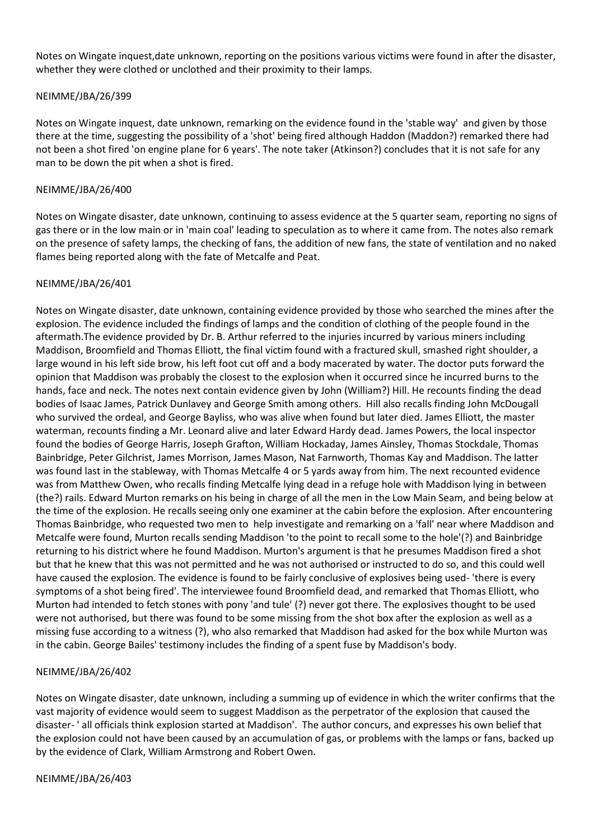Notes on Wingate inquest,date unknown, reporting on the positions various victims were found in after the disaster, whether they were clothed or unclothed and their proximity to their lamps.

### NEIMME/JBA/26/399

Notes on Wingate inquest, date unknown, remarking on the evidence found in the 'stable way' and given by those there at the time, suggesting the possibility of a 'shot' being fired although Haddon (Maddon?) remarked there had not been a shot fired 'on engine plane for 6 years'. The note taker (Atkinson?) concludes that it is not safe for any man to be down the pit when a shot is fired.

#### NEIMME/JBA/26/400

Notes on Wingate disaster, date unknown, continuing to assess evidence at the 5 quarter seam, reporting no signs of gas there or in the low main or in 'main coal' leading to speculation as to where it came from. The notes also remark on the presence of safety lamps, the checking of fans, the addition of new fans, the state of ventilation and no naked flames being reported along with the fate of Metcalfe and Peat.

#### NEIMME/JBA/26/401

Notes on Wingate disaster, date unknown, containing evidence provided by those who searched the mines after the explosion. The evidence included the findings of lamps and the condition of clothing of the people found in the aftermath.The evidence provided by Dr. B. Arthur referred to the injuries incurred by various miners including Maddison, Broomfield and Thomas Elliott, the final victim found with a fractured skull, smashed right shoulder, a large wound in his left side brow, his left foot cut off and a body macerated by water. The doctor puts forward the opinion that Maddison was probably the closest to the explosion when it occurred since he incurred burns to the hands, face and neck. The notes next contain evidence given by John (William?) Hill. He recounts finding the dead bodies of Isaac James, Patrick Dunlavey and George Smith among others. Hill also recalls finding John McDougall who survived the ordeal, and George Bayliss, who was alive when found but later died. James Elliott, the master waterman, recounts finding a Mr. Leonard alive and later Edward Hardy dead. James Powers, the local inspector found the bodies of George Harris, Joseph Grafton, William Hockaday, James Ainsley, Thomas Stockdale, Thomas Bainbridge, Peter Gilchrist, James Morrison, James Mason, Nat Farnworth, Thomas Kay and Maddison. The latter was found last in the stableway, with Thomas Metcalfe 4 or 5 yards away from him. The next recounted evidence was from Matthew Owen, who recalls finding Metcalfe lying dead in a refuge hole with Maddison lying in between (the?) rails. Edward Murton remarks on his being in charge of all the men in the Low Main Seam, and being below at the time of the explosion. He recalls seeing only one examiner at the cabin before the explosion. After encountering Thomas Bainbridge, who requested two men to help investigate and remarking on a 'fall' near where Maddison and Metcalfe were found, Murton recalls sending Maddison 'to the point to recall some to the hole'(?) and Bainbridge returning to his district where he found Maddison. Murton's argument is that he presumes Maddison fired a shot but that he knew that this was not permitted and he was not authorised or instructed to do so, and this could well have caused the explosion. The evidence is found to be fairly conclusive of explosives being used- 'there is every symptoms of a shot being fired'. The interviewee found Broomfield dead, and remarked that Thomas Elliott, who Murton had intended to fetch stones with pony 'and tule' (?) never got there. The explosives thought to be used were not authorised, but there was found to be some missing from the shot box after the explosion as well as a missing fuse according to a witness (?), who also remarked that Maddison had asked for the box while Murton was in the cabin. George Bailes' testimony includes the finding of a spent fuse by Maddison's body.

### NEIMME/JBA/26/402

Notes on Wingate disaster, date unknown, including a summing up of evidence in which the writer confirms that the vast majority of evidence would seem to suggest Maddison as the perpetrator of the explosion that caused the disaster- ' all officials think explosion started at Maddison'. The author concurs, and expresses his own belief that the explosion could not have been caused by an accumulation of gas, or problems with the lamps or fans, backed up by the evidence of Clark, William Armstrong and Robert Owen.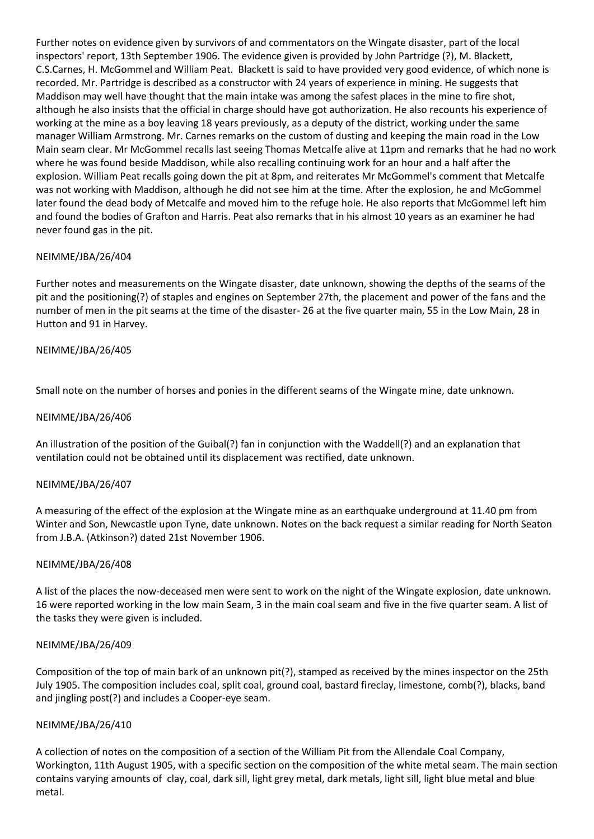Further notes on evidence given by survivors of and commentators on the Wingate disaster, part of the local inspectors' report, 13th September 1906. The evidence given is provided by John Partridge (?), M. Blackett, C.S.Carnes, H. McGommel and William Peat. Blackett is said to have provided very good evidence, of which none is recorded. Mr. Partridge is described as a constructor with 24 years of experience in mining. He suggests that Maddison may well have thought that the main intake was among the safest places in the mine to fire shot, although he also insists that the official in charge should have got authorization. He also recounts his experience of working at the mine as a boy leaving 18 years previously, as a deputy of the district, working under the same manager William Armstrong. Mr. Carnes remarks on the custom of dusting and keeping the main road in the Low Main seam clear. Mr McGommel recalls last seeing Thomas Metcalfe alive at 11pm and remarks that he had no work where he was found beside Maddison, while also recalling continuing work for an hour and a half after the explosion. William Peat recalls going down the pit at 8pm, and reiterates Mr McGommel's comment that Metcalfe was not working with Maddison, although he did not see him at the time. After the explosion, he and McGommel later found the dead body of Metcalfe and moved him to the refuge hole. He also reports that McGommel left him and found the bodies of Grafton and Harris. Peat also remarks that in his almost 10 years as an examiner he had never found gas in the pit.

## NEIMME/JBA/26/404

Further notes and measurements on the Wingate disaster, date unknown, showing the depths of the seams of the pit and the positioning(?) of staples and engines on September 27th, the placement and power of the fans and the number of men in the pit seams at the time of the disaster- 26 at the five quarter main, 55 in the Low Main, 28 in Hutton and 91 in Harvey.

## NEIMME/JBA/26/405

Small note on the number of horses and ponies in the different seams of the Wingate mine, date unknown.

### NEIMME/JBA/26/406

An illustration of the position of the Guibal(?) fan in conjunction with the Waddell(?) and an explanation that ventilation could not be obtained until its displacement was rectified, date unknown.

### NEIMME/JBA/26/407

A measuring of the effect of the explosion at the Wingate mine as an earthquake underground at 11.40 pm from Winter and Son, Newcastle upon Tyne, date unknown. Notes on the back request a similar reading for North Seaton from J.B.A. (Atkinson?) dated 21st November 1906.

### NEIMME/JBA/26/408

A list of the places the now-deceased men were sent to work on the night of the Wingate explosion, date unknown. 16 were reported working in the low main Seam, 3 in the main coal seam and five in the five quarter seam. A list of the tasks they were given is included.

### NEIMME/JBA/26/409

Composition of the top of main bark of an unknown pit(?), stamped as received by the mines inspector on the 25th July 1905. The composition includes coal, split coal, ground coal, bastard fireclay, limestone, comb(?), blacks, band and jingling post(?) and includes a Cooper-eye seam.

### NEIMME/JBA/26/410

A collection of notes on the composition of a section of the William Pit from the Allendale Coal Company, Workington, 11th August 1905, with a specific section on the composition of the white metal seam. The main section contains varying amounts of clay, coal, dark sill, light grey metal, dark metals, light sill, light blue metal and blue metal.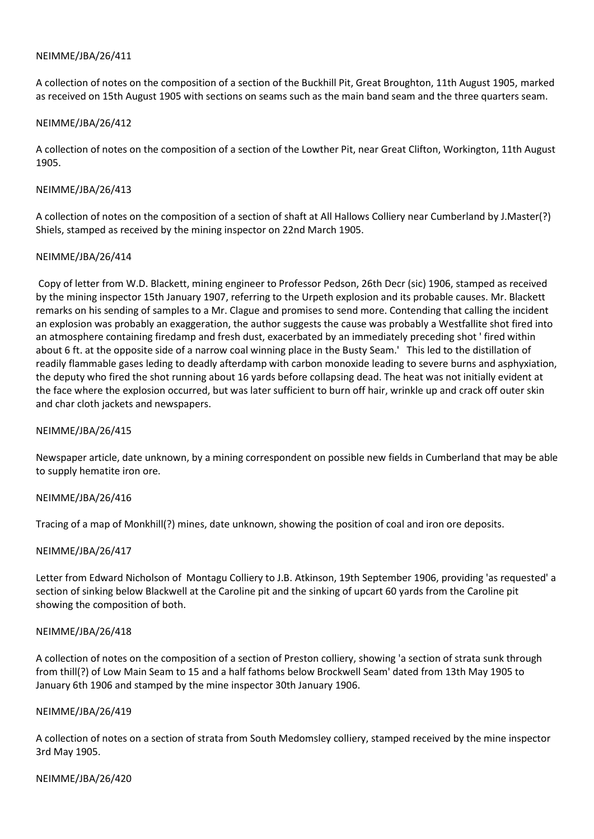A collection of notes on the composition of a section of the Buckhill Pit, Great Broughton, 11th August 1905, marked as received on 15th August 1905 with sections on seams such as the main band seam and the three quarters seam.

### NEIMME/JBA/26/412

A collection of notes on the composition of a section of the Lowther Pit, near Great Clifton, Workington, 11th August 1905.

### NEIMME/JBA/26/413

A collection of notes on the composition of a section of shaft at All Hallows Colliery near Cumberland by J.Master(?) Shiels, stamped as received by the mining inspector on 22nd March 1905.

## NEIMME/JBA/26/414

Copy of letter from W.D. Blackett, mining engineer to Professor Pedson, 26th Decr (sic) 1906, stamped as received by the mining inspector 15th January 1907, referring to the Urpeth explosion and its probable causes. Mr. Blackett remarks on his sending of samples to a Mr. Clague and promises to send more. Contending that calling the incident an explosion was probably an exaggeration, the author suggests the cause was probably a Westfallite shot fired into an atmosphere containing firedamp and fresh dust, exacerbated by an immediately preceding shot ' fired within about 6 ft. at the opposite side of a narrow coal winning place in the Busty Seam.' This led to the distillation of readily flammable gases leding to deadly afterdamp with carbon monoxide leading to severe burns and asphyxiation, the deputy who fired the shot running about 16 yards before collapsing dead. The heat was not initially evident at the face where the explosion occurred, but was later sufficient to burn off hair, wrinkle up and crack off outer skin and char cloth jackets and newspapers.

### NEIMME/JBA/26/415

Newspaper article, date unknown, by a mining correspondent on possible new fields in Cumberland that may be able to supply hematite iron ore.

### NEIMME/JBA/26/416

Tracing of a map of Monkhill(?) mines, date unknown, showing the position of coal and iron ore deposits.

# NEIMME/JBA/26/417

Letter from Edward Nicholson of Montagu Colliery to J.B. Atkinson, 19th September 1906, providing 'as requested' a section of sinking below Blackwell at the Caroline pit and the sinking of upcart 60 yards from the Caroline pit showing the composition of both.

### NEIMME/JBA/26/418

A collection of notes on the composition of a section of Preston colliery, showing 'a section of strata sunk through from thill(?) of Low Main Seam to 15 and a half fathoms below Brockwell Seam' dated from 13th May 1905 to January 6th 1906 and stamped by the mine inspector 30th January 1906.

### NEIMME/JBA/26/419

A collection of notes on a section of strata from South Medomsley colliery, stamped received by the mine inspector 3rd May 1905.